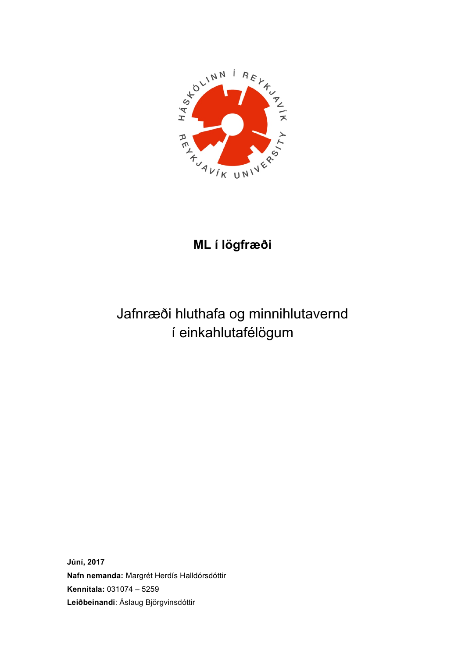

# **ML í lögfræði**

# Jafnræði hluthafa og minnihlutavernd í einkahlutafélögum

**Júní, 2017 Nafn nemanda:** Margrét Herdís Halldórsdóttir **Kennitala:** 031074 – 5259 **Leiðbeinandi**: Áslaug Björgvinsdóttir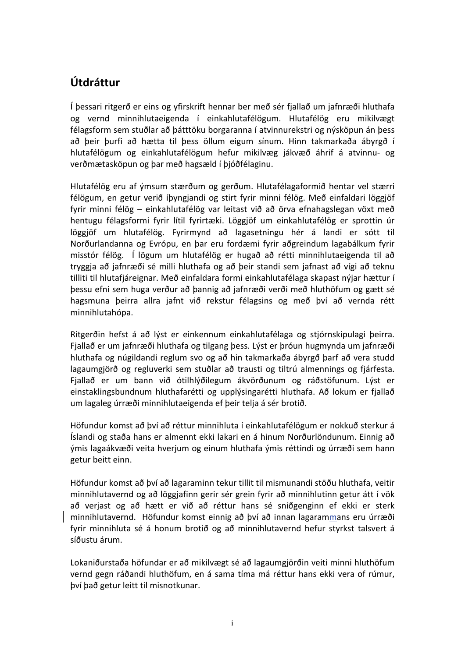# **Útdráttur**

Í þessari ritgerð er eins og yfirskrift hennar ber með sér fjallað um jafnræði hluthafa og vernd minnihlutaeigenda í einkahlutafélögum. Hlutafélög eru mikilvægt félagsform sem stuðlar að þátttöku borgaranna í atvinnurekstri og nýsköpun án þess að þeir þurfi að hætta til þess öllum eigum sínum. Hinn takmarkaða ábyrgð í hlutafélögum og einkahlutafélögum hefur mikilvæg jákvæð áhrif á atvinnu- og verðmætasköpun og þar með hagsæld í þjóðfélaginu.

Hlutafélög eru af ýmsum stærðum og gerðum. Hlutafélagaformið hentar vel stærri félögum, en getur verið íþyngjandi og stirt fyrir minni félög. Með einfaldari löggjöf fyrir minni félög – einkahlutafélög var leitast við að örva efnahagslegan vöxt með hentugu félagsformi fyrir lítil fyrirtæki. Löggjöf um einkahlutafélög er sprottin úr löggjöf um hlutafélög. Fyrirmynd að lagasetningu hér á landi er sótt til Norðurlandanna og Evrópu, en þar eru fordæmi fyrir aðgreindum lagabálkum fyrir misstór félög. Í lögum um hlutafélög er hugað að rétti minnihlutaeigenda til að tryggja að jafnræði sé milli hluthafa og að beir standi sem jafnast að vígi að teknu tilliti til hlutafiáreignar. Með einfaldara formi einkahlutafélaga skapast nýjar hættur í þessu efni sem huga verður að þannig að jafnræði verði með hluthöfum og gætt sé hagsmuna þeirra allra jafnt við rekstur félagsins og með því að vernda rétt minnihlutahópa.

Ritgerðin hefst á að lýst er einkennum einkahlutafélaga og stjórnskipulagi þeirra. Fjallað er um jafnræði hluthafa og tilgang bess. Lýst er þróun hugmynda um jafnræði hluthafa og núgildandi reglum svo og að hin takmarkaða ábyrgð þarf að vera studd lagaumgjörð og regluverki sem stuðlar að trausti og tiltrú almennings og fjárfesta. Fjallað er um bann við ótilhlýðilegum ákvörðunum og ráðstöfunum. Lýst er einstaklingsbundnum hluthafarétti og upplýsingarétti hluthafa. Að lokum er fjallað um lagaleg úrræði minnihlutaeigenda ef þeir telja á sér brotið.

Höfundur komst að því að réttur minnihluta í einkahlutafélögum er nokkuð sterkur á Íslandi og staða hans er almennt ekki lakari en á hinum Norðurlöndunum. Einnig að ýmis lagaákvæði veita hverjum og einum hluthafa ýmis réttindi og úrræði sem hann getur beitt einn.

Höfundur komst að bví að lagaraminn tekur tillit til mismunandi stöðu hluthafa, veitir minnihlutavernd og að löggjafinn gerir sér grein fyrir að minnihlutinn getur átt í vök að verjast og að hætt er við að réttur hans sé sniðgenginn ef ekki er sterk minnihlutavernd. Höfundur komst einnig að því að innan lagarammans eru úrræði fyrir minnihluta sé á honum brotið og að minnihlutavernd hefur styrkst talsvert á síðustu árum. 

Lokaniðurstaða höfundar er að mikilvægt sé að lagaumgjörðin veiti minni hluthöfum vernd gegn ráðandi hluthöfum, en á sama tíma má réttur hans ekki vera of rúmur, því það getur leitt til misnotkunar.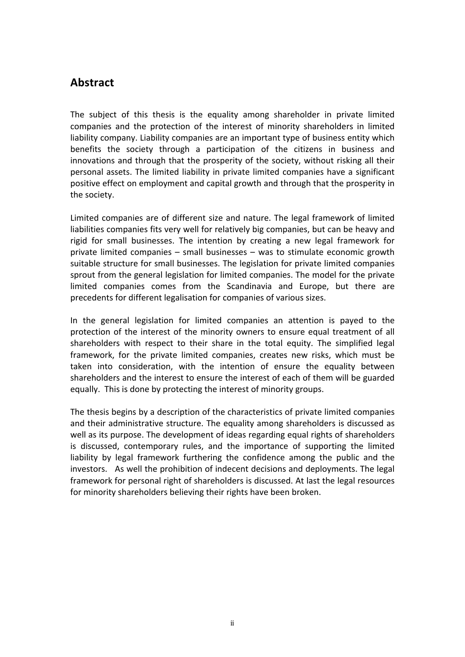# **Abstract**

The subject of this thesis is the equality among shareholder in private limited companies and the protection of the interest of minority shareholders in limited liability company. Liability companies are an important type of business entity which benefits the society through a participation of the citizens in business and innovations and through that the prosperity of the society, without risking all their personal assets. The limited liability in private limited companies have a significant positive effect on employment and capital growth and through that the prosperity in the society.

Limited companies are of different size and nature. The legal framework of limited liabilities companies fits very well for relatively big companies, but can be heavy and rigid for small businesses. The intention by creating a new legal framework for private limited companies  $-$  small businesses  $-$  was to stimulate economic growth suitable structure for small businesses. The legislation for private limited companies sprout from the general legislation for limited companies. The model for the private limited companies comes from the Scandinavia and Europe, but there are precedents for different legalisation for companies of various sizes.

In the general legislation for limited companies an attention is payed to the protection of the interest of the minority owners to ensure equal treatment of all shareholders with respect to their share in the total equity. The simplified legal framework, for the private limited companies, creates new risks, which must be taken into consideration, with the intention of ensure the equality between shareholders and the interest to ensure the interest of each of them will be guarded equally. This is done by protecting the interest of minority groups.

The thesis begins by a description of the characteristics of private limited companies and their administrative structure. The equality among shareholders is discussed as well as its purpose. The development of ideas regarding equal rights of shareholders is discussed, contemporary rules, and the importance of supporting the limited liability by legal framework furthering the confidence among the public and the investors. As well the prohibition of indecent decisions and deployments. The legal framework for personal right of shareholders is discussed. At last the legal resources for minority shareholders believing their rights have been broken.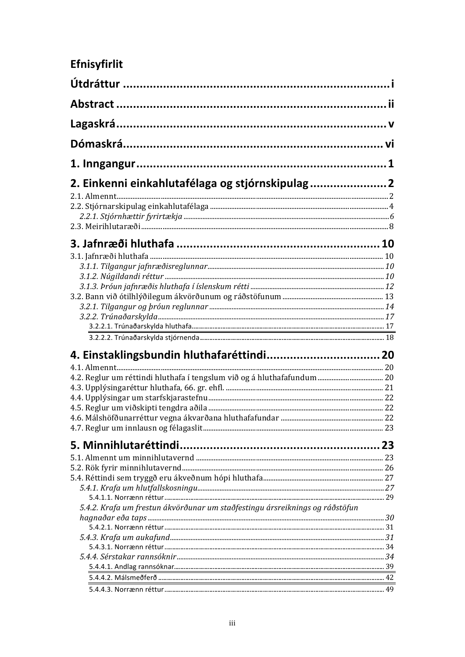# Efnisyfirlit

| 2. Einkenni einkahlutafélaga og stjórnskipulag                               |  |
|------------------------------------------------------------------------------|--|
|                                                                              |  |
|                                                                              |  |
|                                                                              |  |
|                                                                              |  |
|                                                                              |  |
|                                                                              |  |
|                                                                              |  |
|                                                                              |  |
|                                                                              |  |
|                                                                              |  |
|                                                                              |  |
|                                                                              |  |
|                                                                              |  |
|                                                                              |  |
|                                                                              |  |
|                                                                              |  |
|                                                                              |  |
|                                                                              |  |
|                                                                              |  |
|                                                                              |  |
|                                                                              |  |
|                                                                              |  |
|                                                                              |  |
|                                                                              |  |
|                                                                              |  |
|                                                                              |  |
|                                                                              |  |
|                                                                              |  |
|                                                                              |  |
| 5.4.2. Krafa um frestun ákvörðunar um staðfestingu ársreiknings og ráðstöfun |  |
|                                                                              |  |
|                                                                              |  |
|                                                                              |  |
|                                                                              |  |
|                                                                              |  |
|                                                                              |  |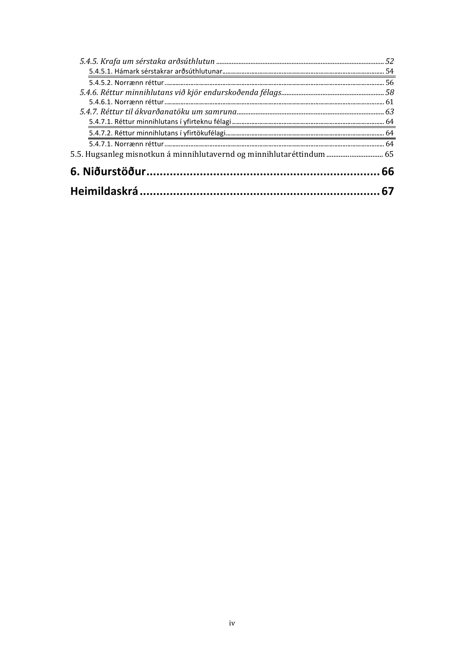| 5.5. Hugsanleg misnotkun á minnihlutavernd og minnihlutaréttindum  65 |    |
|-----------------------------------------------------------------------|----|
|                                                                       | 64 |
|                                                                       |    |
|                                                                       |    |
|                                                                       | 63 |
|                                                                       |    |
|                                                                       |    |
|                                                                       | 56 |
|                                                                       | 54 |
|                                                                       |    |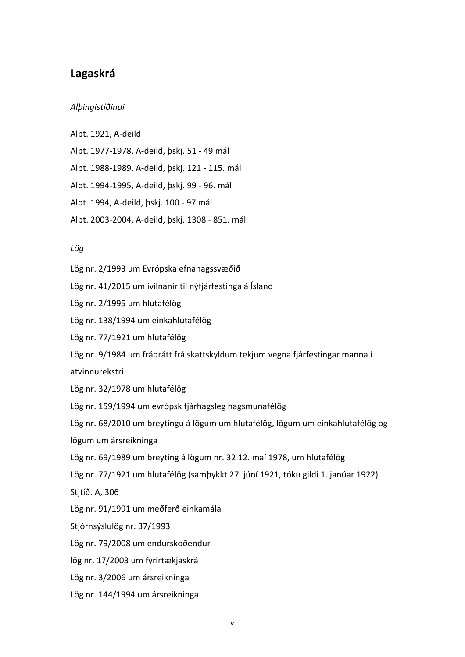# **Lagaskrá**

## *Alþingistíðindi*

Albt. 1921, A-deild

Alþt. 1977-1978, A-deild, þskj. 51 - 49 mál

Alþt. 1988-1989, A-deild, þskj. 121 - 115. mál

Alþt. 1994-1995, A-deild, þskj. 99 - 96. mál

Alþt. 1994, A-deild, þskj. 100 - 97 mál

Alþt. 2003-2004, A-deild, þskj. 1308 - 851. mál

#### *Lög*

Lög nr. 2/1993 um Evrópska efnahagssvæðið

Lög nr. 41/2015 um ívilnanir til nýfjárfestinga á Ísland

Lög nr. 2/1995 um hlutafélög

Lög nr. 138/1994 um einkahlutafélög

Lög nr. 77/1921 um hlutafélög

Lög nr. 9/1984 um frádrátt frá skattskyldum tekjum vegna fjárfestingar manna í

atvinnurekstri

Lög nr. 32/1978 um hlutafélög

Lög nr. 159/1994 um evrópsk fjárhagsleg hagsmunafélög

Lög nr. 68/2010 um breytingu á lögum um hlutafélög, lögum um einkahlutafélög og

lögum um ársreikninga

Lög nr. 69/1989 um breyting á lögum nr. 32 12. maí 1978, um hlutafélög

Lög nr. 77/1921 um hlutafélög (samþykkt 27. júní 1921, tóku gildi 1. janúar 1922)

Stjtíð. A, 306

Lög nr. 91/1991 um meðferð einkamála

Stjórnsýslulög nr. 37/1993

Lög nr. 79/2008 um endurskoðendur

lög nr. 17/2003 um fyrirtækjaskrá

Lög nr. 3/2006 um ársreikninga

Lög nr. 144/1994 um ársreikninga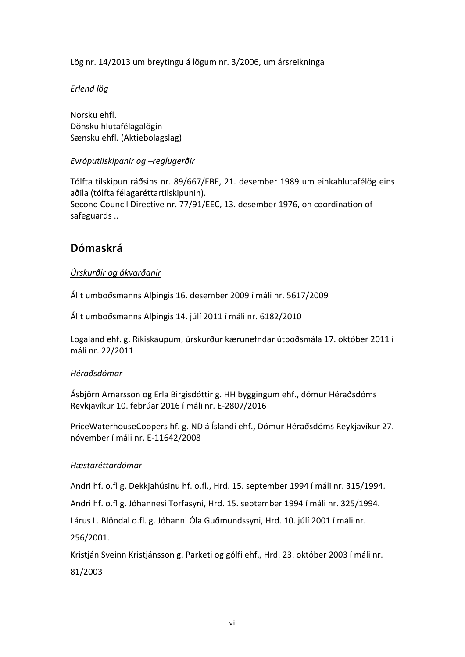Lög nr. 14/2013 um breytingu á lögum nr. 3/2006, um ársreikninga

# *Erlend lög*

Norsku ehfl. Dönsku hlutafélagalögin Sænsku ehfl. (Aktiebolagslag)

# *Evróputilskipanir og –reglugerðir*

Tólfta tilskipun ráðsins nr. 89/667/EBE, 21. desember 1989 um einkahlutafélög eins aðila (tólfta félagaréttartilskipunin). Second Council Directive nr. 77/91/EEC, 13. desember 1976, on coordination of safeguards ..

# **Dómaskrá**

# *Úrskurðir og ákvarðanir*

Álit umboðsmanns Alþingis 16. desember 2009 í máli nr. 5617/2009

Álit umboðsmanns Alþingis 14. júlí 2011 í máli nr. 6182/2010

Logaland ehf. g. Ríkiskaupum, úrskurður kærunefndar útboðsmála 17. október 2011 í máli nr. 22/2011

# *Héraðsdómar*

Ásbjörn Arnarsson og Erla Birgisdóttir g. HH byggingum ehf., dómur Héraðsdóms Reykjavíkur 10. febrúar 2016 í máli nr. E-2807/2016

PriceWaterhouseCoopers hf. g. ND á Íslandi ehf., Dómur Héraðsdóms Reykjavíkur 27. nóvember í máli nr. E-11642/2008

# *Hæstaréttardómar*

Andri hf. o.fl g. Dekkjahúsinu hf. o.fl., Hrd. 15. september 1994 í máli nr. 315/1994.

Andri hf. o.fl g. Jóhannesi Torfasyni, Hrd. 15. september 1994 í máli nr. 325/1994.

Lárus L. Blöndal o.fl. g. Jóhanni Óla Guðmundssyni, Hrd. 10. júlí 2001 í máli nr.

256/2001.

Kristján Sveinn Kristjánsson g. Parketi og gólfi ehf., Hrd. 23. október 2003 í máli nr. 81/2003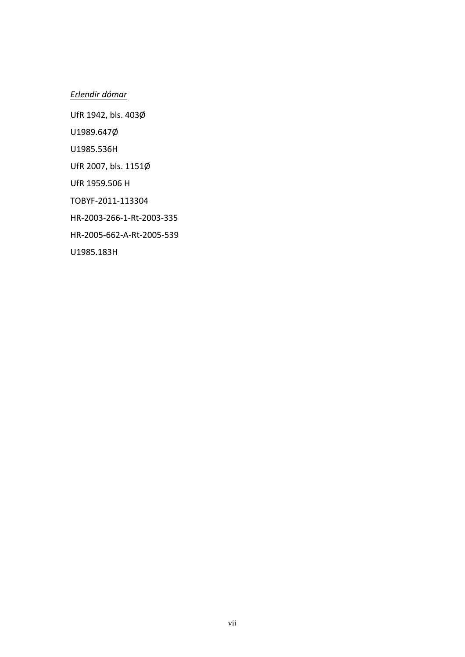# *Erlendir dómar*

UfR 1942, bls. 403Ø

U1989.647Ø

U1985.536H

UfR 2007, bls. 1151Ø

UfR 1959.506 H

TOBYF-2011-113304

HR-2003-266-1-Rt-2003-335

HR-2005-662-A-Rt-2005-539

U1985.183H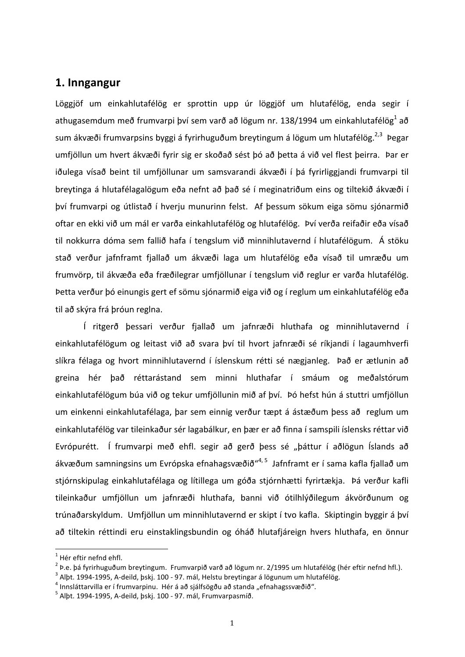# 1. Inngangur

Löggjöf um einkahlutafélög er sprottin upp úr löggjöf um hlutafélög, enda segir í athugasemdum með frumvarpi því sem varð að lögum nr. 138/1994 um einkahlutafélög<sup>1</sup> að sum ákvæði frumvarpsins byggi á fyrirhuguðum breytingum á lögum um hlutafélög.<sup>2,3</sup> Þegar umfjöllun um hvert ákvæði fyrir sig er skoðað sést þó að þetta á við vel flest þeirra. Þar er iðulega vísað beint til umfjöllunar um samsvarandi ákvæði í þá fyrirliggjandi frumvarpi til breytinga á hlutafélagalögum eða nefnt að það sé í meginatriðum eins og tiltekið ákvæði í því frumvarpi og útlistað í hverju munurinn felst. Af þessum sökum eiga sömu sjónarmið oftar en ekki við um mál er varða einkahlutafélög og hlutafélög. Því verða reifaðir eða vísað til nokkurra dóma sem fallið hafa í tengslum við minnihlutavernd í hlutafélögum. Á stöku stað verður jafnframt fjallað um ákvæði laga um hlutafélög eða vísað til umræðu um frumvörp, til ákvæða eða fræðilegrar umfjöllunar í tengslum við reglur er varða hlutafélög. Þetta verður þó einungis gert ef sömu sjónarmið eiga við og í reglum um einkahlutafélög eða til að skýra frá þróun reglna.

Í ritgerð þessari verður fjallað um jafnræði hluthafa og minnihlutavernd í einkahlutafélögum og leitast við að svara því til hvort jafnræði sé ríkjandi í lagaumhverfi slíkra félaga og hvort minnihlutavernd í íslenskum rétti sé nægjanleg. Það er ætlunin að greina hér það réttarástand sem minni hluthafar í smáum og meðalstórum einkahlutafélögum búa við og tekur umfjöllunin mið af því. Þó hefst hún á stuttri umfjöllun um einkenni einkahlutafélaga, þar sem einnig verður tæpt á ástæðum þess að reglum um einkahlutafélög var tileinkaður sér lagabálkur, en þær er að finna í samspili íslensks réttar við Evrópurétt. Í frumvarpi með ehfl. segir að gerð þess sé "þáttur í aðlögun Íslands að ákvæðum samningsins um Evrópska efnahagsvæðið"<sup>4, 5</sup> Jafnframt er í sama kafla fjallað um stjórnskipulag einkahlutafélaga og lítillega um góða stjórnhætti fyrirtækja. Þá verður kafli tileinkaður umfjöllun um jafnræði hluthafa, banni við ótilhlýðilegum ákvörðunum og trúnaðarskyldum. Umfjöllun um minnihlutavernd er skipt í tvo kafla. Skiptingin byggir á því að tiltekin réttindi eru einstaklingsbundin og óháð hlutafjáreign hvers hluthafa, en önnur

 $1$  Hér eftir nefnd ehfl.

<sup>&</sup>lt;sup>2</sup> Þ.e. þá fyrirhuguðum breytingum. Frumvarpið varð að lögum nr. 2/1995 um hlutafélög (hér eftir nefnd hfl.).<br><sup>3</sup> Alþt. 1994-1995, A-deild, þskj. 100 - 97. mál, Helstu breytingar á lögunum um hlutafélög.<br><sup>4</sup> Innsláttarvi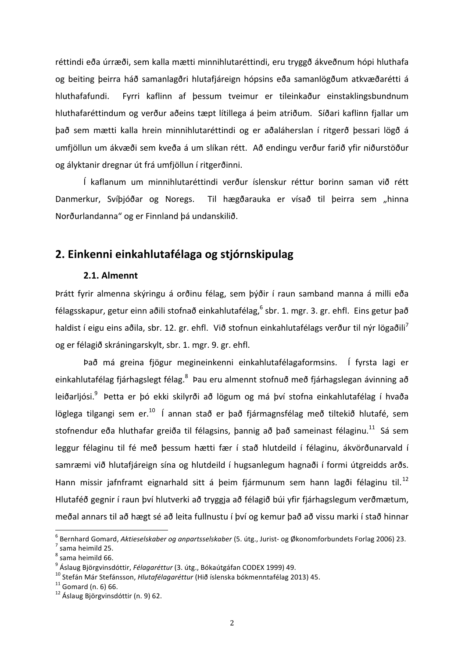réttindi eða úrræði, sem kalla mætti minnihlutaréttindi, eru tryggð ákveðnum hópi hluthafa og beiting þeirra háð samanlagðri hlutafjáreign hópsins eða samanlögðum atkvæðarétti á hluthafafundi. Fyrri kaflinn af þessum tveimur er tileinkaður einstaklingsbundnum hluthafaréttindum og verður aðeins tæpt lítillega á þeim atriðum. Síðari kaflinn fjallar um það sem mætti kalla hrein minnihlutaréttindi og er aðaláherslan í ritgerð þessari lögð á umfjöllun um ákvæði sem kveða á um slíkan rétt. Að endingu verður farið yfir niðurstöður og ályktanir dregnar út frá umfjöllun í ritgerðinni.

Í kaflanum um minnihlutaréttindi verður íslenskur réttur borinn saman við rétt Danmerkur, Svíþjóðar og Noregs. Til hægðarauka er vísað til þeirra sem "hinna Norðurlandanna" og er Finnland þá undanskilið.

# **2. Einkenni einkahlutafélaga og stjórnskipulag**

## **2.1. Almennt**

Þrátt fyrir almenna skýringu á orðinu félag, sem þýðir í raun samband manna á milli eða félagsskapur, getur einn aðili stofnað einkahlutafélag,  $6$  sbr. 1. mgr. 3. gr. ehfl. Eins getur það haldist í eigu eins aðila, sbr. 12. gr. ehfl. Við stofnun einkahlutafélags verður til nýr lögaðili<sup>/</sup> og er félagið skráningarskylt, sbr. 1. mgr. 9. gr. ehfl.

Það má greina fjögur megineinkenni einkahlutafélagaformsins. Í fyrsta lagi er einkahlutafélag fjárhagslegt félag.<sup>8</sup> Þau eru almennt stofnuð með fjárhagslegan ávinning að leiðarljósi.<sup>9</sup> Þetta er þó ekki skilyrði að lögum og má því stofna einkahlutafélag í hvaða löglega tilgangi sem er.<sup>10</sup> Í annan stað er það fjármagnsfélag með tiltekið hlutafé, sem stofnendur eða hluthafar greiða til félagsins, þannig að það sameinast félaginu.<sup>11</sup> Sá sem leggur félaginu til fé með þessum hætti fær í stað hlutdeild í félaginu, ákvörðunarvald í samræmi við hlutafjáreign sína og hlutdeild í hugsanlegum hagnaði í formi útgreidds arðs. Hann missir jafnframt eignarhald sitt á þeim fjármunum sem hann lagði félaginu til.<sup>12</sup> Hlutaféð gegnir í raun því hlutverki að tryggja að félagið búi yfir fjárhagslegum verðmætum, meðal annars til að hægt sé að leita fullnustu í bví og kemur bað að vissu marki í stað hinnar

<sup>&</sup>lt;sup>6</sup> Bernhard Gomard, *Aktieselskaber og anpartsselskaber* (5. útg., Jurist- og Økonomforbundets Forlag 2006) 23.<br><sup>7</sup> sama heimild 25.

 $8$  sama heimild 66.

<sup>&</sup>lt;sup>9</sup> Áslaug Björgvinsdóttir, *Félagaréttur* (3. útg., Bókaútgáfan CODEX 1999) 49.<br><sup>10</sup> Stefán Már Stefánsson, *Hlutafélagaréttur* (Hið íslenska bókmenntafélag 2013) 45.<br><sup>11</sup> Gomard (n. 6) 66.<br><sup>12</sup> Áslaug Biörgvinsdóttir (n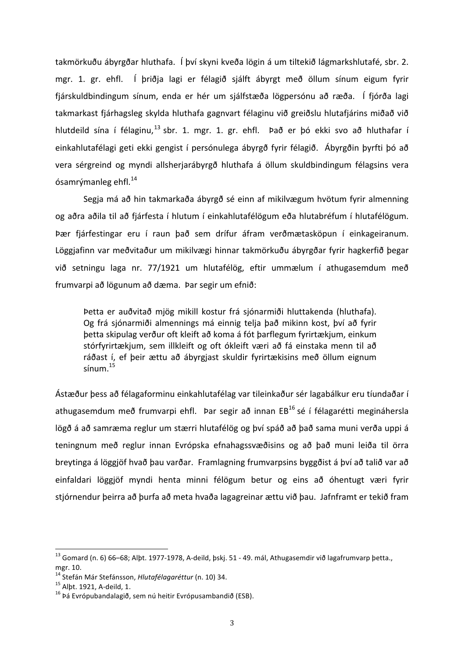takmörkuðu ábyrgðar hluthafa. Í því skyni kveða lögin á um tiltekið lágmarkshlutafé, sbr. 2. mgr. 1. gr. ehfl. Í þriðja lagi er félagið sjálft ábyrgt með öllum sínum eigum fyrir fjárskuldbindingum sínum, enda er hér um sjálfstæða lögpersónu að ræða. Í fjórða lagi takmarkast fjárhagsleg skylda hluthafa gagnvart félaginu við greiðslu hlutafjárins miðað við hlutdeild sína í félaginu,<sup>13</sup> sbr. 1. mgr. 1. gr. ehfl. Það er þó ekki svo að hluthafar í einkahlutafélagi geti ekki gengist í persónulega ábyrgð fyrir félagið. Ábyrgðin þyrfti þó að vera sérgreind og myndi allsherjarábyrgð hluthafa á öllum skuldbindingum félagsins vera ósamrýmanleg ehfl. $^{14}$ 

Segja má að hin takmarkaða ábyrgð sé einn af mikilvægum hvötum fyrir almenning og aðra aðila til að fjárfesta í hlutum í einkahlutafélögum eða hlutabréfum í hlutafélögum. Þær fjárfestingar eru í raun það sem drífur áfram verðmætasköpun í einkageiranum. Löggjafinn var meðvitaður um mikilvægi hinnar takmörkuðu ábyrgðar fyrir hagkerfið þegar við setningu laga nr. 77/1921 um hlutafélög, eftir ummælum í athugasemdum með frumvarpi að lögunum að dæma. Þar segir um efnið:

Þetta er auðvitað mjög mikill kostur frá sjónarmiði hluttakenda (hluthafa). Og frá sjónarmiði almennings má einnig telja það mikinn kost, því að fyrir þetta skipulag verður oft kleift að koma á fót þarflegum fyrirtækjum, einkum stórfyrirtækjum, sem illkleift og oft ókleift væri að fá einstaka menn til að ráðast í, ef þeir ættu að ábyrgjast skuldir fyrirtækisins með öllum eignum  $s$ ínum  $15$ 

Ástæður þess að félagaforminu einkahlutafélag var tileinkaður sér lagabálkur eru tíundaðar í athugasemdum með frumvarpi ehfl. Þar segir að innan  $EB^{16}$  sé í félagarétti megináhersla lögð á að samræma reglur um stærri hlutafélög og því spáð að það sama muni verða uppi á teningnum með reglur innan Evrópska efnahagssvæðisins og að það muni leiða til örra breytinga á löggjöf hvað þau varðar. Framlagning frumvarpsins byggðist á því að talið var að einfaldari löggjöf myndi henta minni félögum betur og eins að óhentugt væri fyrir stjórnendur þeirra að þurfa að meta hvaða lagagreinar ættu við þau. Jafnframt er tekið fram

 $^{13}$  Gomard (n. 6) 66–68; Alþt. 1977-1978, A-deild, þskj. 51 - 49. mál, Athugasemdir við lagafrumvarp þetta., mgr. 10.<br><sup>14</sup> Stefán Már Stefánsson, *Hlutafélagaréttur* (n. 10) 34.<br><sup>15</sup> Alþt. 1921, A-deild, 1.<br><sup>16</sup> Þá Evrópubandalagið, sem nú heitir Evrópusambandið (ESB).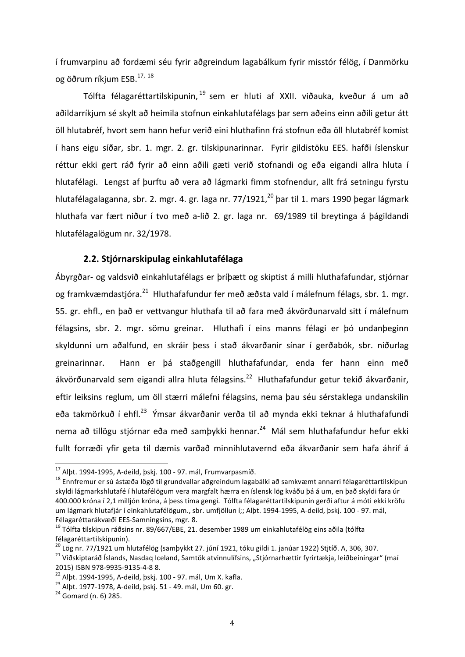í frumvarpinu að fordæmi séu fyrir aðgreindum lagabálkum fyrir misstór félög, í Danmörku og öðrum ríkjum ESB.<sup>17, 18</sup>

Tólfta félagaréttartilskipunin, <sup>19</sup> sem er hluti af XXII. viðauka, kveður á um að aðildarríkjum sé skylt að heimila stofnun einkahlutafélags þar sem aðeins einn aðili getur átt öll hlutabréf, hvort sem hann hefur verið eini hluthafinn frá stofnun eða öll hlutabréf komist í hans eigu síðar, sbr. 1. mgr. 2. gr. tilskipunarinnar. Fyrir gildistöku EES. hafði íslenskur réttur ekki gert ráð fyrir að einn aðili gæti verið stofnandi og eða eigandi allra hluta í hlutafélagi. Lengst af þurftu að vera að lágmarki fimm stofnendur, allt frá setningu fyrstu hlutafélagalaganna, sbr. 2. mgr. 4. gr. laga nr. 77/1921, $^{20}$  bar til 1. mars 1990 þegar lágmark hluthafa var fært niður í tvo með a-lið 2. gr. laga nr. 69/1989 til breytinga á þágildandi hlutafélagalögum nr. 32/1978.

## **2.2. Stjórnarskipulag einkahlutafélaga**

Ábyrgðar- og valdsvið einkahlutafélags er þríþætt og skiptist á milli hluthafafundar, stjórnar og framkvæmdastjóra.<sup>21</sup> Hluthafafundur fer með æðsta vald í málefnum félags, sbr. 1. mgr. 55. gr. ehfl., en það er vettvangur hluthafa til að fara með ákvörðunarvald sitt í málefnum félagsins, sbr. 2. mgr. sömu greinar. Hluthafi í eins manns félagi er þó undanþeginn skyldunni um aðalfund, en skráir þess í stað ákvarðanir sínar í gerðabók, sbr. niðurlag greinarinnar. Hann er þá staðgengill hluthafafundar, enda fer hann einn með ákvörðunarvald sem eigandi allra hluta félagsins.<sup>22</sup> Hluthafafundur getur tekið ákvarðanir, eftir leiksins reglum, um öll stærri málefni félagsins, nema þau séu sérstaklega undanskilin eða takmörkuð í ehfl.<sup>23</sup> Ýmsar ákvarðanir verða til að mynda ekki teknar á hluthafafundi nema að tillögu stjórnar eða með sambykki hennar.<sup>24</sup> Mál sem hluthafafundur hefur ekki fullt forræði yfir geta til dæmis varðað minnihlutavernd eða ákvarðanir sem hafa áhrif á

<sup>&</sup>lt;sup>17</sup> Alþt. 1994-1995, A-deild, þskj. 100 - 97. mál, Frumvarpasmíð.<br><sup>18</sup> Ennfremur er sú ástæða lögð til grundvallar aðgreindum lagabálki að samkvæmt annarri félagaréttartilskipun skyldi lágmarkshlutafé í hlutafélögum vera margfalt hærra en íslensk lög kváðu þá á um, en það skyldi fara úr 400.000 króna í 2.1 millión króna, á bess tíma gengi. Tólfta félagaréttartilskipunin gerði aftur á móti ekki kröfu um lágmark hlutafjár í einkahlutafélögum., sbr. umfjöllun í;; Alþt. 1994-1995, A-deild, þski. 100 - 97. mál, Félagaréttarákvæði EES-Samningsins, mgr. 8.<br><sup>19</sup> Tólfta tilskipun ráðsins nr. 89/667/EBE, 21. desember 1989 um einkahlutafélög eins aðila (tólfta

félagaréttartilskipunin).<br><sup>20</sup> Lög nr. 77/1921 um hlutafélög (samþykkt 27. júní 1921, tóku gildi 1. janúar 1922) Stjtíð. A, 306, 307.

<sup>&</sup>lt;sup>21</sup> Viðskiptaráð Íslands, Nasdaq Iceland, Samtök atvinnulífsins, "Stjórnarhættir fyrirtækja, leiðbeiningar" (maí 2015) ISBN 978-9935-9135-4-8 8.<br><sup>22</sup> Alþt. 1994-1995, A-deild, þskj. 100 - 97. mál, Um X. kafla.<br><sup>23</sup> Alþt. 1977-1978, A-deild, þskj. 51 - 49. mál, Um 60. gr. <sup>24</sup> Gomard (n. 6) 285.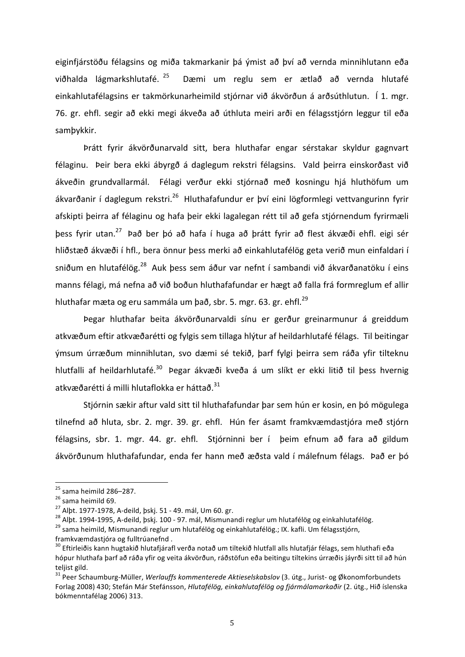eiginfjárstöðu félagsins og miða takmarkanir þá ýmist að því að vernda minnihlutann eða viðhalda lágmarkshlutafé. <sup>25</sup> Dæmi um reglu sem er ætlað að vernda hlutafé einkahlutafélagsins er takmörkunarheimild stjórnar við ákvörðun á arðsúthlutun. Í 1. mgr. 76. gr. ehfl. segir að ekki megi ákveða að úthluta meiri arði en félagsstjórn leggur til eða samþykkir. 

Þrátt fyrir ákvörðunarvald sitt, bera hluthafar engar sérstakar skyldur gagnvart félaginu. Þeir bera ekki ábyrgð á daglegum rekstri félagsins. Vald þeirra einskorðast við ákveðin grundvallarmál. Félagi verður ekki stjórnað með kosningu hjá hluthöfum um ákvarðanir í daglegum rekstri.<sup>26</sup> Hluthafafundur er því eini lögformlegi vettvangurinn fyrir afskipti þeirra af félaginu og hafa þeir ekki lagalegan rétt til að gefa stjórnendum fyrirmæli þess fyrir utan.<sup>27</sup> Það ber þó að hafa í huga að þrátt fyrir að flest ákvæði ehfl. eigi sér hliðstæð ákvæði í hfl., bera önnur þess merki að einkahlutafélög geta verið mun einfaldari í sniðum en hlutafélög.<sup>28</sup> Auk bess sem áður var nefnt í sambandi við ákvarðanatöku í eins manns félagi, má nefna að við boðun hluthafafundar er hægt að falla frá formreglum ef allir hluthafar mæta og eru sammála um það, sbr. 5. mgr. 63. gr. ehfl. $^{29}$ 

Þegar hluthafar beita ákvörðunarvaldi sínu er gerður greinarmunur á greiddum atkvæðum eftir atkvæðarétti og fylgis sem tillaga hlýtur af heildarhlutafé félags. Til beitingar ýmsum úrræðum minnihlutan, svo dæmi sé tekið, þarf fylgi þeirra sem ráða yfir tilteknu hlutfalli af heildarhlutafé.<sup>30</sup> Þegar ákvæði kveða á um slíkt er ekki litið til þess hvernig atkvæðarétti á milli hlutaflokka er háttað.<sup>31</sup>

Stjórnin sækir aftur vald sitt til hluthafafundar þar sem hún er kosin, en þó mögulega tilnefnd að hluta, sbr. 2. mgr. 39. gr. ehfl. Hún fer ásamt framkvæmdastjóra með stjórn félagsins, sbr. 1. mgr. 44. gr. ehfl. Stjórninni ber í þeim efnum að fara að gildum ákvörðunum hluthafafundar, enda fer hann með æðsta vald í málefnum félags. Það er þó

<sup>&</sup>lt;sup>25</sup> sama heimild 286–287.<br><sup>26</sup> sama heimild 69.<br><sup>27</sup> Alþt. 1977-1978, A-deild, þskj. 51 - 49. mál, Um 60. gr.<br><sup>27</sup> Alþt. 1994-1995, A-deild, þskj. 100 - 97. mál, Mismunandi reglur um hlutafélög og einkahlutafélög.<br><sup>29</sup> s framkvæmdastjóra og fulltrúanefnd.

 $30$  Eftirleiðis kann hugtakið hlutafjárafl verða notað um tiltekið hlutfall alls hlutafjár félags, sem hluthafi eða hópur hluthafa þarf að ráða yfir og veita ákvörðun, ráðstöfun eða beitingu tiltekins úrræðis jáyrði sitt til að hún teliist gild.

<sup>&</sup>lt;sup>31</sup> Peer Schaumburg-Müller, *Werlauffs kommenterede Aktieselskabslov* (3. útg., Jurist- og Økonomforbundets Forlag 2008) 430; Stefán Már Stefánsson, *Hlutafélög, einkahlutafélög og fjármálamarkaðir* (2. útg., Hið íslenska bókmenntafélag 2006) 313.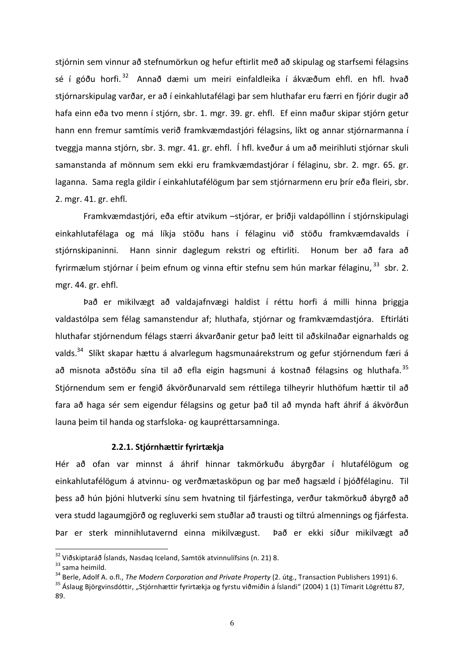stjórnin sem vinnur að stefnumörkun og hefur eftirlit með að skipulag og starfsemi félagsins sé í góðu horfi.<sup>32</sup> Annað dæmi um meiri einfaldleika í ákvæðum ehfl. en hfl. hvað stjórnarskipulag varðar, er að í einkahlutafélagi þar sem hluthafar eru færri en fjórir dugir að hafa einn eða tvo menn í stjórn, sbr. 1. mgr. 39. gr. ehfl. Ef einn maður skipar stjórn getur hann enn fremur samtímis verið framkvæmdastjóri félagsins, líkt og annar stjórnarmanna í tveggja manna stjórn, sbr. 3. mgr. 41. gr. ehfl. Í hfl. kveður á um að meirihluti stjórnar skuli samanstanda af mönnum sem ekki eru framkvæmdastjórar í félaginu, sbr. 2. mgr. 65. gr. laganna. Sama regla gildir í einkahlutafélögum þar sem stjórnarmenn eru þrír eða fleiri, sbr. 2. mgr. 41. gr. ehfl.

Framkvæmdastjóri, eða eftir atvikum -stjórar, er þriðji valdapóllinn í stjórnskipulagi einkahlutafélaga og má líkja stöðu hans í félaginu við stöðu framkvæmdavalds í stjórnskipaninni. Hann sinnir daglegum rekstri og eftirliti. Honum ber að fara að fyrirmælum stjórnar í þeim efnum og vinna eftir stefnu sem hún markar félaginu, <sup>33</sup> sbr. 2. mgr. 44. gr. ehfl.

Það er mikilvægt að valdajafnvægi haldist í réttu horfi á milli hinna þriggja valdastólpa sem félag samanstendur af; hluthafa, stjórnar og framkvæmdastjóra. Eftirláti hluthafar stjórnendum félags stærri ákvarðanir getur það leitt til aðskilnaðar eignarhalds og valds.<sup>34</sup> Slíkt skapar hættu á alvarlegum hagsmunaárekstrum og gefur stjórnendum færi á að misnota aðstöðu sína til að efla eigin hagsmuni á kostnað félagsins og hluthafa.<sup>35</sup> Stjórnendum sem er fengið ákvörðunarvald sem réttilega tilheyrir hluthöfum hættir til að fara að haga sér sem eigendur félagsins og getur það til að mynda haft áhrif á ákvörðun launa þeim til handa og starfsloka- og kaupréttarsamninga.

#### **2.2.1. Stjórnhættir fyrirtækja**

Hér að ofan var minnst á áhrif hinnar takmörkuðu ábyrgðar í hlutafélögum og einkahlutafélögum á atvinnu- og verðmætasköpun og þar með hagsæld í þjóðfélaginu. Til þess að hún þjóni hlutverki sínu sem hvatning til fjárfestinga, verður takmörkuð ábyrgð að vera studd lagaumgjörð og regluverki sem stuðlar að trausti og tiltrú almennings og fjárfesta. Þar er sterk minnihlutavernd einna mikilvægust. Það er ekki síður mikilvægt að

<sup>&</sup>lt;sup>32</sup> Viðskiptaráð Íslands, Nasdaq Iceland, Samtök atvinnulífsins (n. 21) 8.<br><sup>33</sup> sama heimild.<br><sup>34</sup> Berle, Adolf A. o.fl., *The Modern Corporation and Private Property* (2. útg., Transaction Publishers 1991) 6.<br><sup>35</sup> Áslau 89.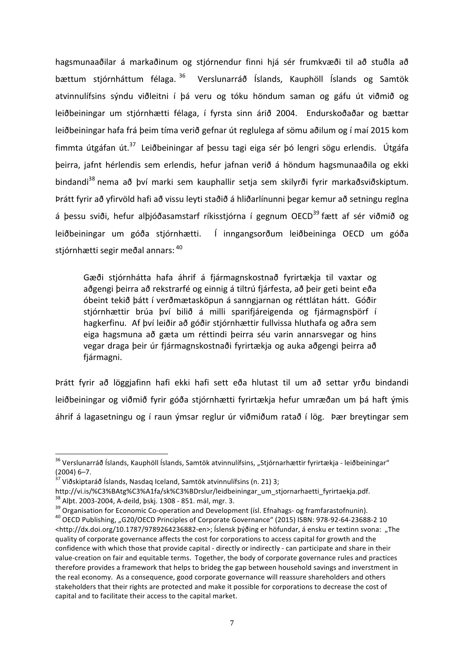hagsmunaaðilar á markaðinum og stjórnendur finni hjá sér frumkvæði til að stuðla að bættum stjórnháttum félaga. <sup>36</sup> Verslunarráð Íslands, Kauphöll Íslands og Samtök atvinnulífsins sýndu viðleitni í þá veru og tóku höndum saman og gáfu út viðmið og leiðbeiningar um stjórnhætti félaga, í fyrsta sinn árið 2004. Endurskoðaðar og bættar leiðbeiningar hafa frá þeim tíma verið gefnar út reglulega af sömu aðilum og í maí 2015 kom fimmta útgáfan út.<sup>37</sup> Leiðbeiningar af þessu tagi eiga sér þó lengri sögu erlendis. Útgáfa þeirra, jafnt hérlendis sem erlendis, hefur jafnan verið á höndum hagsmunaaðila og ekki bindandi<sup>38</sup> nema að bví marki sem kauphallir setja sem skilyrði fyrir markaðsviðskiptum. Þrátt fyrir að yfirvöld hafi að vissu leyti staðið á hliðarlínunni þegar kemur að setningu reglna á bessu sviði, hefur alþjóðasamstarf ríkisstjórna í gegnum OECD<sup>39</sup> fætt af sér viðmið og leiðbeiningar um góða stjórnhætti. Í inngangsorðum leiðbeininga OECD um góða stiórnhætti segir meðal annars: 40

Gæði stjórnhátta hafa áhrif á fjármagnskostnað fyrirtækja til vaxtar og aðgengi þeirra að rekstrarfé og einnig á tiltrú fjárfesta, að þeir geti beint eða óbeint tekið þátt í verðmætasköpun á sanngjarnan og réttlátan hátt. Góðir stjórnhættir brúa því bilið á milli sparifjáreigenda og fjármagnsþörf í hagkerfinu. Af því leiðir að góðir stjórnhættir fullvissa hluthafa og aðra sem eiga hagsmuna að gæta um réttindi þeirra séu varin annarsvegar og hins vegar draga þeir úr fjármagnskostnaði fyrirtækja og auka aðgengi þeirra að fjármagni.

Þrátt fyrir að löggjafinn hafi ekki hafi sett eða hlutast til um að settar yrðu bindandi leiðbeiningar og viðmið fyrir góða stjórnhætti fyrirtækja hefur umræðan um þá haft ýmis áhrif á lagasetningu og í raun ýmsar reglur úr viðmiðum ratað í lög. Þær breytingar sem

<sup>&</sup>lt;sup>36</sup> Verslunarráð Íslands, Kauphöll Íslands, Samtök atvinnulífsins, "Stjórnarhættir fyrirtækja - leiðbeiningar" (2004) 6–7.<br> $37$  Viðskiptaráð Íslands, Nasdaq Iceland, Samtök atvinnulífsins (n. 21) 3;

http://vi.is/%C3%BAtg%C3%A1fa/sk%C3%BDrslur/leidbeiningar\_um\_stjornarhaetti\_fyrirtaekja.pdf.

<sup>&</sup>lt;sup>38</sup> Alpt. 2003-2004, A-deild, pskj. 1308 - 851. mál, mgr. 3.<br><sup>39</sup> Organisation for Economic Co-operation and Development (ísl. Efnahags- og framfarastofnunin).<br><sup>40</sup> OECD Publishing, "G20/OECD Principles of Corporate Gove <http://dx.doi.org/10.1787/9789264236882-en>; Íslensk þýðing er höfundar, á ensku er textinn svona: "The quality of corporate governance affects the cost for corporations to access capital for growth and the confidence with which those that provide capital - directly or indirectly - can participate and share in their value-creation on fair and equitable terms. Together, the body of corporate governance rules and practices therefore provides a framework that helps to brideg the gap between household savings and inverstment in the real economy. As a consequence, good corporate governance will reassure shareholders and others stakeholders that their rights are protected and make it possible for corporations to decrease the cost of capital and to facilitate their access to the capital market.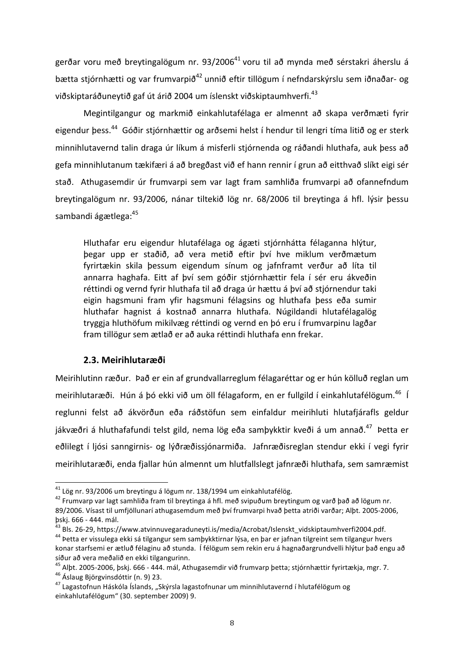gerðar voru með breytingalögum nr. 93/2006<sup>41</sup> voru til að mynda með sérstakri áherslu á bætta stjórnhætti og var frumvarpið<sup>42</sup> unnið eftir tillögum í nefndarskýrslu sem iðnaðar- og viðskiptaráðuneytið gaf út árið 2004 um íslenskt viðskiptaumhverfi.<sup>43</sup>

Megintilgangur og markmið einkahlutafélaga er almennt að skapa verðmæti fyrir eigendur bess.<sup>44</sup> Góðir stjórnhættir og arðsemi helst í hendur til lengri tíma litið og er sterk minnihlutavernd talin draga úr líkum á misferli stjórnenda og ráðandi hluthafa, auk þess að gefa minnihlutanum tækifæri á að bregðast við ef hann rennir í grun að eitthvað slíkt eigi sér stað. Athugasemdir úr frumvarpi sem var lagt fram samhliða frumvarpi að ofannefndum breytingalögum nr. 93/2006, nánar tiltekið lög nr. 68/2006 til breytinga á hfl. lýsir þessu sambandi ágætlega:<sup>45</sup>

Hluthafar eru eigendur hlutafélaga og ágæti stjórnhátta félaganna hlýtur, þegar upp er staðið, að vera metið eftir því hve miklum verðmætum fyrirtækin skila þessum eigendum sínum og jafnframt verður að líta til annarra haghafa. Eitt af því sem góðir stjórnhættir fela í sér eru ákveðin réttindi og vernd fyrir hluthafa til að draga úr hættu á því að stjórnendur taki eigin hagsmuni fram yfir hagsmuni félagsins og hluthafa þess eða sumir hluthafar hagnist á kostnað annarra hluthafa. Núgildandi hlutafélagalög tryggja hluthöfum mikilvæg réttindi og vernd en þó eru í frumvarpinu lagðar fram tillögur sem ætlað er að auka réttindi hluthafa enn frekar.

# **2.3. Meirihlutaræði**

Meirihlutinn ræður. Það er ein af grundvallarreglum félagaréttar og er hún kölluð reglan um meirihlutaræði. Hún á þó ekki við um öll félagaform, en er fullgild í einkahlutafélögum.<sup>46</sup> Í reglunni felst að ákvörðun eða ráðstöfun sem einfaldur meirihluti hlutafjárafls geldur jákvæðri á hluthafafundi telst gild, nema lög eða samþykktir kveði á um annað.<sup>47</sup> Þetta er eðlilegt í ljósi sanngirnis- og lýðræðissjónarmiða. Jafnræðisreglan stendur ekki í vegi fyrir meirihlutaræði, enda fjallar hún almennt um hlutfallslegt jafnræði hluthafa, sem samræmist

<sup>&</sup>lt;sup>41</sup> Lög nr. 93/2006 um breytingu á lögum nr. 138/1994 um einkahlutafélög.<br><sup>42</sup> Frumvarp var lagt samhliða fram til breytinga á hfl. með svipuðum breytingum og varð það að lögum nr. 89/2006. Vísast til umfjöllunarí athugasemdum með því frumvarpi hvað þetta atriði varðar; Alþt. 2005-2006, þskj. 666 - 444. mál.<br><sup>43</sup> Bls. 26-29, https://www.atvinnuvegaraduneyti.is/media/Acrobat/Islenskt\_vidskiptaumhverfi2004.pdf.<br><sup>44</sup> Þetta er vissulega ekki sá tilgangur sem samþykktirnar lýsa, en þar er jafnan tilgreint sem

konar starfsemi er ætluð félaginu að stunda. Í félögum sem rekin eru á hagnaðargrundvelli hlýtur það engu að síður að vera meðalið en ekki tilgangurinn.

<sup>&</sup>lt;sup>45</sup> Alþt. 2005-2006, þskj. 666 - 444. mál, Athugasemdir við frumvarp þetta; stjórnhættir fyrirtækja, mgr. 7.<br><sup>46</sup> Áslaug Björgvinsdóttir (n. 9) 23.<br><sup>47</sup> Lagastofnun Háskóla Íslands, "Skýrsla lagastofnunar um minnihlutaver

einkahlutafélögum" (30. september 2009) 9.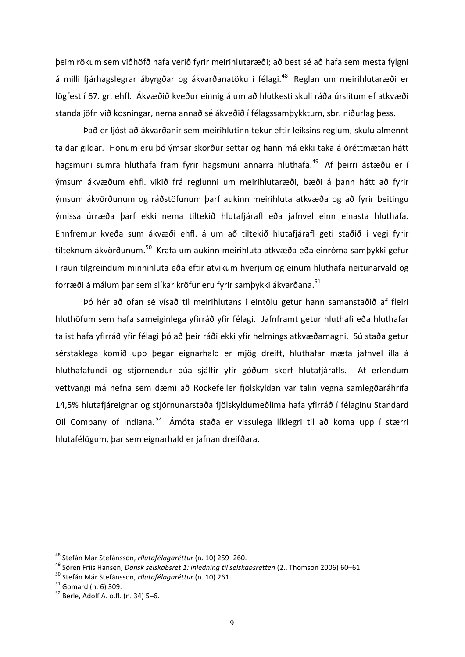þeim rökum sem viðhöfð hafa verið fyrir meirihlutaræði; að best sé að hafa sem mesta fylgni á milli fjárhagslegrar ábyrgðar og ákvarðanatöku í félagi.<sup>48</sup> Reglan um meirihlutaræði er lögfest í 67. gr. ehfl. Ákvæðið kveður einnig á um að hlutkesti skuli ráða úrslitum ef atkvæði standa jöfn við kosningar, nema annað sé ákveðið í félagssamþykktum, sbr. niðurlag þess.

Það er ljóst að ákvarðanir sem meirihlutinn tekur eftir leiksins reglum, skulu almennt taldar gildar. Honum eru þó ýmsar skorður settar og hann má ekki taka á óréttmætan hátt hagsmuni sumra hluthafa fram fyrir hagsmuni annarra hluthafa.<sup>49</sup> Af þeirri ástæðu er í ýmsum ákvæðum ehfl. vikið frá reglunni um meirihlutaræði, bæði á þann hátt að fyrir ýmsum ákvörðunum og ráðstöfunum þarf aukinn meirihluta atkvæða og að fyrir beitingu ýmissa úrræða þarf ekki nema tiltekið hlutafjárafl eða jafnvel einn einasta hluthafa. Ennfremur kveða sum ákvæði ehfl. á um að tiltekið hlutafjárafl geti staðið í vegi fyrir tilteknum ákvörðunum.<sup>50</sup> Krafa um aukinn meirihluta atkvæða eða einróma samþykki gefur í raun tilgreindum minnihluta eða eftir atvikum hverjum og einum hluthafa neitunarvald og forræði á málum þar sem slíkar kröfur eru fyrir samþykki ákvarðana.<sup>51</sup>

Þó hér að ofan sé vísað til meirihlutans í eintölu getur hann samanstaðið af fleiri hluthöfum sem hafa sameiginlega yfirráð yfir félagi. Jafnframt getur hluthafi eða hluthafar talist hafa yfirráð yfir félagi þó að þeir ráði ekki yfir helmings atkvæðamagni. Sú staða getur sérstaklega komið upp þegar eignarhald er mjög dreift, hluthafar mæta jafnvel illa á hluthafafundi og stjórnendur búa sjálfir yfir góðum skerf hlutafjárafls. Af erlendum vettvangi má nefna sem dæmi að Rockefeller fjölskyldan var talin vegna samlegðaráhrifa 14,5% hlutafjáreignar og stjórnunarstaða fjölskyldumeðlima hafa yfirráð í félaginu Standard Oil Company of Indiana.<sup>52</sup> Ámóta staða er vissulega líklegri til að koma upp í stærri hlutafélögum, þar sem eignarhald er jafnan dreifðara.

<sup>&</sup>lt;sup>48</sup> Stefán Már Stefánsson, *Hlutafélagaréttur* (n. 10) 259–260.<br><sup>49</sup> Søren Friis Hansen, *Dansk selskabsret 1: inledning til selskabsretten* (2., Thomson 2006) 60–61.<br><sup>50</sup> Stefán Már Stefánsson, *Hlutafélagaréttur* (n. 1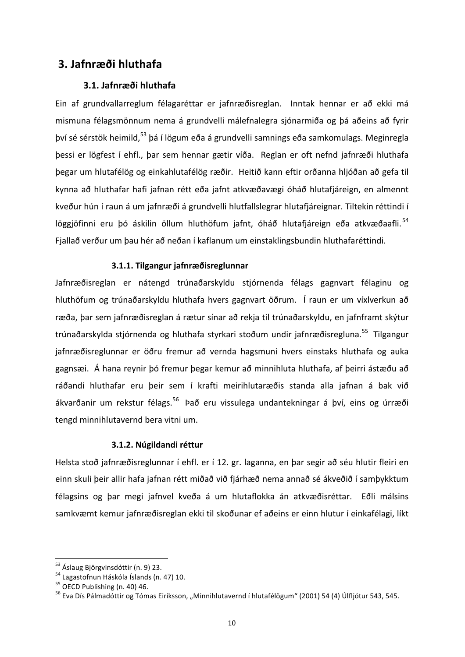# **3. Jafnræði hluthafa**

# **3.1. Jafnræði hluthafa**

Ein af grundvallarreglum félagaréttar er jafnræðisreglan. Inntak hennar er að ekki má mismuna félagsmönnum nema á grundvelli málefnalegra sjónarmiða og þá aðeins að fyrir bví sé sérstök heimild,<sup>53</sup> þá í lögum eða á grundvelli samnings eða samkomulags. Meginregla þessi er lögfest í ehfl., þar sem hennar gætir víða. Reglan er oft nefnd jafnræði hluthafa begar um hlutafélög og einkahlutafélög ræðir. Heitið kann eftir orðanna hljóðan að gefa til kynna að hluthafar hafi jafnan rétt eða jafnt atkvæðavægi óháð hlutafjáreign, en almennt kveður hún í raun á um jafnræði á grundvelli hlutfallslegrar hlutafjáreignar. Tiltekin réttindi í löggjöfinni eru þó áskilin öllum hluthöfum jafnt, óháð hlutafjáreign eða atkvæðaafli.<sup>54</sup> Fjallað verður um þau hér að neðan í kaflanum um einstaklingsbundin hluthafaréttindi.

# **3.1.1. Tilgangur jafnræðisreglunnar**

Jafnræðisreglan er nátengd trúnaðarskyldu stjórnenda félags gagnvart félaginu og hluthöfum og trúnaðarskyldu hluthafa hvers gagnvart öðrum. Í raun er um víxlverkun að ræða, þar sem jafnræðisreglan á rætur sínar að rekja til trúnaðarskyldu, en jafnframt skýtur trúnaðarskylda stjórnenda og hluthafa styrkari stoðum undir jafnræðisregluna.<sup>55</sup> Tilgangur jafnræðisreglunnar er öðru fremur að vernda hagsmuni hvers einstaks hluthafa og auka gagnsæi. Á hana reynir þó fremur þegar kemur að minnihluta hluthafa, af þeirri ástæðu að ráðandi hluthafar eru þeir sem í krafti meirihlutaræðis standa alla jafnan á bak við ákvarðanir um rekstur félags.<sup>56</sup> Það eru vissulega undantekningar á því, eins og úrræði tengd minnihlutavernd bera vitni um.

# **3.1.2. Núgildandi réttur**

Helsta stoð jafnræðisreglunnar í ehfl. er í 12. gr. laganna, en þar segir að séu hlutir fleiri en einn skuli þeir allir hafa jafnan rétt miðað við fjárhæð nema annað sé ákveðið í samþykktum félagsins og þar megi jafnvel kveða á um hlutaflokka án atkvæðisréttar. Eðli málsins samkvæmt kemur jafnræðisreglan ekki til skoðunar ef aðeins er einn hlutur í einkafélagi, líkt

<sup>&</sup>lt;sup>53</sup> Áslaug Björgvinsdóttir (n. 9) 23.<br><sup>54</sup> Lagastofnun Háskóla Íslands (n. 47) 10.<br><sup>55</sup> OECD Publishing (n. 40) 46.<br><sup>56</sup> Eva Dís Pálmadóttir og Tómas Eiríksson, "Minnihlutavernd í hlutafélögum" (2001) 54 (4) Úlfljótur 54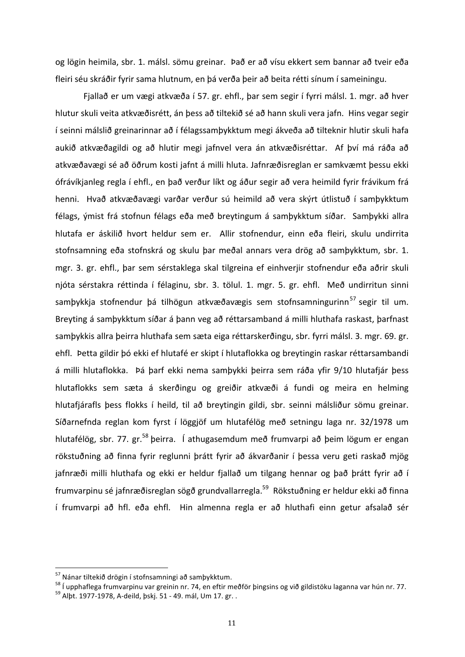og lögin heimila, sbr. 1. málsl. sömu greinar. Það er að vísu ekkert sem bannar að tveir eða fleiri séu skráðir fyrir sama hlutnum, en þá verða þeir að beita rétti sínum í sameiningu.

Fjallað er um vægi atkvæða í 57. gr. ehfl., þar sem segir í fyrri málsl. 1. mgr. að hver hlutur skuli veita atkvæðisrétt, án þess að tiltekið sé að hann skuli vera jafn. Hins vegar segir í seinni málslið greinarinnar að í félagssamþykktum megi ákveða að tilteknir hlutir skuli hafa aukið atkvæðagildi og að hlutir megi jafnvel vera án atkvæðisréttar. Af því má ráða að atkvæðavægi sé að öðrum kosti jafnt á milli hluta. Jafnræðisreglan er samkvæmt þessu ekki ófrávíkjanleg regla í ehfl., en það verður líkt og áður segir að vera heimild fyrir frávikum frá henni. Hvað atkvæðavægi varðar verður sú heimild að vera skýrt útlistuð í samþykktum félags, ýmist frá stofnun félags eða með breytingum á samþykktum síðar. Samþykki allra hlutafa er áskilið hvort heldur sem er. Allir stofnendur, einn eða fleiri, skulu undirrita stofnsamning eða stofnskrá og skulu þar meðal annars vera drög að samþykktum, sbr. 1. mgr. 3. gr. ehfl., þar sem sérstaklega skal tilgreina ef einhverjir stofnendur eða aðrir skuli njóta sérstakra réttinda í félaginu, sbr. 3. tölul. 1. mgr. 5. gr. ehfl. Með undirritun sinni samþykkja stofnendur þá tilhögun atkvæðavægis sem stofnsamningurinn<sup>57</sup> segir til um. Breyting á samþykktum síðar á þann veg að réttarsamband á milli hluthafa raskast, þarfnast samþykkis allra þeirra hluthafa sem sæta eiga réttarskerðingu, sbr. fyrri málsl. 3. mgr. 69. gr. ehfl. Þetta gildir þó ekki ef hlutafé er skipt í hlutaflokka og breytingin raskar réttarsambandi á milli hlutaflokka. Þá þarf ekki nema samþykki þeirra sem ráða yfir 9/10 hlutafjár þess hlutaflokks sem sæta á skerðingu og greiðir atkvæði á fundi og meira en helming hlutafjárafls þess flokks í heild, til að breytingin gildi, sbr. seinni málsliður sömu greinar. Síðarnefnda reglan kom fyrst í löggjöf um hlutafélög með setningu laga nr. 32/1978 um hlutafélög, sbr. 77. gr.<sup>58</sup> þeirra. Í athugasemdum með frumvarpi að þeim lögum er engan rökstuðning að finna fyrir reglunni þrátt fyrir að ákvarðanir í þessa veru geti raskað mjög jafnræði milli hluthafa og ekki er heldur fjallað um tilgang hennar og það þrátt fyrir að í frumvarpinu sé jafnræðisreglan sögð grundvallarregla.<sup>59</sup> Rökstuðning er heldur ekki að finna í frumvarpi að hfl. eða ehfl. Hin almenna regla er að hluthafi einn getur afsalað sér

<sup>&</sup>lt;sup>57</sup> Nánar tiltekið drögin í stofnsamningi að samþykktum.<br><sup>58</sup> Í upphaflega frumvarpinu var greinin nr. 74, en eftir meðför þingsins og við gildistöku laganna var hún nr. 77.<br><sup>59</sup> Albt. 1977-1978. A-deild. bski. 51 - 49. m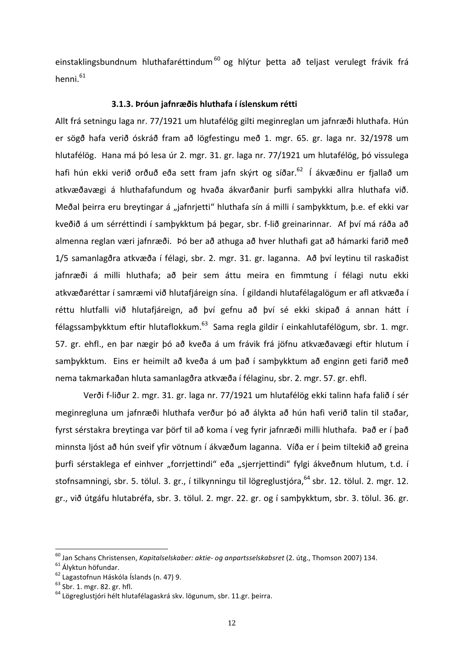einstaklingsbundnum hluthafaréttindum<sup>60</sup> og hlýtur þetta að teljast verulegt frávik frá henni.<sup>61</sup>

#### 3.1.3. Þróun jafnræðis hluthafa í íslenskum rétti

Allt frá setningu laga nr. 77/1921 um hlutafélög gilti meginreglan um jafnræði hluthafa. Hún er sögð hafa verið óskráð fram að lögfestingu með 1. mgr. 65. gr. laga nr. 32/1978 um hlutafélög. Hana má þó lesa úr 2. mgr. 31. gr. laga nr. 77/1921 um hlutafélög, þó vissulega hafi hún ekki verið orðuð eða sett fram jafn skýrt og síðar.<sup>62</sup> Í ákvæðinu er fjallað um atkvæðavægi á hluthafafundum og hvaða ákvarðanir þurfi samþykki allra hluthafa við. Meðal þeirra eru breytingar á "jafnrjetti" hluthafa sín á milli í samþykktum, þ.e. ef ekki var kveðið á um sérréttindi í samþykktum þá þegar, sbr. f-lið greinarinnar. Af því má ráða að almenna reglan væri jafnræði. Þó ber að athuga að hver hluthafi gat að hámarki farið með 1/5 samanlagðra atkvæða í félagi, sbr. 2. mgr. 31. gr. laganna. Að því leytinu til raskaðist jafnræði á milli hluthafa; að þeir sem áttu meira en fimmtung í félagi nutu ekki atkvæðaréttar í samræmi við hlutafjáreign sína. Í gildandi hlutafélagalögum er afl atkvæða í réttu hlutfalli við hlutafjáreign, að því gefnu að því sé ekki skipað á annan hátt í félagssamþykktum eftir hlutaflokkum.<sup>63</sup> Sama regla gildir í einkahlutafélögum, sbr. 1. mgr. 57. gr. ehfl., en þar nægir þó að kveða á um frávik frá jöfnu atkvæðavægi eftir hlutum í samþykktum. Eins er heimilt að kveða á um það í samþykktum að enginn geti farið með nema takmarkaðan hluta samanlagðra atkvæða í félaginu, sbr. 2. mgr. 57. gr. ehfl.

Verði f-liður 2. mgr. 31. gr. laga nr. 77/1921 um hlutafélög ekki talinn hafa falið í sér meginregluna um jafnræði hluthafa verður þó að álykta að hún hafi verið talin til staðar, fyrst sérstakra breytinga var þörf til að koma í veg fyrir jafnræði milli hluthafa. Það er í það minnsta ljóst að hún sveif yfir vötnum í ákvæðum laganna. Víða er í þeim tiltekið að greina þurfi sérstaklega ef einhver "forrjettindi" eða "sjerrjettindi" fylgi ákveðnum hlutum, t.d. í stofnsamningi, sbr. 5. tölul. 3. gr., í tilkynningu til lögreglustjóra, <sup>64</sup> sbr. 12. tölul. 2. mgr. 12. gr., við útgáfu hlutabréfa, sbr. 3. tölul. 2. mgr. 22. gr. og í samþykktum, sbr. 3. tölul. 36. gr.

<sup>&</sup>lt;sup>60</sup> Jan Schans Christensen, *Kapitalselskaber: aktie- og anpartsselskabsret* (2. útg., Thomson 2007) 134.<br><sup>61</sup> Ályktun höfundar.<br><sup>62</sup> Lagastofnun Háskóla Íslands (n. 47) 9.<br><sup>63</sup> Sbr. 1. mgr. 82. gr. hfl.<br><sup>64</sup> Lögreglusti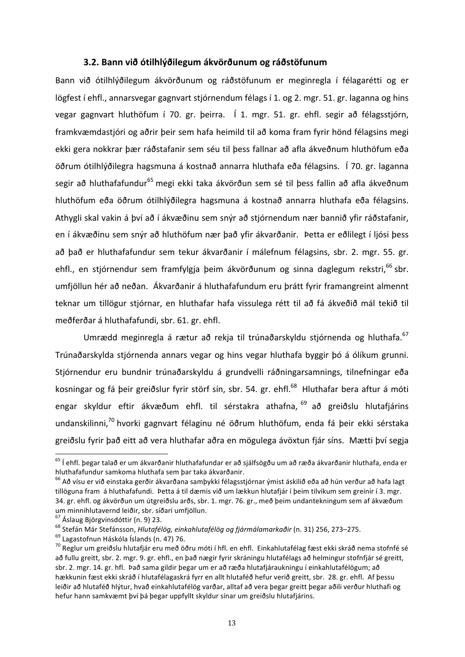## 3.2. Bann við ótilhlýðilegum ákvörðunum og ráðstöfunum

Bann við ótilhlýðilegum ákvörðunum og ráðstöfunum er meginregla í félagarétti og er lögfest í ehfl., annarsvegar gagnvart stjórnendum félags í 1. og 2. mgr. 51. gr. laganna og hins vegar gagnvart hluthöfum í 70. gr. þeirra. Í 1. mgr. 51. gr. ehfl. segir að félagsstjórn, framkvæmdastjóri og aðrir þeir sem hafa heimild til að koma fram fyrir hönd félagsins megi ekki gera nokkrar þær ráðstafanir sem séu til þess fallnar að afla ákveðnum hluthöfum eða öðrum ótilhlýðilegra hagsmuna á kostnað annarra hluthafa eða félagsins. Í 70. gr. laganna segir að hluthafafundur<sup>65</sup> megi ekki taka ákvörðun sem sé til þess fallin að afla ákveðnum hluthöfum eða öðrum ótilhlýðilegra hagsmuna á kostnað annarra hluthafa eða félagsins. Athygli skal vakin á því að í ákvæðinu sem snýr að stjórnendum nær bannið yfir ráðstafanir, en í ákvæðinu sem snýr að hluthöfum nær það yfir ákvarðanir. Þetta er eðlilegt í ljósi þess að bað er hluthafafundur sem tekur ákvarðanir í málefnum félagsins, sbr. 2. mgr. 55. gr. ehfl., en stjórnendur sem framfylgja beim ákvörðunum og sinna daglegum rekstri,<sup>66</sup> sbr. umfjöllun hér að neðan. Ákvarðanir á hluthafafundum eru þrátt fyrir framangreint almennt teknar um tillögur stjórnar, en hluthafar hafa vissulega rétt til að fá ákveðið mál tekið til meðferðar á hluthafafundi, sbr. 61. gr. ehfl.

Umrædd meginregla á rætur að rekia til trúnaðarskyldu stiórnenda og hluthafa.<sup>67</sup> Trúnaðarskylda stjórnenda annars vegar og hins vegar hluthafa byggir þó á ólíkum grunni. Stjórnendur eru bundnir trúnaðarskyldu á grundvelli ráðningarsamnings, tilnefningar eða kosningar og fá beir greiðslur fyrir störf sín, sbr. 54. gr. ehfl.<sup>68</sup> Hluthafar bera aftur á móti engar skyldur eftir ákvæðum ehfl. til sérstakra athafna, <sup>69</sup> að greiðslu hlutafjárins undanskilinni,<sup>70</sup> hvorki gagnvart félaginu né öðrum hluthöfum, enda fá þeir ekki sérstaka greiðslu fyrir það eitt að vera hluthafar aðra en mögulega ávöxtun fjár síns. Mætti því segja

 $65$  Í ehfl. begar talað er um ákvarðanir hluthafafundar er að sjálfsögðu um að ræða ákvarðanir hluthafa, enda er hluthafafundur samkoma hluthafa sem þar taka ákvarðanir.

 $^{66}$  Að vísu er við einstaka gerðir ákvarðana samþykki félagsstjórnar ýmist áskilið eða að hún verður að hafa lagt tillöguna fram á hluthafafundi. Þetta á til dæmis við um lækkun hlutafjár í þeim tilvikum sem greinir í 3. mgr. 34. gr. ehfl. og ákvörðun um útgreiðslu arðs, sbr. 1. mgr. 76. gr., með þeim undantekningum sem af ákvæðum um minnihlutavernd leiðir, sbr. síðari umfjöllun.<br><sup>67</sup> Áslaug Björgvinsdóttir (n. 9) 23.<br><sup>68</sup> Stefán Már Stefánsson, *Hlutafélög, einkahlutafélög og fjármálamarkaðir* (n. 31) 256, 273–275.<br><sup>69</sup> Lagastofnun Háskóla Íslands

að fullu greitt, sbr. 2. mgr. 9. gr. ehfl., en það nægir fyrir skráningu hlutafélags að helmingur stofnfjár sé greitt, sbr. 2. mgr. 14. gr. hfl. Það sama gildir þegar um er að ræða hlutafjáraukningu í einkahlutafélögum; að hækkunin fæst ekki skráð í hlutafélagaskrá fyrr en allt hlutaféð hefur verið greitt, sbr. 28. gr. ehfl. Af þessu leiðir að hlutaféð hlýtur, hvað einkahlutafélög varðar, alltaf að vera þegar greitt þegar aðili verður hluthafi og hefur hann samkvæmt því þá þegar uppfyllt skyldur sínar um greiðslu hlutafjárins.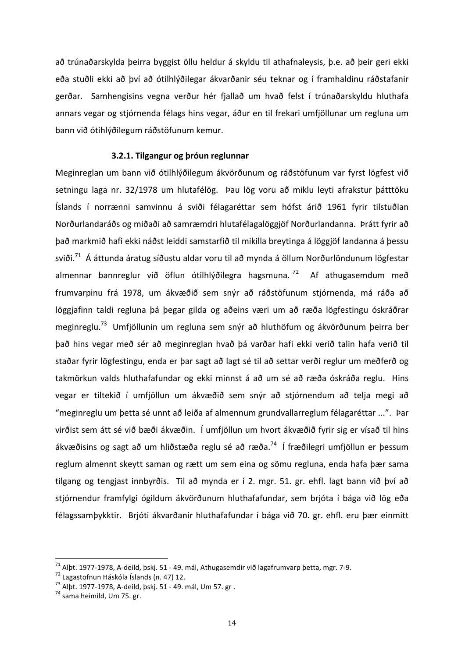að trúnaðarskylda þeirra byggist öllu heldur á skyldu til athafnaleysis, þ.e. að þeir geri ekki eða stuðli ekki að því að ótilhlýðilegar ákvarðanir séu teknar og í framhaldinu ráðstafanir gerðar. Samhengisins vegna verður hér fjallað um hvað felst í trúnaðarskyldu hluthafa annars vegar og stjórnenda félags hins vegar, áður en til frekari umfjöllunar um regluna um bann við ótihlýðilegum ráðstöfunum kemur.

#### **3.2.1. Tilgangur og þróun reglunnar**

Meginreglan um bann við ótilhlýðilegum ákvörðunum og ráðstöfunum var fyrst lögfest við setningu laga nr. 32/1978 um hlutafélög. Þau lög voru að miklu leyti afrakstur þátttöku Íslands í norrænni samvinnu á sviði félagaréttar sem hófst árið 1961 fyrir tilstuðlan Norðurlandaráðs og miðaði að samræmdri hlutafélagalöggjöf Norðurlandanna. Þrátt fyrir að það markmið hafi ekki náðst leiddi samstarfið til mikilla breytinga á löggjöf landanna á þessu sviði.<sup>71</sup> Á áttunda áratug síðustu aldar voru til að mynda á öllum Norðurlöndunum lögfestar almennar bannreglur við öflun ótilhlýðilegra hagsmuna.  $^{72}$  Af athugasemdum með frumvarpinu frá 1978, um ákvæðið sem snýr að ráðstöfunum stjórnenda, má ráða að löggjafinn taldi regluna þá þegar gilda og aðeins væri um að ræða lögfestingu óskráðrar meginreglu.<sup>73</sup> Umfjöllunin um regluna sem snýr að hluthöfum og ákvörðunum þeirra ber það hins vegar með sér að meginreglan hvað þá varðar hafi ekki verið talin hafa verið til staðar fyrir lögfestingu, enda er þar sagt að lagt sé til að settar verði reglur um meðferð og takmörkun valds hluthafafundar og ekki minnst á að um sé að ræða óskráða reglu. Hins vegar er tiltekið í umfjöllun um ákvæðið sem snýr að stjórnendum að telja megi að "meginreglu um þetta sé unnt að leiða af almennum grundvallarreglum félagaréttar ...". Þar virðist sem átt sé við bæði ákvæðin. Í umfjöllun um hvort ákvæðið fyrir sig er vísað til hins ákvæðisins og sagt að um hliðstæða reglu sé að ræða.<sup>74</sup> Í fræðilegri umfjöllun er þessum reglum almennt skeytt saman og rætt um sem eina og sömu regluna, enda hafa þær sama tilgang og tengjast innbyrðis. Til að mynda er í 2. mgr. 51. gr. ehfl. lagt bann við því að stjórnendur framfylgi ógildum ákvörðunum hluthafafundar, sem brjóta í bága við lög eða félagssamþykktir. Brjóti ákvarðanir hluthafafundar í bága við 70. gr. ehfl. eru þær einmitt

<sup>&</sup>lt;sup>71</sup> Alþt. 1977-1978, A-deild, þskj. 51 - 49. mál, Athugasemdir við lagafrumvarp þetta, mgr. 7-9.<br><sup>72</sup> Lagastofnun Háskóla Íslands (n. 47) 12.<br><sup>73</sup> Alþt. 1977-1978, A-deild, þskj. 51 - 49. mál, Um 57. gr .<br><sup>74</sup> sama heimi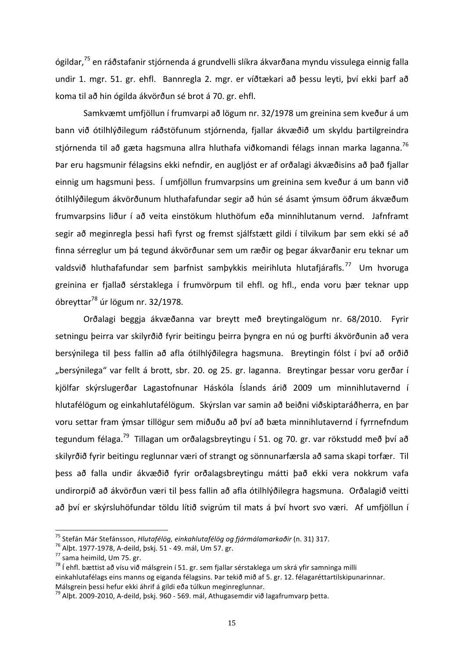ógildar,<sup>75</sup> en ráðstafanir stjórnenda á grundvelli slíkra ákvarðana myndu vissulega einnig falla undir 1. mgr. 51. gr. ehfl. Bannregla 2. mgr. er víðtækari að þessu leyti, því ekki þarf að koma til að hin ógilda ákvörðun sé brot á 70. gr. ehfl.

Samkvæmt umfjöllun í frumvarpi að lögum nr. 32/1978 um greinina sem kveður á um bann við ótilhlýðilegum ráðstöfunum stjórnenda, fjallar ákvæðið um skyldu þartilgreindra stjórnenda til að gæta hagsmuna allra hluthafa viðkomandi félags innan marka laganna.<sup>76</sup> Þar eru hagsmunir félagsins ekki nefndir, en augljóst er af orðalagi ákvæðisins að það fjallar einnig um hagsmuni þess. Í umfjöllun frumvarpsins um greinina sem kveður á um bann við ótilhlýðilegum ákvörðunum hluthafafundar segir að hún sé ásamt ýmsum öðrum ákvæðum frumvarpsins liður í að veita einstökum hluthöfum eða minnihlutanum vernd. Jafnframt segir að meginregla þessi hafi fyrst og fremst sjálfstætt gildi í tilvikum þar sem ekki sé að finna sérreglur um þá tegund ákvörðunar sem um ræðir og þegar ákvarðanir eru teknar um valdsvið hluthafafundar sem þarfnist samþykkis meirihluta hlutafjárafls.<sup>77</sup> Um hvoruga greinina er fjallað sérstaklega í frumvörpum til ehfl. og hfl., enda voru þær teknar upp óbreyttar $^{78}$  úr lögum nr. 32/1978.

Orðalagi beggja ákvæðanna var breytt með breytingalögum nr. 68/2010. Fyrir setningu þeirra var skilyrðið fyrir beitingu þeirra þyngra en nú og þurfti ákvörðunin að vera bersýnilega til þess fallin að afla ótilhlýðilegra hagsmuna. Breytingin fólst í því að orðið "bersýnilega" var fellt á brott, sbr. 20. og 25. gr. laganna. Breytingar þessar voru gerðar í kjölfar skýrslugerðar Lagastofnunar Háskóla Íslands árið 2009 um minnihlutavernd í hlutafélögum og einkahlutafélögum. Skýrslan var samin að beiðni viðskiptaráðherra, en þar voru settar fram ýmsar tillögur sem miðuðu að því að bæta minnihlutavernd í fyrrnefndum tegundum félaga.<sup>79</sup> Tillagan um orðalagsbreytingu í 51. og 70. gr. var rökstudd með því að skilyrðið fyrir beitingu reglunnar væri of strangt og sönnunarfærsla að sama skapi torfær. Til þess að falla undir ákvæðið fyrir orðalagsbreytingu mátti það ekki vera nokkrum vafa undirorpið að ákvörðun væri til bess fallin að afla ótilhlýðilegra hagsmuna. Orðalagið veitti að því er skýrsluhöfundar töldu lítið svigrúm til mats á því hvort svo væri. Af umfjöllun í

<sup>&</sup>lt;sup>75</sup> Stefán Már Stefánsson, *Hlutafélög, einkahlutafélög og fjármálamarkaðir* (n. 31) 317.<br><sup>76</sup> Alþt. 1977-1978, A-deild, þskj. 51 - 49. mál, Um 57. gr.<br><sup>77</sup> sama heimild, Um 75. gr.<br><sup>78</sup> í ehfl. bættist að vísu við málsg einkahlutafélags eins manns og eiganda félagsins. Þar tekið mið af 5. gr. 12. félagaréttartilskipunarinnar. Málsgrein þessi hefur ekki áhrif á gildi eða túlkun meginreglunnar.

 $^{79}$  Albt. 2009-2010, A-deild, þskj. 960 - 569. mál, Athugasemdir við lagafrumvarp þetta.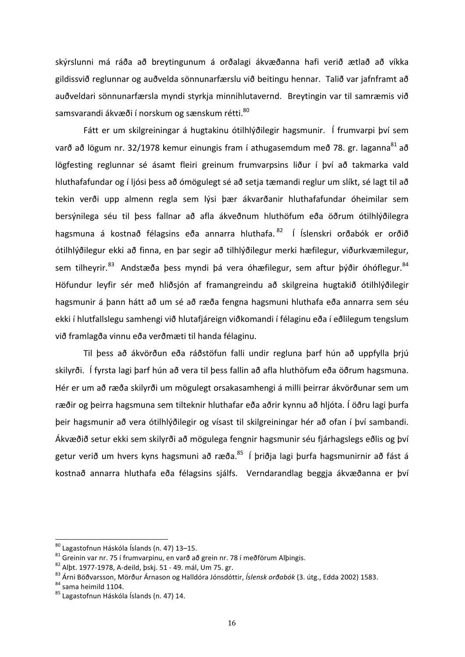skýrslunni má ráða að breytingunum á orðalagi ákvæðanna hafi verið ætlað að víkka gildissvið reglunnar og auðvelda sönnunarfærslu við beitingu hennar. Talið var jafnframt að auðveldari sönnunarfærsla myndi styrkja minnihlutavernd. Breytingin var til samræmis við samsvarandi ákvæði í norskum og sænskum rétti.<sup>80</sup>

Fátt er um skilgreiningar á hugtakinu ótilhlýðilegir hagsmunir. Í frumvarpi því sem varð að lögum nr. 32/1978 kemur einungis fram í athugasemdum með 78. gr. laganna<sup>81</sup> að lögfesting reglunnar sé ásamt fleiri greinum frumvarpsins liður í því að takmarka vald hluthafafundar og í ljósi þess að ómögulegt sé að setja tæmandi reglur um slíkt, sé lagt til að tekin verði upp almenn regla sem lýsi þær ákvarðanir hluthafafundar óheimilar sem bersýnilega séu til þess fallnar að afla ákveðnum hluthöfum eða öðrum ótilhlýðilegra hagsmuna á kostnað félagsins eða annarra hluthafa. <sup>82</sup> Í Íslenskri orðabók er orðið ótilhlýðilegur ekki að finna, en þar segir að tilhlýðilegur merki hæfilegur, viðurkvæmilegur, sem tilheyrir.<sup>83</sup> Andstæða þess myndi þá vera óhæfilegur, sem aftur þýðir óhóflegur.<sup>84</sup> Höfundur leyfir sér með hliðsjón af framangreindu að skilgreina hugtakið ótilhlýðilegir hagsmunir á þann hátt að um sé að ræða fengna hagsmuni hluthafa eða annarra sem séu ekki í hlutfallslegu samhengi við hlutafjáreign viðkomandi í félaginu eða í eðlilegum tengslum við framlagða vinnu eða verðmæti til handa félaginu.

Til þess að ákvörðun eða ráðstöfun falli undir regluna þarf hún að uppfylla þrjú skilyrði. Í fyrsta lagi þarf hún að vera til þess fallin að afla hluthöfum eða öðrum hagsmuna. Hér er um að ræða skilyrði um mögulegt orsakasamhengi á milli þeirrar ákvörðunar sem um ræðir og þeirra hagsmuna sem tilteknir hluthafar eða aðrir kynnu að hljóta. Í öðru lagi þurfa þeir hagsmunir að vera ótilhlýðilegir og vísast til skilgreiningar hér að ofan í því sambandi. Ákvæðið setur ekki sem skilyrði að mögulega fengnir hagsmunir séu fjárhagslegs eðlis og því getur verið um hvers kyns hagsmuni að ræða.<sup>85</sup> Í þriðja lagi þurfa hagsmunirnir að fást á kostnað annarra hluthafa eða félagsins sjálfs. Verndarandlag beggja ákvæðanna er því

<sup>&</sup>lt;sup>80</sup> Lagastofnun Háskóla Íslands (n. 47) 13–15.<br><sup>81</sup> Greinin var nr. 75 í frumvarpinu, en varð að grein nr. 78 í meðförum Alþingis.<br><sup>82</sup> Alþt. 1977-1978, A-deild, þskj. 51 - 49. mál, Um 75. gr.<br><sup>83</sup> Árni Böðvarsson, Mörðu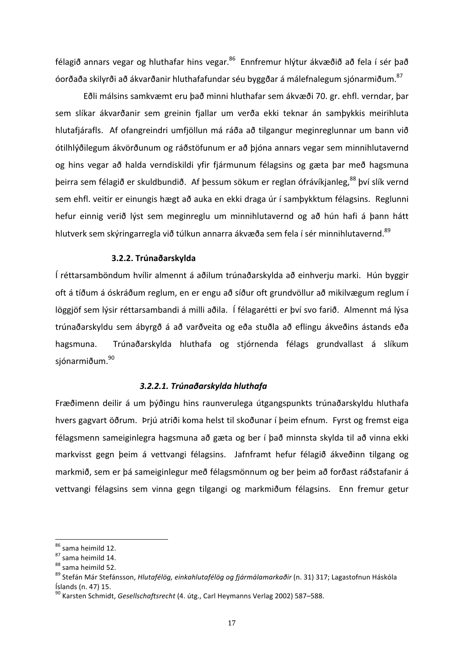félagið annars vegar og hluthafar hins vegar.<sup>86</sup> Ennfremur hlýtur ákvæðið að fela í sér það óorðaða skilyrði að ákvarðanir hluthafafundar séu byggðar á málefnalegum sjónarmiðum.<sup>87</sup>

Eðli málsins samkvæmt eru það minni hluthafar sem ákvæði 70. gr. ehfl. verndar, þar sem slíkar ákvarðanir sem greinin fjallar um verða ekki teknar án samþykkis meirihluta hlutafjárafls. Af ofangreindri umfjöllun má ráða að tilgangur meginreglunnar um bann við ótilhlýðilegum ákvörðunum og ráðstöfunum er að þjóna annars vegar sem minnihlutavernd og hins vegar að halda verndiskildi yfir fjármunum félagsins og gæta þar með hagsmuna þeirra sem félagið er skuldbundið. Af þessum sökum er reglan ófrávíkjanleg,<sup>88</sup> því slík vernd sem ehfl. veitir er einungis hægt að auka en ekki draga úr í samþykktum félagsins. Reglunni hefur einnig verið lýst sem meginreglu um minnihlutavernd og að hún hafi á þann hátt hlutverk sem skýringarregla við túlkun annarra ákvæða sem fela í sér minnihlutavernd.<sup>89</sup>

#### **3.2.2. Trúnaðarskylda**

Í réttarsamböndum hvílir almennt á aðilum trúnaðarskylda að einhverju marki. Hún byggir oft á tíðum á óskráðum reglum, en er engu að síður oft grundvöllur að mikilvægum reglum í löggjöf sem lýsir réttarsambandi á milli aðila. Í félagarétti er því svo farið. Almennt má lýsa trúnaðarskyldu sem ábyrgð á að varðveita og eða stuðla að eflingu ákveðins ástands eða hagsmuna. Trúnaðarskylda hluthafa og stjórnenda félags grundvallast á slíkum sjónarmiðum.<sup>90</sup>

#### *3.2.2.1. Trúnaðarskylda hluthafa*

Fræðimenn deilir á um þýðingu hins raunverulega útgangspunkts trúnaðarskyldu hluthafa hvers gagvart öðrum. Þrjú atriði koma helst til skoðunar í þeim efnum. Fyrst og fremst eiga félagsmenn sameiginlegra hagsmuna að gæta og ber í það minnsta skylda til að vinna ekki markvisst gegn þeim á vettvangi félagsins. Jafnframt hefur félagið ákveðinn tilgang og markmið, sem er þá sameiginlegur með félagsmönnum og ber þeim að forðast ráðstafanir á vettvangi félagsins sem vinna gegn tilgangi og markmiðum félagsins. Enn fremur getur

<sup>&</sup>lt;sup>86</sup> sama heimild 12.<br><sup>87</sup> sama heimild 14.<br><sup>88</sup> sama heimild 52.<br><sup>89</sup> Stefán Már Stefánsson, *Hlutafélög, einkahlutafélög og fjármálamarkaðir* (n. 31) 317; Lagastofnun Háskóla Íslands (n. 47) 15.

<sup>&</sup>lt;sup>90</sup> Karsten Schmidt, *Gesellschaftsrecht* (4. útg., Carl Heymanns Verlag 2002) 587–588.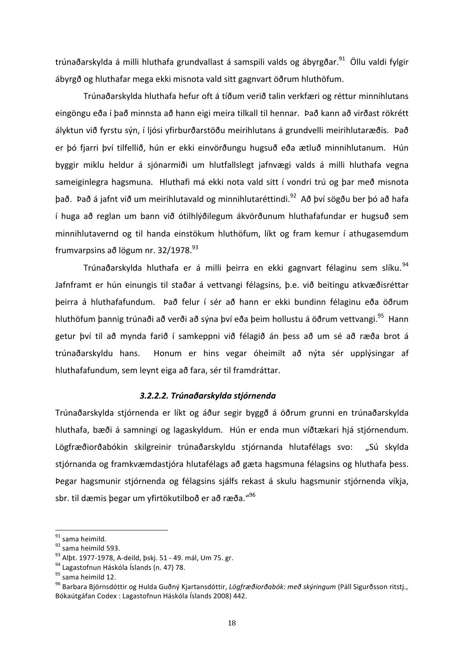trúnaðarskylda á milli hluthafa grundvallast á samspili valds og ábyrgðar.<sup>91</sup> Öllu valdi fylgir ábyrgð og hluthafar mega ekki misnota vald sitt gagnvart öðrum hluthöfum.

Trúnaðarskylda hluthafa hefur oft á tíðum verið talin verkfæri og réttur minnihlutans eingöngu eða í það minnsta að hann eigi meira tilkall til hennar. Það kann að virðast rökrétt ályktun við fyrstu sýn, í ljósi yfirburðarstöðu meirihlutans á grundvelli meirihlutaræðis. Það er þó fjarri því tilfellið, hún er ekki einvörðungu hugsuð eða ætluð minnihlutanum. Hún byggir miklu heldur á sjónarmiði um hlutfallslegt jafnvægi valds á milli hluthafa vegna sameiginlegra hagsmuna. Hluthafi má ekki nota vald sitt í vondri trú og þar með misnota það. Það á jafnt við um meirihlutavald og minnihlutaréttindi.<sup>92</sup> Að því sögðu ber þó að hafa í huga að reglan um bann við ótilhlýðilegum ákvörðunum hluthafafundar er hugsuð sem minnihlutavernd og til handa einstökum hluthöfum, líkt og fram kemur í athugasemdum frumvarpsins að lögum nr.  $32/1978.<sup>93</sup>$ 

Trúnaðarskylda hluthafa er á milli þeirra en ekki gagnvart félaginu sem slíku.<sup>94</sup> Jafnframt er hún einungis til staðar á vettvangi félagsins, þ.e. við beitingu atkvæðisréttar þeirra á hluthafafundum. Það felur í sér að hann er ekki bundinn félaginu eða öðrum hluthöfum þannig trúnaði að verði að sýna því eða þeim hollustu á öðrum vettvangi.<sup>95</sup> Hann getur því til að mynda farið í samkeppni við félagið án þess að um sé að ræða brot á trúnaðarskyldu hans. Honum er hins vegar óheimilt að nýta sér upplýsingar af hluthafafundum, sem leynt eiga að fara, sér til framdráttar.

### *3.2.2.2. Trúnaðarskylda stjórnenda*

Trúnaðarskylda stjórnenda er líkt og áður segir byggð á öðrum grunni en trúnaðarskylda hluthafa, bæði á samningi og lagaskyldum. Hún er enda mun víðtækari hjá stjórnendum. Lögfræðiorðabókin skilgreinir trúnaðarskyldu stjórnanda hlutafélags svo: "Sú skylda stjórnanda og framkvæmdastjóra hlutafélags að gæta hagsmuna félagsins og hluthafa þess. Þegar hagsmunir stjórnenda og félagsins sjálfs rekast á skulu hagsmunir stjórnenda víkja, sbr. til dæmis þegar um yfirtökutilboð er að ræða."<sup>96</sup>

<sup>&</sup>lt;sup>91</sup> sama heimild.<br><sup>92</sup> sama heimild 593.<br><sup>93</sup> Alþt. 1977-1978, A-deild, þskj. 51 - 49. mál, Um 75. gr.<br><sup>94</sup> Lagastofnun Háskóla Íslands (n. 47) 78.<br><sup>95</sup> sama heimild 12.<br><sup>95</sup> Barbara Björnsdóttir og Hulda Guðný Kjartansdó Bókaútgáfan Codex : Lagastofnun Háskóla Íslands 2008) 442.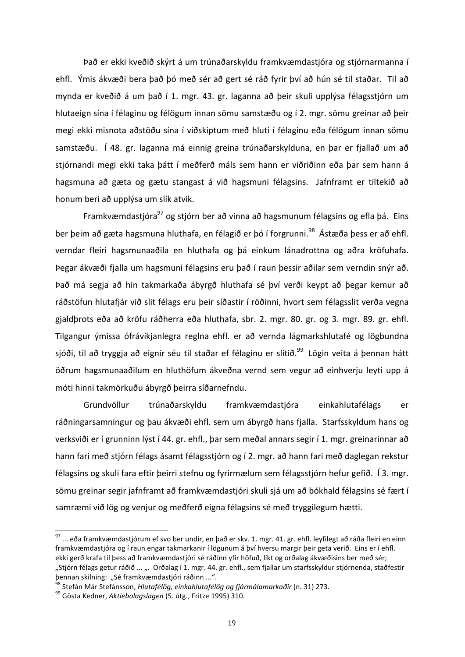Það er ekki kveðið skýrt á um trúnaðarskyldu framkvæmdastjóra og stjórnarmanna í ehfl. Ýmis ákvæði bera það þó með sér að gert sé ráð fyrir því að hún sé til staðar. Til að mynda er kveðið á um það í 1. mgr. 43. gr. laganna að þeir skuli upplýsa félagsstjórn um hlutaeign sína í félaginu og félögum innan sömu samstæðu og í 2. mgr. sömu greinar að þeir megi ekki misnota aðstöðu sína í viðskiptum með hluti í félaginu eða félögum innan sömu samstæðu. Í 48. gr. laganna má einnig greina trúnaðarskylduna, en þar er fjallað um að stjórnandi megi ekki taka þátt í meðferð máls sem hann er viðriðinn eða þar sem hann á hagsmuna að gæta og gætu stangast á við hagsmuni félagsins. Jafnframt er tiltekið að honum beri að upplýsa um slík atvik.

Framkvæmdastjóra $^{97}$  og stjórn ber að vinna að hagsmunum félagsins og efla þá. Eins ber þeim að gæta hagsmuna hluthafa, en félagið er þó í forgrunni.<sup>98</sup> Ástæða þess er að ehfl. verndar fleiri hagsmunaaðila en hluthafa og þá einkum lánadrottna og aðra kröfuhafa. Þegar ákvæði fjalla um hagsmuni félagsins eru það í raun þessir aðilar sem verndin snýr að. Það má segja að hin takmarkaða ábyrgð hluthafa sé því verði keypt að þegar kemur að ráðstöfun hlutafjár við slit félags eru þeir síðastir í röðinni, hvort sem félagsslit verða vegna gjaldþrots eða að kröfu ráðherra eða hluthafa, sbr. 2. mgr. 80. gr. og 3. mgr. 89. gr. ehfl. Tilgangur ýmissa ófrávíkjanlegra reglna ehfl. er að vernda lágmarkshlutafé og lögbundna sjóði, til að tryggja að eignir séu til staðar ef félaginu er slitið.<sup>99</sup> Lögin veita á þennan hátt öðrum hagsmunaaðilum en hluthöfum ákveðna vernd sem vegur að einhverju leyti upp á móti hinni takmörkuðu ábyrgð þeirra síðarnefndu.

Grundvöllur trúnaðarskyldu framkvæmdastjóra einkahlutafélags er ráðningarsamningur og þau ákvæði ehfl. sem um ábyrgð hans fjalla. Starfsskyldum hans og verksviði er í grunninn lýst í 44. gr. ehfl., þar sem meðal annars segir í 1. mgr. greinarinnar að hann fari með stjórn félags ásamt félagsstjórn og í 2. mgr. að hann fari með daglegan rekstur félagsins og skuli fara eftir þeirri stefnu og fyrirmælum sem félagsstjórn hefur gefið. Í 3. mgr. sömu greinar segir jafnframt að framkvæmdastjóri skuli sjá um að bókhald félagsins sé fært í samræmi við lög og venjur og meðferð eigna félagsins sé með tryggilegum hætti.

 $^{97}$  ... eða framkvæmdastjórum ef svo ber undir, en það er skv. 1. mgr. 41. gr. ehfl. leyfilegt að ráða fleiri en einn framkvæmdastjóra og í raun engar takmarkanir í lögunum á því hversu margir þeir geta verið. Eins er í ehfl. ekki gerð krafa til þess að framkvæmdastjóri sé ráðinn yfir höfuð, líkt og orðalag ákvæðisins ber með sér; "Stjórn félags getur ráðið ... ". Orðalag í 1. mgr. 44. gr. ehfl., sem fjallar um starfsskyldur stjórnenda, staðfestir þennan skilning: "Sé framkvæmdastjóri ráðinn ...".

<sup>&</sup>lt;sup>98</sup> Stefán Már Stefánsson, *Hlutafélög, einkahlutafélög og fjármálamarkaðir* (n. 31) 273.<br><sup>99</sup> Gösta Kedner, *Aktiebolagslagen* (5. útg., Fritze 1995) 310.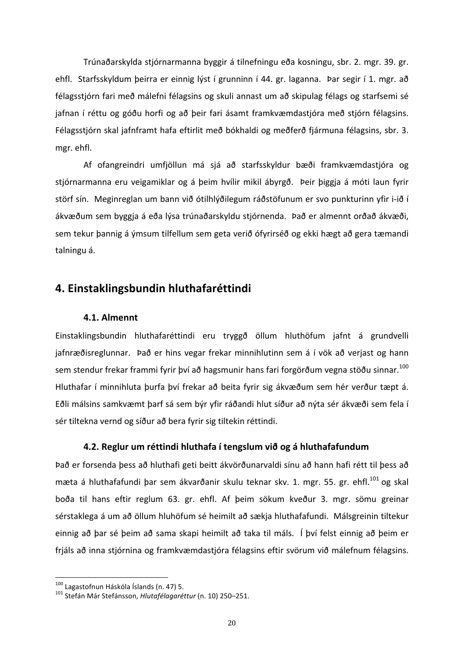Trúnaðarskylda stjórnarmanna byggir á tilnefningu eða kosningu, sbr. 2. mgr. 39. gr. ehfl. Starfsskyldum þeirra er einnig lýst í grunninn í 44. gr. laganna. Þar segir í 1. mgr. að félagsstjórn fari með málefni félagsins og skuli annast um að skipulag félags og starfsemi sé jafnan í réttu og góðu horfi og að þeir fari ásamt framkvæmdastjóra með stjórn félagsins. Félagsstjórn skal jafnframt hafa eftirlit með bókhaldi og meðferð fjármuna félagsins, sbr. 3. mgr. ehfl.

Af ofangreindri umfjöllun má sjá að starfsskyldur bæði framkvæmdastjóra og stjórnarmanna eru veigamiklar og á þeim hvílir mikil ábyrgð. Þeir þiggja á móti laun fyrir störf sín. Meginreglan um bann við ótilhlýðilegum ráðstöfunum er svo punkturinn yfir i-ið í ákvæðum sem byggja á eða lýsa trúnaðarskyldu stjórnenda. Það er almennt orðað ákvæði, sem tekur þannig á ýmsum tilfellum sem geta verið ófyrirséð og ekki hægt að gera tæmandi talningu á.

# **4. Einstaklingsbundin hluthafaréttindi**

#### **4.1. Almennt**

Einstaklingsbundin hluthafaréttindi eru tryggð öllum hluthöfum jafnt á grundvelli jafnræðisreglunnar. Það er hins vegar frekar minnihlutinn sem á í vök að verjast og hann sem stendur frekar frammi fyrir því að hagsmunir hans fari forgörðum vegna stöðu sinnar.<sup>100</sup> Hluthafar í minnihluta þurfa því frekar að beita fyrir sig ákvæðum sem hér verður tæpt á. Eðli málsins samkvæmt þarf sá sem býr yfir ráðandi hlut síður að nýta sér ákvæði sem fela í sér tiltekna vernd og síður að bera fyrir sig tiltekin réttindi.

## **4.2. Reglur um réttindi hluthafa í tengslum við og á hluthafafundum**

Það er forsenda þess að hluthafi geti beitt ákvörðunarvaldi sínu að hann hafi rétt til þess að mæta á hluthafafundi þar sem ákvarðanir skulu teknar skv. 1. mgr. 55. gr. ehfl.<sup>101</sup> og skal boða til hans eftir reglum 63. gr. ehfl. Af þeim sökum kveður 3. mgr. sömu greinar sérstaklega á um að öllum hluhöfum sé heimilt að sækja hluthafafundi. Málsgreinin tiltekur einnig að þar sé þeim að sama skapi heimilt að taka til máls. Í því felst einnig að þeim er frjáls að inna stjórnina og framkvæmdastjóra félagsins eftir svörum við málefnum félagsins.

<sup>&</sup>lt;sup>100</sup> Lagastofnun Háskóla Íslands (n. 47) 5.<br><sup>101</sup> Stefán Már Stefánsson, *Hlutafélagaréttur* (n. 10) 250–251.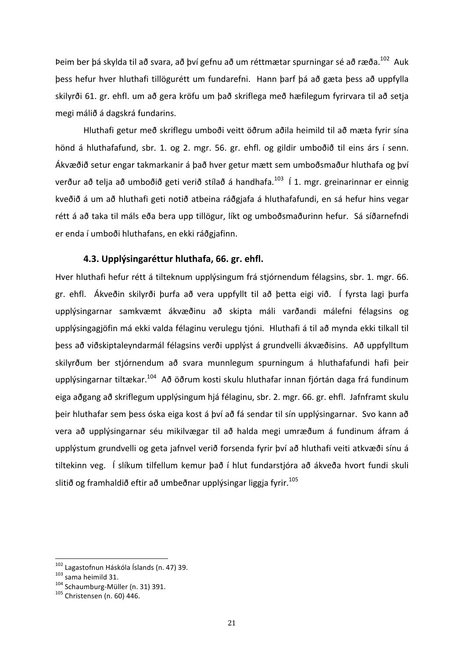Þeim ber þá skylda til að svara, að því gefnu að um réttmætar spurningar sé að ræða.<sup>102</sup> Auk þess hefur hver hluthafi tillögurétt um fundarefni. Hann þarf þá að gæta þess að uppfylla skilyrði 61. gr. ehfl. um að gera kröfu um það skriflega með hæfilegum fyrirvara til að setja megi málið á dagskrá fundarins.

Hluthafi getur með skriflegu umboði veitt öðrum aðila heimild til að mæta fyrir sína hönd á hluthafafund, sbr. 1. og 2. mgr. 56. gr. ehfl. og gildir umboðið til eins árs í senn. Ákvæðið setur engar takmarkanir á það hver getur mætt sem umboðsmaður hluthafa og því verður að telja að umboðið geti verið stílað á handhafa.<sup>103</sup> Í 1. mgr. greinarinnar er einnig kveðið á um að hluthafi geti notið atbeina ráðgjafa á hluthafafundi, en sá hefur hins vegar rétt á að taka til máls eða bera upp tillögur, líkt og umboðsmaðurinn hefur. Sá síðarnefndi er enda í umboði hluthafans, en ekki ráðgjafinn.

## **4.3. Upplýsingaréttur hluthafa, 66. gr. ehfl.**

Hver hluthafi hefur rétt á tilteknum upplýsingum frá stjórnendum félagsins, sbr. 1. mgr. 66. gr. ehfl. Ákveðin skilyrði þurfa að vera uppfyllt til að þetta eigi við. Í fyrsta lagi þurfa upplýsingarnar samkvæmt ákvæðinu að skipta máli varðandi málefni félagsins og upplýsingagjöfin má ekki valda félaginu verulegu tjóni. Hluthafi á til að mynda ekki tilkall til þess að viðskiptaleyndarmál félagsins verði upplýst á grundvelli ákvæðisins. Að uppfylltum skilyrðum ber stjórnendum að svara munnlegum spurningum á hluthafafundi hafi þeir upplýsingarnar tiltækar.<sup>104</sup> Að öðrum kosti skulu hluthafar innan fjórtán daga frá fundinum eiga aðgang að skriflegum upplýsingum hjá félaginu, sbr. 2. mgr. 66. gr. ehfl. Jafnframt skulu beir hluthafar sem bess óska eiga kost á því að fá sendar til sín upplýsingarnar. Svo kann að vera að upplýsingarnar séu mikilvægar til að halda megi umræðum á fundinum áfram á upplýstum grundvelli og geta jafnvel verið forsenda fyrir því að hluthafi veiti atkvæði sínu á tiltekinn veg. Í slíkum tilfellum kemur það í hlut fundarstjóra að ákveða hvort fundi skuli slitið og framhaldið eftir að umbeðnar upplýsingar liggja fyrir.<sup>105</sup>

<sup>&</sup>lt;sup>102</sup> Lagastofnun Háskóla Íslands (n. 47) 39.<br><sup>103</sup> sama heimild 31.<br><sup>104</sup> Schaumburg-Müller (n. 31) 391.<br><sup>105</sup> Christensen (n. 60) 446.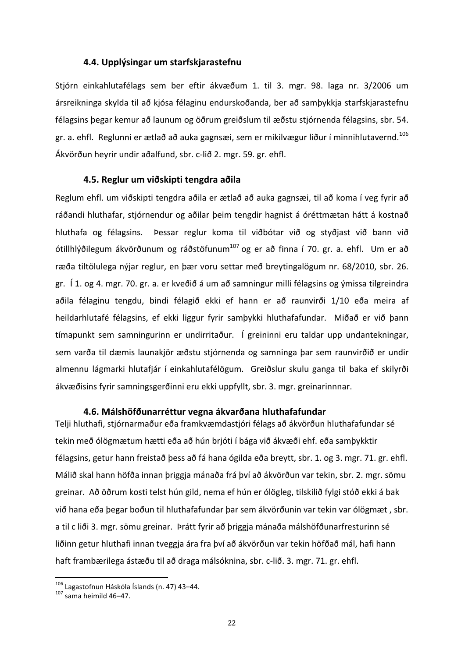### **4.4. Upplýsingar um starfskjarastefnu**

Stjórn einkahlutafélags sem ber eftir ákvæðum 1. til 3. mgr. 98. laga nr. 3/2006 um ársreikninga skylda til að kjósa félaginu endurskoðanda, ber að samþykkja starfskjarastefnu félagsins begar kemur að launum og öðrum greiðslum til æðstu stjórnenda félagsins, sbr. 54. gr. a. ehfl. Reglunni er ætlað að auka gagnsæi, sem er mikilvægur liður í minnihlutavernd.<sup>106</sup> Ákvörðun heyrir undir aðalfund, sbr. c-lið 2. mgr. 59. gr. ehfl.

#### **4.5. Reglur um viðskipti tengdra aðila**

Reglum ehfl. um viðskipti tengdra aðila er ætlað að auka gagnsæi, til að koma í veg fyrir að ráðandi hluthafar, stjórnendur og aðilar þeim tengdir hagnist á óréttmætan hátt á kostnað hluthafa og félagsins. Þessar reglur koma til viðbótar við og styðjast við bann við ótillhlýðilegum ákvörðunum og ráðstöfunum<sup>107</sup> og er að finna í 70. gr. a. ehfl. Um er að ræða tiltölulega nýjar reglur, en þær voru settar með breytingalögum nr. 68/2010, sbr. 26. gr. Í 1. og 4. mgr. 70. gr. a. er kveðið á um að samningur milli félagsins og ýmissa tilgreindra aðila félaginu tengdu, bindi félagið ekki ef hann er að raunvirði 1/10 eða meira af heildarhlutafé félagsins, ef ekki liggur fyrir samþykki hluthafafundar. Miðað er við þann tímapunkt sem samningurinn er undirritaður. Í greininni eru taldar upp undantekningar, sem varða til dæmis launakjör æðstu stjórnenda og samninga þar sem raunvirðið er undir almennu lágmarki hlutafjár í einkahlutafélögum. Greiðslur skulu ganga til baka ef skilyrði ákvæðisins fyrir samningsgerðinni eru ekki uppfyllt, sbr. 3. mgr. greinarinnnar.

#### **4.6. Málshöfðunarréttur vegna ákvarðana hluthafafundar**

Telji hluthafi, stjórnarmaður eða framkvæmdastjóri félags að ákvörðun hluthafafundar sé tekin með ólögmætum hætti eða að hún brjóti í bága við ákvæði ehf. eða samþykktir félagsins, getur hann freistað þess að fá hana ógilda eða breytt, sbr. 1. og 3. mgr. 71. gr. ehfl. Málið skal hann höfða innan þriggja mánaða frá því að ákvörðun var tekin, sbr. 2. mgr. sömu greinar. Að öðrum kosti telst hún gild, nema ef hún er ólögleg, tilskilið fylgi stóð ekki á bak við hana eða þegar boðun til hluthafafundar þar sem ákvörðunin var tekin var ólögmæt, sbr. a til c liði 3. mgr. sömu greinar. Þrátt fyrir að þriggja mánaða málshöfðunarfresturinn sé liðinn getur hluthafi innan tveggja ára fra því að ákvörðun var tekin höfðað mál, hafi hann haft frambærilega ástæðu til að draga málsóknina, sbr. c-lið. 3. mgr. 71. gr. ehfl.

<sup>&</sup>lt;sup>106</sup> Lagastofnun Háskóla Íslands (n. 47) 43–44.<br><sup>107</sup> sama heimild 46–47.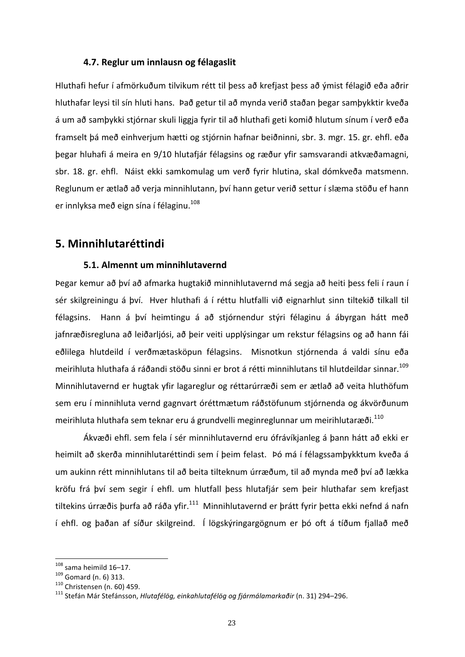## **4.7. Reglur um innlausn og félagaslit**

Hluthafi hefur í afmörkuðum tilvikum rétt til þess að krefjast þess að ýmist félagið eða aðrir hluthafar leysi til sín hluti hans. Það getur til að mynda verið staðan þegar samþykktir kveða á um að samþykki stjórnar skuli liggja fyrir til að hluthafi geti komið hlutum sínum í verð eða framselt þá með einhverjum hætti og stjórnin hafnar beiðninni, sbr. 3. mgr. 15. gr. ehfl. eða þegar hluhafi á meira en 9/10 hlutafjár félagsins og ræður yfir samsvarandi atkvæðamagni, sbr. 18. gr. ehfl. Náist ekki samkomulag um verð fyrir hlutina, skal dómkveða matsmenn. Reglunum er ætlað að verja minnihlutann, því hann getur verið settur í slæma stöðu ef hann er innlyksa með eign sína í félaginu.<sup>108</sup>

# **5. Minnihlutaréttindi**

## **5.1. Almennt um minnihlutavernd**

Þegar kemur að því að afmarka hugtakið minnihlutavernd má segja að heiti þess feli í raun í sér skilgreiningu á því. Hver hluthafi á í réttu hlutfalli við eignarhlut sinn tiltekið tilkall til félagsins. Hann á því heimtingu á að stjórnendur stýri félaginu á ábyrgan hátt með jafnræðisregluna að leiðarljósi, að þeir veiti upplýsingar um rekstur félagsins og að hann fái eðlilega hlutdeild í verðmætasköpun félagsins. Misnotkun stjórnenda á valdi sínu eða meirihluta hluthafa á ráðandi stöðu sinni er brot á rétti minnihlutans til hlutdeildar sinnar.<sup>109</sup> Minnihlutavernd er hugtak yfir lagareglur og réttarúrræði sem er ætlað að veita hluthöfum sem eru í minnihluta vernd gagnvart óréttmætum ráðstöfunum stjórnenda og ákvörðunum meirihluta hluthafa sem teknar eru á grundvelli meginreglunnar um meirihlutaræði.<sup>110</sup>

Ákvæði ehfl. sem fela í sér minnihlutavernd eru ófrávíkjanleg á þann hátt að ekki er heimilt að skerða minnihlutaréttindi sem í þeim felast. Þó má í félagssamþykktum kveða á um aukinn rétt minnihlutans til að beita tilteknum úrræðum, til að mynda með því að lækka kröfu frá því sem segir í ehfl. um hlutfall þess hlutafjár sem þeir hluthafar sem krefjast tiltekins úrræðis þurfa að ráða yfir.<sup>111</sup> Minnihlutavernd er þrátt fyrir þetta ekki nefnd á nafn í ehfl. og þaðan af síður skilgreind. Í lögskýringargögnum er þó oft á tíðum fjallað með

<sup>&</sup>lt;sup>108</sup> sama heimild 16–17.<br><sup>109</sup> Gomard (n. 6) 313.<br><sup>110</sup> Christensen (n. 60) 459.<br><sup>111</sup> Stefán Már Stefánsson, *Hlutafélög, einkahlutafélög og fjármálamarkaðir* (n. 31) 294–296.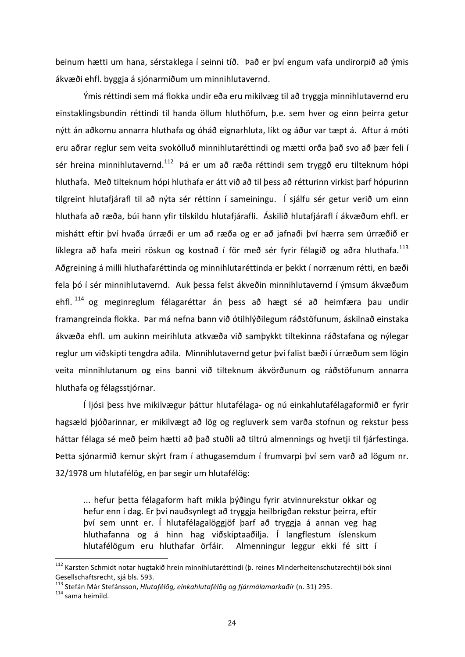beinum hætti um hana, sérstaklega í seinni tíð. Það er því engum vafa undirorpið að ýmis ákvæði ehfl. byggja á sjónarmiðum um minnihlutavernd.

Ýmis réttindi sem má flokka undir eða eru mikilvæg til að tryggja minnihlutavernd eru einstaklingsbundin réttindi til handa öllum hluthöfum, þ.e. sem hver og einn þeirra getur nýtt án aðkomu annarra hluthafa og óháð eignarhluta, líkt og áður var tæpt á. Aftur á móti eru aðrar reglur sem veita svokölluð minnihlutaréttindi og mætti orða það svo að þær feli í sér hreina minnihlutavernd.<sup>112</sup> Þá er um að ræða réttindi sem tryggð eru tilteknum hópi hluthafa. Með tilteknum hópi hluthafa er átt við að til þess að rétturinn virkist þarf hópurinn tilgreint hlutafjárafl til að nýta sér réttinn í sameiningu. Í sjálfu sér getur verið um einn hluthafa að ræða, búi hann yfir tilskildu hlutafjárafli. Áskilið hlutafjárafl í ákvæðum ehfl. er mishátt eftir því hvaða úrræði er um að ræða og er að jafnaði því hærra sem úrræðið er líklegra að hafa meiri röskun og kostnað í för með sér fyrir félagið og aðra hluthafa.<sup>113</sup> Aðgreining á milli hluthafaréttinda og minnihlutaréttinda er þekkt í norrænum rétti, en bæði fela þó í sér minnihlutavernd. Auk þessa felst ákveðin minnihlutavernd í ýmsum ákvæðum ehfl. <sup>114</sup> og meginreglum félagaréttar án þess að hægt sé að heimfæra þau undir framangreinda flokka. Þar má nefna bann við ótilhlýðilegum ráðstöfunum, áskilnað einstaka ákvæða ehfl. um aukinn meirihluta atkvæða við samþykkt tiltekinna ráðstafana og nýlegar reglur um viðskipti tengdra aðila. Minnihlutavernd getur því falist bæði í úrræðum sem lögin veita minnihlutanum og eins banni við tilteknum ákvörðunum og ráðstöfunum annarra hluthafa og félagsstjórnar.

Í ljósi þess hve mikilvægur þáttur hlutafélaga- og nú einkahlutafélagaformið er fyrir hagsæld þjóðarinnar, er mikilvægt að lög og regluverk sem varða stofnun og rekstur þess háttar félaga sé með þeim hætti að það stuðli að tiltrú almennings og hvetji til fjárfestinga. Þetta sjónarmið kemur skýrt fram í athugasemdum í frumvarpi því sem varð að lögum nr. 32/1978 um hlutafélög, en þar segir um hlutafélög:

... hefur þetta félagaform haft mikla þýðingu fyrir atvinnurekstur okkar og hefur enn í dag. Er því nauðsynlegt að tryggja heilbrigðan rekstur þeirra, eftir því sem unnt er. Í hlutafélagalöggjöf þarf að tryggja á annan veg hag hluthafanna og á hinn hag viðskiptaaðilja. Í langflestum íslenskum hlutafélögum eru hluthafar örfáir. Almenningur leggur ekki fé sitt í

<sup>&</sup>lt;sup>112</sup> Karsten Schmidt notar hugtakið hrein minnihlutaréttindi (þ. reines Minderheitenschutzrecht)í bók sinni Gesellschaftsrecht, sjá bls. 593.

<sup>&</sup>lt;sup>113</sup> Stefán Már Stefánsson, *Hlutafélög, einkahlutafélög og fjármálamarkaðir* (n. 31) 295.<br><sup>114</sup> sama heimild.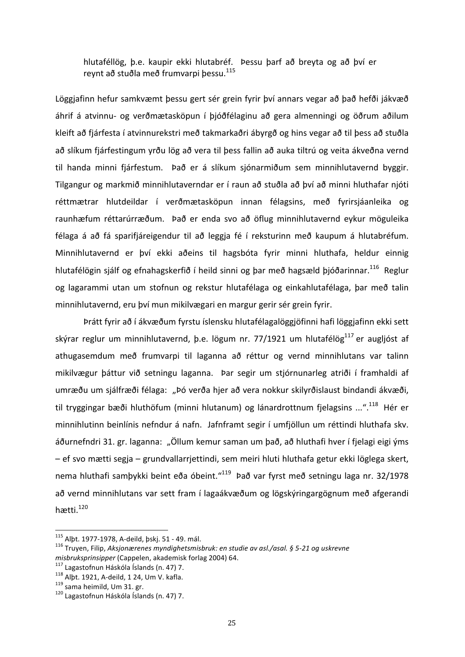hlutaféllög, þ.e. kaupir ekki hlutabréf. Þessu þarf að breyta og að því er revnt að stuðla með frumvarpi bessu.<sup>115</sup>

Löggjafinn hefur samkvæmt bessu gert sér grein fyrir því annars vegar að það hefði jákvæð áhrif á atvinnu- og verðmætasköpun í þjóðfélaginu að gera almenningi og öðrum aðilum kleift að fjárfesta í atvinnurekstri með takmarkaðri ábyrgð og hins vegar að til þess að stuðla að slíkum fjárfestingum yrðu lög að vera til þess fallin að auka tiltrú og veita ákveðna vernd til handa minni fjárfestum. Það er á slíkum sjónarmiðum sem minnihlutavernd byggir. Tilgangur og markmið minnihlutaverndar er í raun að stuðla að því að minni hluthafar njóti réttmætrar hlutdeildar í verðmætasköpun innan félagsins, með fyrirsjáanleika og raunhæfum réttarúrræðum. Það er enda svo að öflug minnihlutavernd eykur möguleika félaga á að fá sparifjáreigendur til að leggja fé í reksturinn með kaupum á hlutabréfum. Minnihlutavernd er því ekki aðeins til hagsbóta fyrir minni hluthafa, heldur einnig hlutafélögin sjálf og efnahagskerfið í heild sinni og bar með hagsæld bjóðarinnar.<sup>116</sup> Reglur og lagarammi utan um stofnun og rekstur hlutafélaga og einkahlutafélaga, þar með talin minnihlutavernd, eru því mun mikilvægari en margur gerir sér grein fyrir.

Þrátt fyrir að í ákvæðum fyrstu íslensku hlutafélagalöggjöfinni hafi löggjafinn ekki sett skýrar reglur um minnihlutavernd, b.e. lögum nr. 77/1921 um hlutafélög<sup>117</sup> er auglióst af athugasemdum með frumvarpi til laganna að réttur og vernd minnihlutans var talinn mikilvægur þáttur við setningu laganna. Þar segir um stjórnunarleg atriði í framhaldi af umræðu um sjálfræði félaga: "Þó verða hjer að vera nokkur skilyrðislaust bindandi ákvæði, til tryggingar bæði hluthöfum (minni hlutanum) og lánardrottnum fjelagsins ...".<sup>118</sup> Hér er minnihlutinn beinlínis nefndur á nafn. Jafnframt segir í umfjöllun um réttindi hluthafa skv. áðurnefndri 31. gr. laganna: "Öllum kemur saman um það, að hluthafi hver í fjelagi eigi ýms – ef svo mætti segja – grundvallarrjettindi, sem meiri hluti hluthafa getur ekki löglega skert, nema hluthafi samþykki beint eða óbeint."<sup>119</sup> Það var fyrst með setningu laga nr. 32/1978 að vernd minnihlutans var sett fram í lagaákvæðum og lögskýringargögnum með afgerandi hætti.120 

<sup>115</sup> Alþt. 1977-1978, A-deild, þskj. 51 - 49. mál.<br><sup>116</sup> Truyen, Filip, *Aksjonærenes myndighetsmisbruk: en studie av asl./asal. § 5-21 og uskrevne misbruksprinsipper* (Cappelen, akademisk forlag 2004) 64.<br><sup>117</sup> Lagastofnun Háskóla Íslands (n. 47) 7.<br><sup>118</sup> Alþt. 1921, A-deild, 1 24, Um V. kafla.<br><sup>119</sup> sama heimild, Um 31. gr. <sup>120</sup> Lagastofnun Háskóla Íslands (n. 47)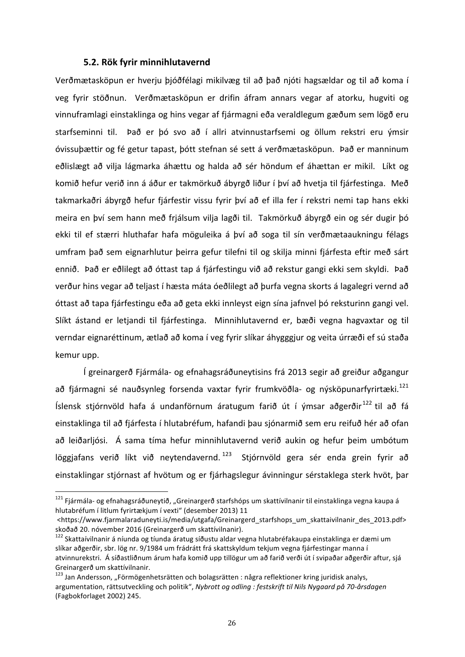#### **5.2. Rök fyrir minnihlutavernd**

Verðmætasköpun er hverju þjóðfélagi mikilvæg til að það njóti hagsældar og til að koma í veg fyrir stöðnun. Verðmætasköpun er drifin áfram annars vegar af atorku, hugviti og vinnuframlagi einstaklinga og hins vegar af fjármagni eða veraldlegum gæðum sem lögð eru starfseminni til. Það er þó svo að í allri atvinnustarfsemi og öllum rekstri eru ýmsir óvissuþættir og fé getur tapast, þótt stefnan sé sett á verðmætasköpun. Það er manninum eðlislægt að vilja lágmarka áhættu og halda að sér höndum ef áhættan er mikil. Líkt og komið hefur verið inn á áður er takmörkuð ábyrgð liður í því að hvetja til fjárfestinga. Með takmarkaðri ábyrgð hefur fjárfestir vissu fyrir því að ef illa fer í rekstri nemi tap hans ekki meira en því sem hann með frjálsum vilja lagði til. Takmörkuð ábyrgð ein og sér dugir þó ekki til ef stærri hluthafar hafa möguleika á því að soga til sín verðmætaaukningu félags umfram það sem eignarhlutur þeirra gefur tilefni til og skilja minni fjárfesta eftir með sárt ennið. Það er eðlilegt að óttast tap á fjárfestingu við að rekstur gangi ekki sem skyldi. Það verður hins vegar að teljast í hæsta máta óeðlilegt að þurfa vegna skorts á lagalegri vernd að óttast að tapa fjárfestingu eða að geta ekki innleyst eign sína jafnvel þó reksturinn gangi vel. Slíkt ástand er letjandi til fjárfestinga. Minnihlutavernd er, bæði vegna hagvaxtar og til verndar eignaréttinum, ætlað að koma í veg fyrir slíkar áhygggjur og veita úrræði ef sú staða kemur upp.

Í greinargerð Fjármála- og efnahagsráðuneytisins frá 2013 segir að greiður aðgangur að fiármagni sé nauðsynleg forsenda vaxtar fyrir frumkvöðla- og nýsköpunarfyrirtæki.<sup>121</sup> Íslensk stjórnvöld hafa á undanförnum áratugum farið út í ýmsar aðgerðir<sup>122</sup> til að fá einstaklinga til að fjárfesta í hlutabréfum, hafandi þau sjónarmið sem eru reifuð hér að ofan að leiðarljósi. Á sama tíma hefur minnihlutavernd verið aukin og hefur þeim umbótum löggjafans verið líkt við neytendavernd. <sup>123</sup> Stjórnvöld gera sér enda grein fyrir að einstaklingar stjórnast af hvötum og er fjárhagslegur ávinningur sérstaklega sterk hvöt, þar

<sup>&</sup>lt;sup>121</sup> Fiármála- og efnahagsráðuneytið, "Greinargerð starfshóps um skattívilnanir til einstaklinga vegna kaupa á hlutabréfum í litlum fyrirtækjum í vexti" (desember 2013) 11

<sup>&</sup>lt;https://www.fjarmalaraduneyti.is/media/utgafa/Greinargerd\_starfshops\_um\_skattaivilnanir\_des\_2013.pdf> skoðað 20. nóvember 2016 (Greinargerð um skattívilnanir).

<sup>&</sup>lt;sup>122</sup> Skattaívilnanir á níunda og tíunda áratug síðustu aldar vegna hlutabréfakaupa einstaklinga er dæmi um slíkar aðgerðir, sbr. lög nr. 9/1984 um frádrátt frá skattskyldum tekjum vegna fjárfestingar manna í atvinnurekstri. Á síðastliðnum árum hafa komið upp tillögur um að farið verði út í svipaðar aðgerðir aftur, sjá Greinargerð um skattívilnanir.

<sup>&</sup>lt;sup>123</sup> Jan Andersson, "Förmögenhetsrätten och bolagsrätten : några reflektioner kring juridisk analys, argumentation, rättsutveckling och politik", *Nybrott og odling : festskrift til Nils Nygaard på 70-årsdagen* (Fagbokforlaget 2002) 245.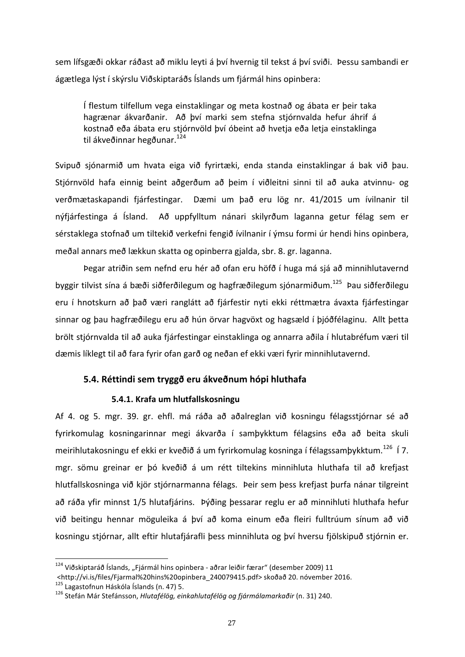sem lífsgæði okkar ráðast að miklu leyti á því hvernig til tekst á því sviði. Þessu sambandi er ágætlega lýst í skýrslu Viðskiptaráðs Íslands um fjármál hins opinbera:

Í flestum tilfellum vega einstaklingar og meta kostnað og ábata er þeir taka hagrænar ákvarðanir. Að því marki sem stefna stjórnvalda hefur áhrif á kostnað eða ábata eru stjórnvöld því óbeint að hvetja eða letja einstaklinga til ákveðinnar hegðunar.<sup>124</sup>

Svipuð sjónarmið um hvata eiga við fyrirtæki, enda standa einstaklingar á bak við þau. Stjórnvöld hafa einnig beint aðgerðum að þeim í viðleitni sinni til að auka atvinnu- og verðmætaskapandi fjárfestingar. Dæmi um það eru lög nr. 41/2015 um ívilnanir til nýfjárfestinga á Ísland. Að uppfylltum nánari skilyrðum laganna getur félag sem er sérstaklega stofnað um tiltekið verkefni fengið ívilnanir í ýmsu formi úr hendi hins opinbera, meðal annars með lækkun skatta og opinberra gjalda, sbr. 8. gr. laganna.

Þegar atriðin sem nefnd eru hér að ofan eru höfð í huga má sjá að minnihlutavernd byggir tilvist sína á bæði siðferðilegum og hagfræðilegum sjónarmiðum.<sup>125</sup> Þau siðferðilegu eru í hnotskurn að það væri ranglátt að fjárfestir nyti ekki réttmætra ávaxta fjárfestingar sinnar og þau hagfræðilegu eru að hún örvar hagvöxt og hagsæld í þjóðfélaginu. Allt þetta brölt stjórnvalda til að auka fjárfestingar einstaklinga og annarra aðila í hlutabréfum væri til dæmis líklegt til að fara fyrir ofan garð og neðan ef ekki væri fyrir minnihlutavernd.

# **5.4. Réttindi sem tryggð eru ákveðnum hópi hluthafa**

## **5.4.1. Krafa um hlutfallskosningu**

Af 4. og 5. mgr. 39. gr. ehfl. má ráða að aðalreglan við kosningu félagsstjórnar sé að fyrirkomulag kosningarinnar megi ákvarða í samþykktum félagsins eða að beita skuli meirihlutakosningu ef ekki er kveðið á um fyrirkomulag kosninga í félagssamþykktum.<sup>126</sup> Í 7. mgr. sömu greinar er þó kveðið á um rétt tiltekins minnihluta hluthafa til að krefjast hlutfallskosninga við kjör stjórnarmanna félags. Þeir sem þess krefjast þurfa nánar tilgreint að ráða yfir minnst 1/5 hlutafjárins. Þýðing þessarar reglu er að minnihluti hluthafa hefur við beitingu hennar möguleika á því að koma einum eða fleiri fulltrúum sínum að við kosningu stjórnar, allt eftir hlutafjárafli þess minnihluta og því hversu fjölskipuð stjórnin er.

 $124$  Viðskiptaráð Íslands. "Fjármál hins opinbera - aðrar leiðir færar" (desember 2009) 11 <http://vi.is/files/Fjarmal%20hins%20opinbera\_240079415.pdf> skoðað 20. nóvember 2016. <sup>125</sup> Lagastofnun Háskóla Íslands (n. 47) 5. <sup>126</sup> Stefán Már Stefánsson, *Hlutafélög, einkahlutafélög og fjármálamarkaðir* (n. 31) 240.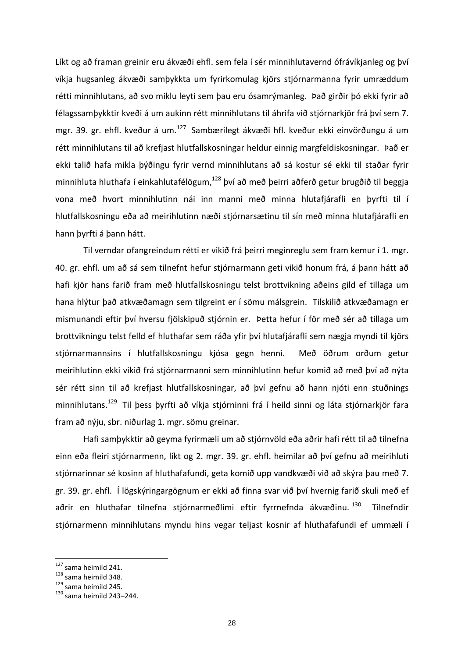Líkt og að framan greinir eru ákvæði ehfl. sem fela í sér minnihlutavernd ófrávíkjanleg og því víkja hugsanleg ákvæði samþykkta um fyrirkomulag kjörs stjórnarmanna fyrir umræddum rétti minnihlutans, að svo miklu leyti sem þau eru ósamrýmanleg. Það girðir þó ekki fyrir að félagssamþykktir kveði á um aukinn rétt minnihlutans til áhrifa við stjórnarkjör frá því sem 7. mgr. 39. gr. ehfl. kveður á um.<sup>127</sup> Sambærilegt ákvæði hfl. kveður ekki einvörðungu á um rétt minnihlutans til að krefjast hlutfallskosningar heldur einnig margfeldiskosningar. Það er ekki talið hafa mikla þýðingu fyrir vernd minnihlutans að sá kostur sé ekki til staðar fyrir minnihluta hluthafa í einkahlutafélögum,<sup>128</sup> því að með þeirri aðferð getur brugðið til beggja vona með hvort minnihlutinn nái inn manni með minna hlutafjárafli en þyrfti til í hlutfallskosningu eða að meirihlutinn næði stjórnarsætinu til sín með minna hlutafjárafli en hann þyrfti á þann hátt.

Til verndar ofangreindum rétti er vikið frá þeirri meginreglu sem fram kemur í 1. mgr. 40. gr. ehfl. um að sá sem tilnefnt hefur stjórnarmann geti vikið honum frá, á þann hátt að hafi kjör hans farið fram með hlutfallskosningu telst brottvikning aðeins gild ef tillaga um hana hlýtur það atkvæðamagn sem tilgreint er í sömu málsgrein. Tilskilið atkvæðamagn er mismunandi eftir því hversu fjölskipuð stjórnin er. Þetta hefur í för með sér að tillaga um brottvikningu telst felld ef hluthafar sem ráða yfir því hlutafjárafli sem nægja myndi til kjörs stjórnarmannsins í hlutfallskosningu kjósa gegn henni. Með öðrum orðum getur meirihlutinn ekki vikið frá stjórnarmanni sem minnihlutinn hefur komið að með því að nýta sér rétt sinn til að krefjast hlutfallskosningar, að því gefnu að hann njóti enn stuðnings minnihlutans.<sup>129</sup> Til þess þyrfti að víkja stjórninni frá í heild sinni og láta stjórnarkjör fara fram að nýju, sbr. niðurlag 1. mgr. sömu greinar.

Hafi samþykktir að geyma fyrirmæli um að stjórnvöld eða aðrir hafi rétt til að tilnefna einn eða fleiri stjórnarmenn, líkt og 2. mgr. 39. gr. ehfl. heimilar að því gefnu að meirihluti stjórnarinnar sé kosinn af hluthafafundi, geta komið upp vandkvæði við að skýra þau með 7. gr. 39. gr. ehfl. Í lögskýringargögnum er ekki að finna svar við því hvernig farið skuli með ef aðrir en hluthafar tilnefna stjórnarmeðlimi eftir fyrrnefnda ákvæðinu. <sup>130</sup> Tilnefndir stjórnarmenn minnihlutans myndu hins vegar teljast kosnir af hluthafafundi ef ummæli í

<sup>&</sup>lt;sup>127</sup> sama heimild 241.<br><sup>128</sup> sama heimild 348.<br><sup>129</sup> sama heimild 245.<br><sup>130</sup> sama heimild 243–244.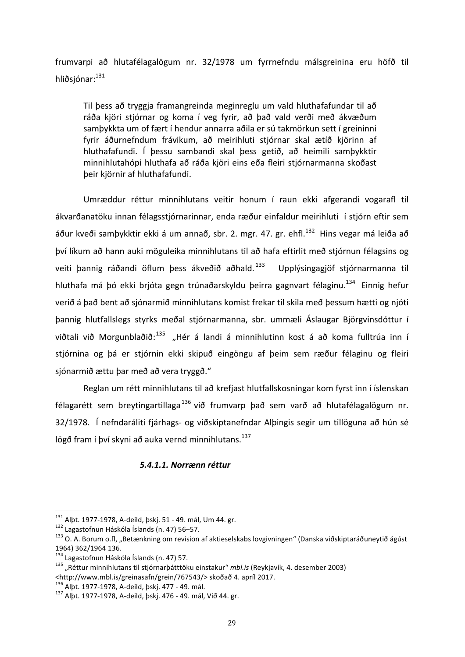frumvarpi að hlutafélagalögum nr. 32/1978 um fyrrnefndu málsgreinina eru höfð til hliðsjónar: $^{131}$ 

Til þess að tryggja framangreinda meginreglu um vald hluthafafundar til að ráða kjöri stjórnar og koma í veg fyrir, að það vald verði með ákvæðum samþykkta um of fært í hendur annarra aðila er sú takmörkun sett í greininni fyrir áðurnefndum frávikum, að meirihluti stjórnar skal ætíð kjörinn af hluthafafundi. Í þessu sambandi skal þess getið, að heimili samþykktir minnihlutahópi hluthafa að ráða kjöri eins eða fleiri stjórnarmanna skoðast þeir kjörnir af hluthafafundi.

Umræddur réttur minnihlutans veitir honum í raun ekki afgerandi vogarafl til ákvarðanatöku innan félagsstjórnarinnar, enda ræður einfaldur meirihluti í stjórn eftir sem áður kveði samþykktir ekki á um annað, sbr. 2. mgr. 47. gr. ehfl.<sup>132</sup> Hins vegar má leiða að því líkum að hann auki möguleika minnihlutans til að hafa eftirlit með stjórnun félagsins og veiti þannig ráðandi öflum þess ákveðið aðhald.<sup>133</sup> Upplýsingagjöf stjórnarmanna til hluthafa má þó ekki brjóta gegn trúnaðarskyldu þeirra gagnvart félaginu.<sup>134</sup> Einnig hefur verið á það bent að sjónarmið minnihlutans komist frekar til skila með þessum hætti og njóti þannig hlutfallslegs styrks meðal stjórnarmanna, sbr. ummæli Áslaugar Björgvinsdóttur í viðtali við Morgunblaðið:<sup>135</sup> "Hér á landi á minnihlutinn kost á að koma fulltrúa inn í stjórnina og þá er stjórnin ekki skipuð eingöngu af þeim sem ræður félaginu og fleiri sjónarmið ættu þar með að vera tryggð."

Reglan um rétt minnihlutans til að krefjast hlutfallskosningar kom fyrst inn í íslenskan félagarétt sem breytingartillaga<sup>136</sup> við frumvarp það sem varð að hlutafélagalögum nr. 32/1978. Í nefndaráliti fjárhags- og viðskiptanefndar Alþingis segir um tillöguna að hún sé lögð fram í því skyni að auka vernd minnihlutans.<sup>137</sup>

# *5.4.1.1. Norrænn réttur*

<sup>&</sup>lt;sup>131</sup> Alþt. 1977-1978, A-deild, þskj. 51 - 49. mál, Um 44. gr.<br><sup>132</sup> Lagastofnun Háskóla Íslands (n. 47) 56–57.<br><sup>133</sup> O. A. Borum o.fl, "Betænkning om revision af aktieselskabs lovgivningen" (Danska viðskiptaráðuneytið ágú 1964) 362/1964 136.<br><sup>134</sup> Lagastofnun Háskóla Íslands (n. 47) 57.

<sup>&</sup>lt;sup>135</sup> "Réttur minnihlutans til stiórnarþátttöku einstakur" *mbl.is* (Reykjavík, 4. desember 2003) <http://www.mbl.is/greinasafn/grein/767543/> skoðað 4. apríl 2017.<br><sup>136</sup> Albt. 1977-1978, A-deild, þskj. 477 - 49. mál.

<sup>137</sup> Albt. 1977-1978, A-deild, þskj. 476 - 49. mál, Við 44. gr.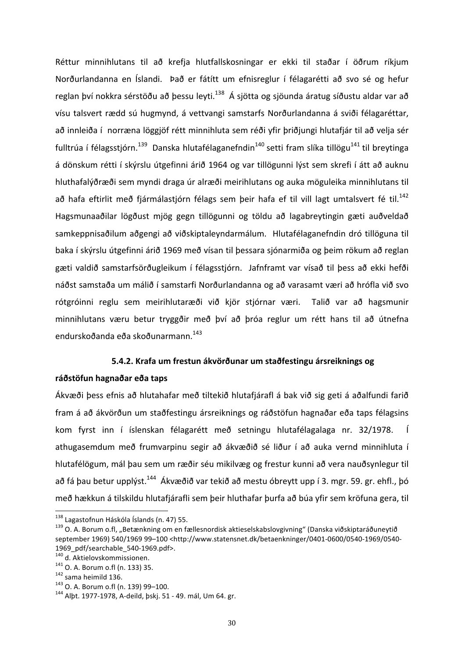Réttur minnihlutans til að krefja hlutfallskosningar er ekki til staðar í öðrum ríkjum Norðurlandanna en Íslandi. Það er fátítt um efnisreglur í félagarétti að svo sé og hefur reglan því nokkra sérstöðu að þessu leyti.<sup>138</sup> Á sjötta og sjöunda áratug síðustu aldar var að vísu talsvert rædd sú hugmynd, á vettvangi samstarfs Norðurlandanna á sviði félagaréttar, að innleiða í norræna löggjöf rétt minnihluta sem réði yfir þriðjungi hlutafjár til að velja sér fulltrúa í félagsstjórn.<sup>139</sup> Danska hlutafélaganefndin<sup>140</sup> setti fram slíka tillögu<sup>141</sup> til breytinga á dönskum rétti í skýrslu útgefinni árið 1964 og var tillögunni lýst sem skrefi í átt að auknu hluthafalýðræði sem myndi draga úr alræði meirihlutans og auka möguleika minnihlutans til að hafa eftirlit með fjármálastjórn félags sem þeir hafa ef til vill lagt umtalsvert fé til.<sup>142</sup> Hagsmunaaðilar lögðust mjög gegn tillögunni og töldu að lagabreytingin gæti auðveldað samkeppnisaðilum aðgengi að viðskiptaleyndarmálum. Hlutafélaganefndin dró tillöguna til baka í skýrslu útgefinni árið 1969 með vísan til þessara sjónarmiða og þeim rökum að reglan gæti valdið samstarfsörðugleikum í félagsstjórn. Jafnframt var vísað til þess að ekki hefði náðst samstaða um málið í samstarfi Norðurlandanna og að varasamt væri að hrófla við svo rótgróinni reglu sem meirihlutaræði við kjör stjórnar væri. Talið var að hagsmunir minnihlutans væru betur tryggðir með því að þróa reglur um rétt hans til að útnefna endurskoðanda eða skoðunarmann.<sup>143</sup>

### **5.4.2. Krafa um frestun ákvörðunar um staðfestingu ársreiknings og**

### **ráðstöfun hagnaðar eða taps**

Ákvæði þess efnis að hlutahafar með tiltekið hlutafjárafl á bak við sig geti á aðalfundi farið fram á að ákvörðun um staðfestingu ársreiknings og ráðstöfun hagnaðar eða taps félagsins kom fyrst inn í íslenskan félagarétt með setningu hlutafélagalaga nr. 32/1978. Í athugasemdum með frumvarpinu segir að ákvæðið sé liður í að auka vernd minnihluta í hlutafélögum, mál þau sem um ræðir séu mikilvæg og frestur kunni að vera nauðsynlegur til að fá þau betur upplýst.<sup>144</sup> Ákvæðið var tekið að mestu óbreytt upp í 3. mgr. 59. gr. ehfl., þó með hækkun á tilskildu hlutafjárafli sem þeir hluthafar þurfa að búa yfir sem kröfuna gera, til

<sup>&</sup>lt;sup>138</sup> Lagastofnun Háskóla Íslands (n. 47) 55.<br><sup>139</sup> O. A. Borum o.fl, "Betænkning om en fællesnordisk aktieselskabslovgivning" (Danska viðskiptaráðuneytið september 1969) 540/1969 99-100 <http://www.statensnet.dk/betaenkninger/0401-0600/0540-1969/0540-

<sup>1969</sup>\_pdf/searchable\_540-1969.pdf>.<br><sup>140</sup> d. Aktielovskommissionen.<br><sup>141</sup> O. A. Borum o.fl (n. 133) 35.<br><sup>142</sup> sama heimild 136.<br><sup>143</sup> O. A. Borum o.fl (n. 139) 99–100.<br><sup>144</sup> Albt. 1977-1978, A-deild, þskj. 51 - 49. mál, Um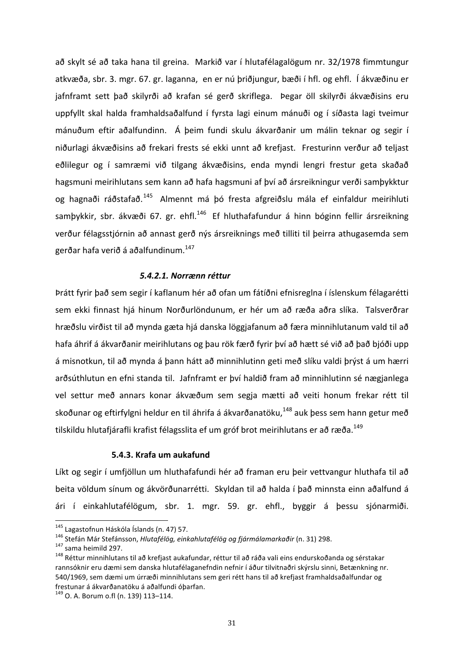að skylt sé að taka hana til greina. Markið var í hlutafélagalögum nr. 32/1978 fimmtungur atkvæða, sbr. 3. mgr. 67. gr. laganna, en er nú þriðjungur, bæði í hfl. og ehfl. Í ákvæðinu er jafnframt sett það skilyrði að krafan sé gerð skriflega. Þegar öll skilyrði ákvæðisins eru uppfyllt skal halda framhaldsaðalfund í fyrsta lagi einum mánuði og í síðasta lagi tveimur mánuðum eftir aðalfundinn. Á þeim fundi skulu ákvarðanir um málin teknar og segir í niðurlagi ákvæðisins að frekari frests sé ekki unnt að krefjast. Fresturinn verður að teljast eðlilegur og í samræmi við tilgang ákvæðisins, enda myndi lengri frestur geta skaðað hagsmuni meirihlutans sem kann að hafa hagsmuni af því að ársreikningur verði samþykktur og hagnaði ráðstafað.<sup>145</sup> Almennt má þó fresta afgreiðslu mála ef einfaldur meirihluti samþykkir, sbr. ákvæði 67. gr. ehfl.<sup>146</sup> Ef hluthafafundur á hinn bóginn fellir ársreikning verður félagsstjórnin að annast gerð nýs ársreiknings með tilliti til þeirra athugasemda sem gerðar hafa verið á aðalfundinum. $147$ 

### *5.4.2.1. Norrænn réttur*

Þrátt fyrir það sem segir í kaflanum hér að ofan um fátíðni efnisreglna í íslenskum félagarétti sem ekki finnast hjá hinum Norðurlöndunum, er hér um að ræða aðra slíka. Talsverðrar hræðslu virðist til að mynda gæta hjá danska löggjafanum að færa minnihlutanum vald til að hafa áhrif á ákvarðanir meirihlutans og þau rök færð fyrir því að hætt sé við að það bjóði upp á misnotkun, til að mynda á þann hátt að minnihlutinn geti með slíku valdi þrýst á um hærri arðsúthlutun en efni standa til. Jafnframt er því haldið fram að minnihlutinn sé nægjanlega vel settur með annars konar ákvæðum sem segja mætti að veiti honum frekar rétt til skoðunar og eftirfylgni heldur en til áhrifa á ákvarðanatöku,<sup>148</sup> auk þess sem hann getur með tilskildu hlutafjárafli krafist félagsslita ef um gróf brot meirihlutans er að ræða.<sup>149</sup>

### **5.4.3. Krafa um aukafund**

Líkt og segir í umfjöllun um hluthafafundi hér að framan eru þeir vettvangur hluthafa til að beita völdum sínum og ákvörðunarrétti. Skyldan til að halda í það minnsta einn aðalfund á ári í einkahlutafélögum, sbr. 1. mgr. 59. gr. ehfl., byggir á þessu sjónarmiði.

<sup>&</sup>lt;sup>145</sup> Lagastofnun Háskóla Íslands (n. 47) 57.<br><sup>146</sup> Stefán Már Stefánsson*, Hlutafélög, einkahlutafélög og fjármálamarkaðir* (n. 31) 298.<br><sup>147</sup> sama heimild 297.<br><sup>148</sup> Réttur minnihlutans til að krefjast aukafundar, réttur rannsóknir eru dæmi sem danska hlutafélaganefndin nefnir í áður tilvitnaðri skýrslu sinni, Betænkning nr. 540/1969, sem dæmi um úrræði minnihlutans sem geri rétt hans til að krefjast framhaldsaðalfundar og frestunar á ákvarðanatöku á aðalfundi óþarfan.

<sup>&</sup>lt;sup>149</sup> O. A. Borum o.fl (n. 139) 113-114.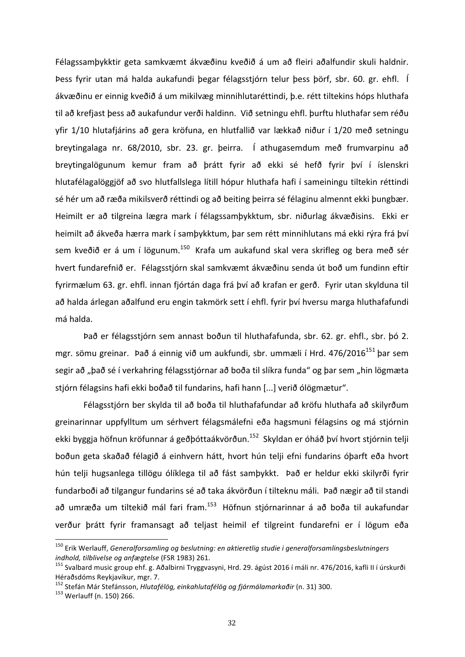Félagssamþykktir geta samkvæmt ákvæðinu kveðið á um að fleiri aðalfundir skuli haldnir. Þess fyrir utan má halda aukafundi þegar félagsstjórn telur þess þörf, sbr. 60. gr. ehfl. Í ákvæðinu er einnig kveðið á um mikilvæg minnihlutaréttindi, þ.e. rétt tiltekins hóps hluthafa til að krefjast þess að aukafundur verði haldinn. Við setningu ehfl. þurftu hluthafar sem réðu yfir 1/10 hlutafjárins að gera kröfuna, en hlutfallið var lækkað niður í 1/20 með setningu breytingalaga nr. 68/2010, sbr. 23. gr. þeirra. Í athugasemdum með frumvarpinu að breytingalögunum kemur fram að þrátt fyrir að ekki sé hefð fyrir því í íslenskri hlutafélagalöggjöf að svo hlutfallslega lítill hópur hluthafa hafi í sameiningu tiltekin réttindi sé hér um að ræða mikilsverð réttindi og að beiting þeirra sé félaginu almennt ekki þungbær. Heimilt er að tilgreina lægra mark í félagssamþykktum, sbr. niðurlag ákvæðisins. Ekki er heimilt að ákveða hærra mark í samþykktum, þar sem rétt minnihlutans má ekki rýra frá því sem kveðið er á um í lögunum.<sup>150</sup> Krafa um aukafund skal vera skrifleg og bera með sér hvert fundarefnið er. Félagsstjórn skal samkvæmt ákvæðinu senda út boð um fundinn eftir fyrirmælum 63. gr. ehfl. innan fjórtán daga frá því að krafan er gerð. Fyrir utan skylduna til að halda árlegan aðalfund eru engin takmörk sett í ehfl. fyrir því hversu marga hluthafafundi má halda.

Það er félagsstjórn sem annast boðun til hluthafafunda, sbr. 62. gr. ehfl., sbr. þó 2. mgr. sömu greinar. Það á einnig við um aukfundi, sbr. ummæli í Hrd. 476/2016<sup>151</sup> þar sem segir að "það sé í verkahring félagsstjórnar að boða til slíkra funda" og þar sem "hin lögmæta stjórn félagsins hafi ekki boðað til fundarins, hafi hann [...] verið ólögmætur".

Félagsstjórn ber skylda til að boða til hluthafafundar að kröfu hluthafa að skilyrðum greinarinnar uppfylltum um sérhvert félagsmálefni eða hagsmuni félagsins og má stjórnin ekki byggja höfnun kröfunnar á geðþóttaákvörðun.<sup>152</sup> Skyldan er óháð því hvort stjórnin telji boðun geta skaðað félagið á einhvern hátt, hvort hún telji efni fundarins óþarft eða hvort hún telji hugsanlega tillögu ólíklega til að fást samþykkt. Það er heldur ekki skilyrði fyrir fundarboði að tilgangur fundarins sé að taka ákvörðun í tilteknu máli. Það nægir að til standi að umræða um tiltekið mál fari fram.<sup>153</sup> Höfnun stjórnarinnar á að boða til aukafundar verður þrátt fyrir framansagt að teljast heimil ef tilgreint fundarefni er í lögum eða

<sup>&</sup>lt;sup>150</sup> Erik Werlauff, *Generalforsamling og beslutning: en aktieretlig studie i generalforsamlingsbeslutningers indhold, tilblivelse og anfægtelse* (FSR 1983) 261.<br><sup>151</sup> Svalbard music group ehf. g. Aðalbirni Tryggvasyni, Hrd. 29. ágúst 2016 í máli nr. 476/2016, kafli II í úrskurði

Héraðsdóms Reykjavíkur, mgr. 7.

<sup>&</sup>lt;sup>152</sup> Stefán Már Stefánsson, *Hlutafélög, einkahlutafélög og fjármálamarkaðir* (n. 31) 300.<br><sup>153</sup> Werlauff (n. 150) 266.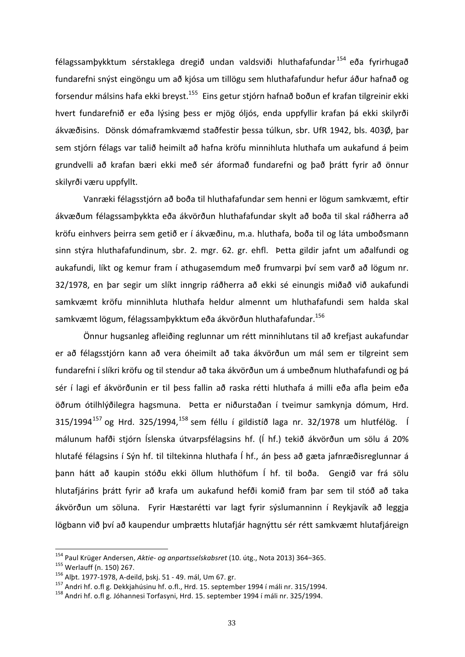félagssamþykktum sérstaklega dregið undan valdsviði hluthafafundar <sup>154</sup> eða fyrirhugað fundarefni snýst eingöngu um að kjósa um tillögu sem hluthafafundur hefur áður hafnað og forsendur málsins hafa ekki breyst.<sup>155</sup> Eins getur stjórn hafnað boðun ef krafan tilgreinir ekki hvert fundarefnið er eða lýsing þess er mjög óljós, enda uppfyllir krafan þá ekki skilyrði ákvæðisins. Dönsk dómaframkvæmd staðfestir þessa túlkun, sbr. UfR 1942, bls. 403Ø, þar sem stjórn félags var talið heimilt að hafna kröfu minnihluta hluthafa um aukafund á þeim grundvelli að krafan bæri ekki með sér áformað fundarefni og það þrátt fyrir að önnur skilyrði væru uppfyllt.

Vanræki félagsstjórn að boða til hluthafafundar sem henni er lögum samkvæmt, eftir ákvæðum félagssamþykkta eða ákvörðun hluthafafundar skylt að boða til skal ráðherra að kröfu einhvers þeirra sem getið er í ákvæðinu, m.a. hluthafa, boða til og láta umboðsmann sinn stýra hluthafafundinum, sbr. 2. mgr. 62. gr. ehfl. Þetta gildir jafnt um aðalfundi og aukafundi, líkt og kemur fram í athugasemdum með frumvarpi því sem varð að lögum nr. 32/1978, en þar segir um slíkt inngrip ráðherra að ekki sé einungis miðað við aukafundi samkvæmt kröfu minnihluta hluthafa heldur almennt um hluthafafundi sem halda skal samkvæmt lögum, félagssamþykktum eða ákvörðun hluthafafundar.<sup>156</sup>

Önnur hugsanleg afleiðing reglunnar um rétt minnihlutans til að krefjast aukafundar er að félagsstjórn kann að vera óheimilt að taka ákvörðun um mál sem er tilgreint sem fundarefni í slíkri kröfu og til stendur að taka ákvörðun um á umbeðnum hluthafafundi og þá sér í lagi ef ákvörðunin er til þess fallin að raska rétti hluthafa á milli eða afla þeim eða öðrum ótilhlýðilegra hagsmuna. Þetta er niðurstaðan í tveimur samkynja dómum, Hrd.  $315/1994^{157}$  og Hrd.  $325/1994$ ,  $^{158}$  sem féllu í gildistíð laga nr.  $32/1978$  um hlutfélög. Í málunum hafði stjórn Íslenska útvarpsfélagsins hf. (Í hf.) tekið ákvörðun um sölu á 20% hlutafé félagsins í Sýn hf. til tiltekinna hluthafa Í hf., án þess að gæta jafnræðisreglunnar á þann hátt að kaupin stóðu ekki öllum hluthöfum Í hf. til boða. Gengið var frá sölu hlutafjárins brátt fyrir að krafa um aukafund hefði komið fram þar sem til stóð að taka ákvörðun um söluna. Fyrir Hæstarétti var lagt fyrir sýslumanninn í Reykjavík að leggja lögbann við því að kaupendur umþrætts hlutafjár hagnýttu sér rétt samkvæmt hlutafjáreign

<sup>&</sup>lt;sup>154</sup> Paul Krüger Andersen, *Aktie- og anpartsselskabsret* (10. útg., Nota 2013) 364–365.<br><sup>155</sup> Werlauff (n. 150) 267.<br><sup>156</sup> Alþt. 1977-1978, A-deild, þskj. 51 - 49. mál, Um 67. gr.<br><sup>157</sup> Andri hf. o.fl g. Dekkjahúsinu hf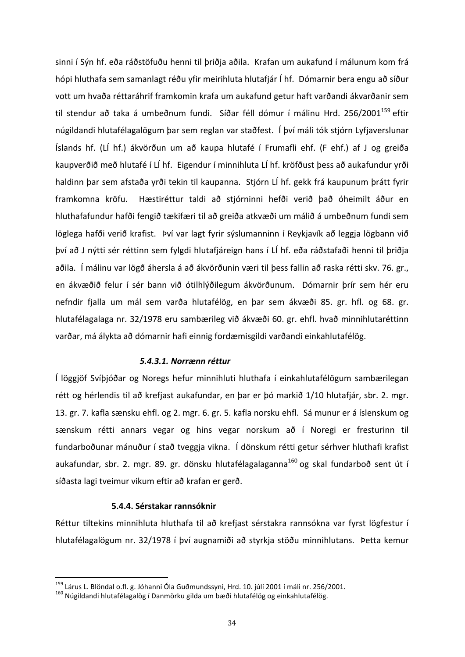sinni í Sýn hf. eða ráðstöfuðu henni til þriðja aðila. Krafan um aukafund í málunum kom frá hópi hluthafa sem samanlagt réðu yfir meirihluta hlutafjár Í hf. Dómarnir bera engu að síður vott um hvaða réttaráhrif framkomin krafa um aukafund getur haft varðandi ákvarðanir sem til stendur að taka á umbeðnum fundi. Síðar féll dómur í málinu Hrd. 256/2001<sup>159</sup> eftir núgildandi hlutafélagalögum þar sem reglan var staðfest. Í því máli tók stjórn Lyfjaverslunar Íslands hf. (LÍ hf.) ákvörðun um að kaupa hlutafé í Frumafli ehf. (F ehf.) af J og greiða kaupverðið með hlutafé í LÍ hf. Eigendur í minnihluta LÍ hf. kröfðust þess að aukafundur yrði haldinn þar sem afstaða yrði tekin til kaupanna. Stjórn LÍ hf. gekk frá kaupunum þrátt fyrir framkomna kröfu. Hæstiréttur taldi að stjórninni hefði verið það óheimilt áður en hluthafafundur hafði fengið tækifæri til að greiða atkvæði um málið á umbeðnum fundi sem löglega hafði verið krafist. Því var lagt fyrir sýslumanninn í Reykjavík að leggja lögbann við því að J nýtti sér réttinn sem fylgdi hlutafjáreign hans í LÍ hf. eða ráðstafaði henni til þriðja aðila. Í málinu var lögð áhersla á að ákvörðunin væri til þess fallin að raska rétti skv. 76. gr., en ákvæðið felur í sér bann við ótilhlýðilegum ákvörðunum. Dómarnir þrír sem hér eru nefndir fjalla um mál sem varða hlutafélög, en þar sem ákvæði 85. gr. hfl. og 68. gr. hlutafélagalaga nr. 32/1978 eru sambærileg við ákvæði 60. gr. ehfl. hvað minnihlutaréttinn varðar, má álykta að dómarnir hafi einnig fordæmisgildi varðandi einkahlutafélög.

### *5.4.3.1. Norrænn réttur*

Í löggjöf Svíþjóðar og Noregs hefur minnihluti hluthafa í einkahlutafélögum sambærilegan rétt og hérlendis til að krefjast aukafundar, en þar er þó markið 1/10 hlutafjár, sbr. 2. mgr. 13. gr. 7. kafla sænsku ehfl. og 2. mgr. 6. gr. 5. kafla norsku ehfl. Sá munur er á íslenskum og sænskum rétti annars vegar og hins vegar norskum að í Noregi er fresturinn til fundarboðunar mánuður í stað tveggja vikna. Í dönskum rétti getur sérhver hluthafi krafist aukafundar, sbr. 2. mgr. 89. gr. dönsku hlutafélagalaganna<sup>160</sup> og skal fundarboð sent út í síðasta lagi tveimur vikum eftir að krafan er gerð.

### **5.4.4. Sérstakar rannsóknir**

Réttur tiltekins minnihluta hluthafa til að krefjast sérstakra rannsókna var fyrst lögfestur í hlutafélagalögum nr. 32/1978 í því augnamiði að styrkja stöðu minnihlutans. Þetta kemur

<sup>&</sup>lt;sup>159</sup> Lárus L. Blöndal o.fl. g. Jóhanni Óla Guðmundssyni, Hrd. 10. júlí 2001 í máli nr. 256/2001.<br><sup>160</sup> Núgildandi hlutafélagalög í Danmörku gilda um bæði hlutafélög og einkahlutafélög.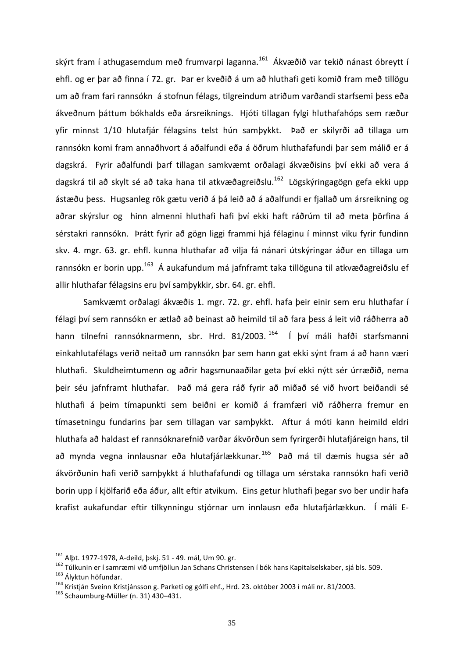skýrt fram í athugasemdum með frumvarpi laganna.<sup>161</sup> Ákvæðið var tekið nánast óbreytt í ehfl. og er þar að finna í 72. gr. Þar er kveðið á um að hluthafi geti komið fram með tillögu um að fram fari rannsókn á stofnun félags, tilgreindum atriðum varðandi starfsemi þess eða ákveðnum þáttum bókhalds eða ársreiknings. Hjóti tillagan fylgi hluthafahóps sem ræður yfir minnst 1/10 hlutafjár félagsins telst hún samþykkt. Það er skilyrði að tillaga um rannsókn komi fram annaðhvort á aðalfundi eða á öðrum hluthafafundi þar sem málið er á dagskrá. Fyrir aðalfundi þarf tillagan samkvæmt orðalagi ákvæðisins því ekki að vera á dagskrá til að skylt sé að taka hana til atkvæðagreiðslu.<sup>162</sup> Lögskýringagögn gefa ekki upp ástæðu þess. Hugsanleg rök gætu verið á þá leið að á aðalfundi er fjallað um ársreikning og aðrar skýrslur og hinn almenni hluthafi hafi því ekki haft ráðrúm til að meta þörfina á sérstakri rannsókn. Þrátt fyrir að gögn liggi frammi hjá félaginu í minnst viku fyrir fundinn skv. 4. mgr. 63. gr. ehfl. kunna hluthafar að vilja fá nánari útskýringar áður en tillaga um rannsókn er borin upp.<sup>163</sup> Á aukafundum má jafnframt taka tillöguna til atkvæðagreiðslu ef allir hluthafar félagsins eru því samþykkir, sbr. 64. gr. ehfl.

Samkvæmt orðalagi ákvæðis 1. mgr. 72. gr. ehfl. hafa þeir einir sem eru hluthafar í félagi því sem rannsókn er ætlað að beinast að heimild til að fara þess á leit við ráðherra að hann tilnefni rannsóknarmenn, sbr. Hrd. 81/2003.<sup>164</sup> Í því máli hafði starfsmanni einkahlutafélags verið neitað um rannsókn þar sem hann gat ekki sýnt fram á að hann væri hluthafi. Skuldheimtumenn og aðrir hagsmunaaðilar geta því ekki nýtt sér úrræðið, nema þeir séu jafnframt hluthafar. Það má gera ráð fyrir að miðað sé við hvort beiðandi sé hluthafi á þeim tímapunkti sem beiðni er komið á framfæri við ráðherra fremur en tímasetningu fundarins þar sem tillagan var samþykkt. Aftur á móti kann heimild eldri hluthafa að haldast ef rannsóknarefnið varðar ákvörðun sem fyrirgerði hlutafjáreign hans, til að mynda vegna innlausnar eða hlutafjárlækkunar.<sup>165</sup> Það má til dæmis hugsa sér að ákvörðunin hafi verið samþykkt á hluthafafundi og tillaga um sérstaka rannsókn hafi verið borin upp í kjölfarið eða áður, allt eftir atvikum. Eins getur hluthafi þegar svo ber undir hafa krafist aukafundar eftir tilkynningu stjórnar um innlausn eða hlutafjárlækkun. Í máli E-

<sup>&</sup>lt;sup>161</sup> Alþt. 1977-1978, A-deild, þskj. 51 - 49. mál, Um 90. gr.<br><sup>162</sup> Túlkunin er í samræmi við umfjöllun Jan Schans Christensen í bók hans Kapitalselskaber, sjá bls. 509.<br><sup>163</sup> Ályktun höfundar.<br><sup>164</sup> Kristján Sveinn Krist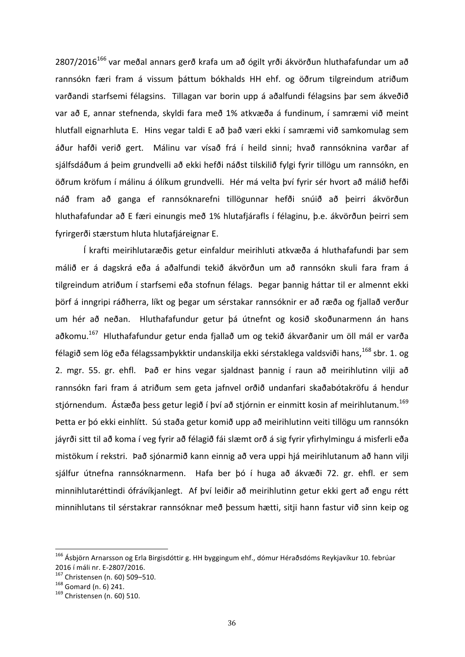$2807/2016^{166}$  var meðal annars gerð krafa um að ógilt yrði ákvörðun hluthafafundar um að rannsókn færi fram á vissum þáttum bókhalds HH ehf. og öðrum tilgreindum atriðum varðandi starfsemi félagsins. Tillagan var borin upp á aðalfundi félagsins þar sem ákveðið var að E, annar stefnenda, skyldi fara með 1% atkvæða á fundinum, í samræmi við meint hlutfall eignarhluta E. Hins vegar taldi E að það væri ekki í samræmi við samkomulag sem áður hafði verið gert. Málinu var vísað frá í heild sinni; hvað rannsóknina varðar af sjálfsdáðum á þeim grundvelli að ekki hefði náðst tilskilið fylgi fyrir tillögu um rannsókn, en öðrum kröfum í málinu á ólíkum grundvelli. Hér má velta því fyrir sér hvort að málið hefði náð fram að ganga ef rannsóknarefni tillögunnar hefði snúið að þeirri ákvörðun hluthafafundar að E færi einungis með 1% hlutafjárafls í félaginu, þ.e. ákvörðun þeirri sem fyrirgerði stærstum hluta hlutafjáreignar E.

Í krafti meirihlutaræðis getur einfaldur meirihluti atkvæða á hluthafafundi þar sem málið er á dagskrá eða á aðalfundi tekið ákvörðun um að rannsókn skuli fara fram á tilgreindum atriðum í starfsemi eða stofnun félags. Þegar þannig háttar til er almennt ekki þörf á inngripi ráðherra, líkt og þegar um sérstakar rannsóknir er að ræða og fjallað verður um hér að neðan. Hluthafafundur getur þá útnefnt og kosið skoðunarmenn án hans aðkomu.<sup>167</sup> Hluthafafundur getur enda fjallað um og tekið ákvarðanir um öll mál er varða félagið sem lög eða félagssamþykktir undanskilja ekki sérstaklega valdsviði hans,<sup>168</sup> sbr. 1. og 2. mgr. 55. gr. ehfl. Það er hins vegar sjaldnast þannig í raun að meirihlutinn vilji að rannsókn fari fram á atriðum sem geta jafnvel orðið undanfari skaðabótakröfu á hendur stjórnendum. Ástæða þess getur legið í því að stjórnin er einmitt kosin af meirihlutanum.<sup>169</sup> Þetta er þó ekki einhlítt. Sú staða getur komið upp að meirihlutinn veiti tillögu um rannsókn jáyrði sitt til að koma í veg fyrir að félagið fái slæmt orð á sig fyrir yfirhylmingu á misferli eða mistökum í rekstri. Það sjónarmið kann einnig að vera uppi hjá meirihlutanum að hann vilji sjálfur útnefna rannsóknarmenn. Hafa ber þó í huga að ákvæði 72. gr. ehfl. er sem minnihlutaréttindi ófrávíkjanlegt. Af því leiðir að meirihlutinn getur ekki gert að engu rétt minnihlutans til sérstakrar rannsóknar með þessum hætti, sitji hann fastur við sinn keip og

<sup>&</sup>lt;sup>166</sup> Ásbjörn Arnarsson og Erla Birgisdóttir g. HH byggingum ehf., dómur Héraðsdóms Reykjavíkur 10. febrúar 2016 í máli nr. E-2807/2016.<br><sup>167</sup> Christensen (n. 60) 509–510.<br><sup>168</sup> Gomard (n. 6) 241.<br><sup>169</sup> Christensen (n. 60) 510.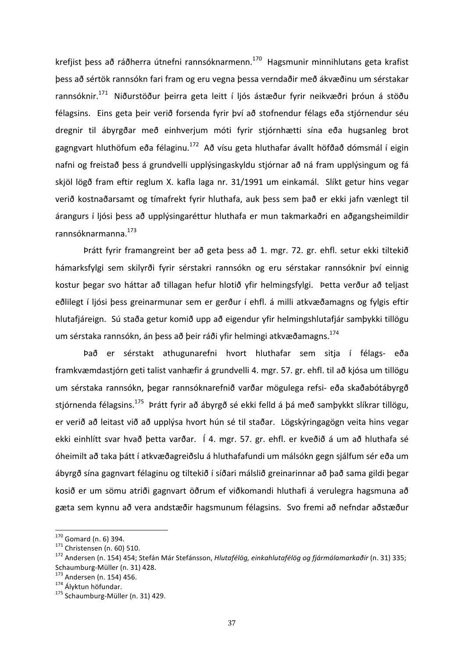krefjist þess að ráðherra útnefni rannsóknarmenn.<sup>170</sup> Hagsmunir minnihlutans geta krafist þess að sértök rannsókn fari fram og eru vegna þessa verndaðir með ákvæðinu um sérstakar rannsóknir.<sup>171</sup> Niðurstöður þeirra geta leitt í ljós ástæður fyrir neikvæðri þróun á stöðu félagsins. Eins geta þeir verið forsenda fyrir því að stofnendur félags eða stjórnendur séu dregnir til ábyrgðar með einhverjum móti fyrir stjórnhætti sína eða hugsanleg brot gagngvart hluthöfum eða félaginu.<sup>172</sup> Að vísu geta hluthafar ávallt höfðað dómsmál í eigin nafni og freistað þess á grundvelli upplýsingaskyldu stjórnar að ná fram upplýsingum og fá skjöl lögð fram eftir reglum X. kafla laga nr. 31/1991 um einkamál. Slíkt getur hins vegar verið kostnaðarsamt og tímafrekt fyrir hluthafa, auk þess sem það er ekki jafn vænlegt til árangurs í ljósi þess að upplýsingaréttur hluthafa er mun takmarkaðri en aðgangsheimildir rannsóknarmanna.173 

Þrátt fyrir framangreint ber að geta þess að 1. mgr. 72. gr. ehfl. setur ekki tiltekið hámarksfylgi sem skilyrði fyrir sérstakri rannsókn og eru sérstakar rannsóknir því einnig kostur þegar svo háttar að tillagan hefur hlotið yfir helmingsfylgi. Þetta verður að teljast eðlilegt í ljósi þess greinarmunar sem er gerður í ehfl. á milli atkvæðamagns og fylgis eftir hlutafjáreign. Sú staða getur komið upp að eigendur yfir helmingshlutafjár samþykki tillögu um sérstaka rannsókn, án þess að þeir ráði yfir helmingi atkvæðamagns.<sup>174</sup>

Það er sérstakt athugunarefni hvort hluthafar sem sitja í félags- eða framkvæmdastjórn geti talist vanhæfir á grundvelli 4. mgr. 57. gr. ehfl. til að kjósa um tillögu um sérstaka rannsókn, þegar rannsóknarefnið varðar mögulega refsi- eða skaðabótábyrgð stjórnenda félagsins.<sup>175</sup> Þrátt fyrir að ábyrgð sé ekki felld á þá með samþykkt slíkrar tillögu, er verið að leitast við að upplýsa hvort hún sé til staðar. Lögskýringagögn veita hins vegar ekki einhlítt svar hvað þetta varðar. Í 4. mgr. 57. gr. ehfl. er kveðið á um að hluthafa sé óheimilt að taka þátt í atkvæðagreiðslu á hluthafafundi um málsókn gegn sjálfum sér eða um ábyrgð sína gagnvart félaginu og tiltekið í síðari málslið greinarinnar að það sama gildi þegar kosið er um sömu atriði gagnvart öðrum ef viðkomandi hluthafi á verulegra hagsmuna að gæta sem kynnu að vera andstæðir hagsmunum félagsins. Svo fremi að nefndar aðstæður

<sup>&</sup>lt;sup>170</sup> Gomard (n. 6) 394.<br><sup>171</sup> Christensen (n. 60) 510.<br><sup>172</sup> Andersen (n. 154) 454; Stefán Már Stefánsson*, Hlutafélög, einkahlutafélög og fjármálamarkaðir* (n. 31) 335; Schaumburg-Müller (n. 31) 428.<br>
<sup>173</sup> Andersen (n. 154) 456.<br>
<sup>174</sup> Ályktun höfundar.<br>
<sup>175</sup> Schaumburg-Müller (n. 31) 429.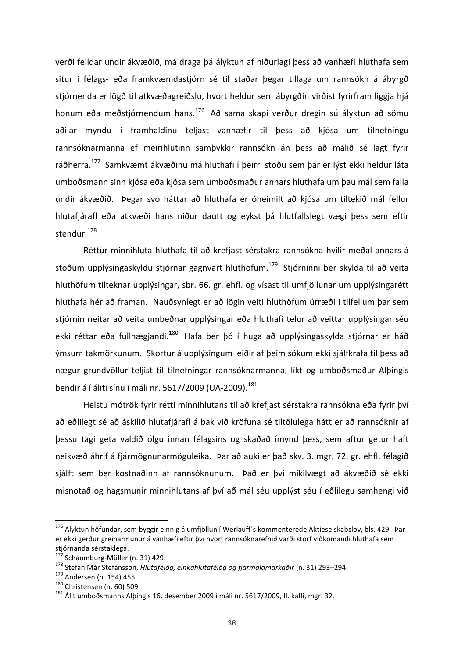verði felldar undir ákvæðið, má draga þá ályktun af niðurlagi þess að vanhæfi hluthafa sem situr í félags- eða framkvæmdastjórn sé til staðar þegar tillaga um rannsókn á ábyrgð stjórnenda er lögð til atkvæðagreiðslu, hvort heldur sem ábyrgðin virðist fyrirfram liggja hjá honum eða meðstjórnendum hans.<sup>176</sup> Að sama skapi verður dregin sú ályktun að sömu aðilar myndu í framhaldinu teljast vanhæfir til þess að kjósa um tilnefningu rannsóknarmanna ef meirihlutinn samþykkir rannsókn án þess að málið sé lagt fyrir ráðherra.<sup>177</sup> Samkvæmt ákvæðinu má hluthafi í þeirri stöðu sem þar er lýst ekki heldur láta umboðsmann sinn kjósa eða kjósa sem umboðsmaður annars hluthafa um þau mál sem falla undir ákvæðið. Þegar svo háttar að hluthafa er óheimilt að kjósa um tiltekið mál fellur hlutafjárafl eða atkvæði hans niður dautt og eykst þá hlutfallslegt vægi þess sem eftir stendur.<sup>178</sup>

Réttur minnihluta hluthafa til að krefjast sérstakra rannsókna hvílir meðal annars á stoðum upplýsingaskyldu stjórnar gagnvart hluthöfum.<sup>179</sup> Stjórninni ber skylda til að veita hluthöfum tilteknar upplýsingar, sbr. 66. gr. ehfl. og vísast til umfjöllunar um upplýsingarétt hluthafa hér að framan. Nauðsynlegt er að lögin veiti hluthöfum úrræði í tilfellum þar sem stjórnin neitar að veita umbeðnar upplýsingar eða hluthafi telur að veittar upplýsingar séu ekki réttar eða fullnægjandi.<sup>180</sup> Hafa ber þó í huga að upplýsingaskylda stjórnar er háð ýmsum takmörkunum. Skortur á upplýsingum leiðir af þeim sökum ekki sjálfkrafa til þess að nægur grundvöllur teljist til tilnefningar rannsóknarmanna, líkt og umboðsmaður Alþingis bendir á í áliti sínu í máli nr. 5617/2009 (UA-2009). $^{181}$ 

Helstu mótrök fyrir rétti minnihlutans til að krefjast sérstakra rannsókna eða fyrir því að eðlilegt sé að áskilið hlutafjárafl á bak við kröfuna sé tiltölulega hátt er að rannsóknir af þessu tagi geta valdið ólgu innan félagsins og skaðað ímynd þess, sem aftur getur haft neikvæð áhrif á fjármögnunarmöguleika. Þar að auki er það skv. 3. mgr. 72. gr. ehfl. félagið sjálft sem ber kostnaðinn af rannsóknunum. Það er því mikilvægt að ákvæðið sé ekki misnotað og hagsmunir minnihlutans af því að mál séu upplýst séu í eðlilegu samhengi við

<sup>&</sup>lt;sup>176</sup> Ályktun höfundar, sem byggir einnig á umfjöllun í Werlauff's kommenterede Aktieselskabslov, bls. 429. Þar er ekki gerður greinarmunur á vanhæfi eftir því hvort rannsóknarefnið varði störf viðkomandi hluthafa sem stjórnanda sérstaklega.

<sup>&</sup>lt;sup>177</sup> Schaumburg-Müller (n. 31) 429.<br><sup>178</sup> Stefán Már Stefánsson, *Hlutafélög, einkahlutafélög og fjármálamarkaðir* (n. 31) 293–294.<br><sup>179</sup> Andersen (n. 154) 455.<br><sup>180</sup> Christensen (n. 60) 509.<br><sup>181</sup> Álit umboðsmanns Albin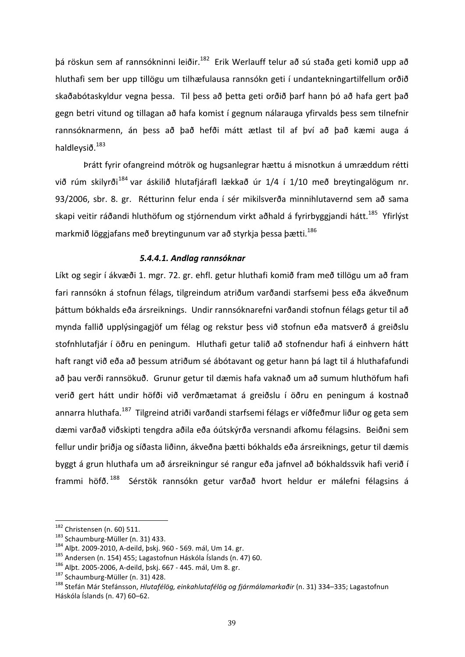þá röskun sem af rannsókninni leiðir.<sup>182</sup> Erik Werlauff telur að sú staða geti komið upp að hluthafi sem ber upp tillögu um tilhæfulausa rannsókn geti í undantekningartilfellum orðið skaðabótaskyldur vegna þessa. Til þess að þetta geti orðið þarf hann þó að hafa gert það gegn betri vitund og tillagan að hafa komist í gegnum nálarauga yfirvalds þess sem tilnefnir rannsóknarmenn, án þess að það hefði mátt ætlast til af því að það kæmi auga á haldleysið.<sup>183</sup>

Þrátt fyrir ofangreind mótrök og hugsanlegrar hættu á misnotkun á umræddum rétti við rúm skilvrði<sup>184</sup> var áskilið hlutafiárafl lækkað úr 1/4 í 1/10 með breytingalögum nr. 93/2006, sbr. 8. gr. Rétturinn felur enda í sér mikilsverða minnihlutavernd sem að sama skapi veitir ráðandi hluthöfum og stjórnendum virkt aðhald á fyrirbyggjandi hátt.<sup>185</sup> Yfirlýst markmið löggjafans með breytingunum var að styrkja þessa þætti.<sup>186</sup>

### *5.4.4.1. Andlag rannsóknar*

Líkt og segir í ákvæði 1. mgr. 72. gr. ehfl. getur hluthafi komið fram með tillögu um að fram fari rannsókn á stofnun félags, tilgreindum atriðum varðandi starfsemi þess eða ákveðnum þáttum bókhalds eða ársreiknings. Undir rannsóknarefni varðandi stofnun félags getur til að mynda fallið upplýsingagjöf um félag og rekstur þess við stofnun eða matsverð á greiðslu stofnhlutafjár í öðru en peningum. Hluthafi getur talið að stofnendur hafi á einhvern hátt haft rangt við eða að þessum atriðum sé ábótavant og getur hann þá lagt til á hluthafafundi að þau verði rannsökuð. Grunur getur til dæmis hafa vaknað um að sumum hluthöfum hafi verið gert hátt undir höfði við verðmætamat á greiðslu í öðru en peningum á kostnað annarra hluthafa.<sup>187</sup> Tilgreind atriði varðandi starfsemi félags er víðfeðmur liður og geta sem dæmi varðað viðskipti tengdra aðila eða óútskýrða versnandi afkomu félagsins. Beiðni sem fellur undir þriðja og síðasta liðinn, ákveðna þætti bókhalds eða ársreiknings, getur til dæmis byggt á grun hluthafa um að ársreikningur sé rangur eða jafnvel að bókhaldssvik hafi verið í frammi höfð. <sup>188</sup> Sérstök rannsókn getur varðað hvort heldur er málefni félagsins á

<sup>&</sup>lt;sup>182</sup> Christensen (n. 60) 511.<br><sup>183</sup> Schaumburg-Müller (n. 31) 433.<br><sup>184</sup> Alþt. 2009-2010, A-deild, þskj. 960 - 569. mál, Um 14. gr.<br><sup>185</sup> Andersen (n. 154) 455; Lagastofnun Háskóla Íslands (n. 47) 60.<br><sup>186</sup> Alþt. 2005-20 Háskóla Íslands (n. 47) 60-62.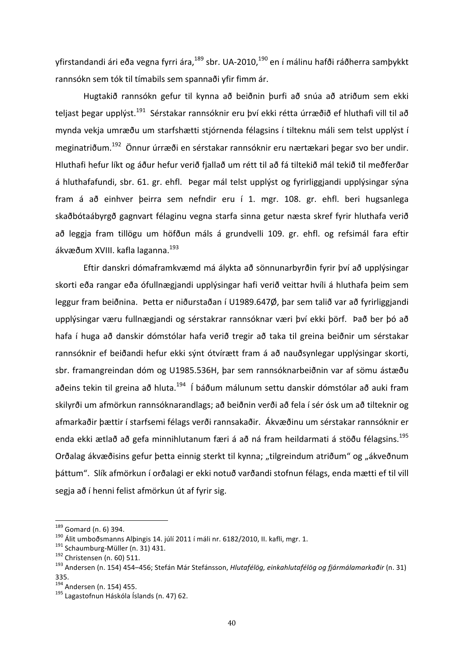yfirstandandi ári eða vegna fyrri ára,<sup>189</sup> sbr. UA-2010,<sup>190</sup> en í málinu hafði ráðherra samþykkt rannsókn sem tók til tímabils sem spannaði yfir fimm ár.

Hugtakið rannsókn gefur til kynna að beiðnin þurfi að snúa að atriðum sem ekki teljast þegar upplýst.<sup>191</sup> Sérstakar rannsóknir eru því ekki rétta úrræðið ef hluthafi vill til að mynda vekja umræðu um starfshætti stjórnenda félagsins í tilteknu máli sem telst upplýst í meginatriðum.<sup>192</sup> Önnur úrræði en sérstakar rannsóknir eru nærtækari þegar svo ber undir. Hluthafi hefur líkt og áður hefur verið fjallað um rétt til að fá tiltekið mál tekið til meðferðar á hluthafafundi, sbr. 61. gr. ehfl. Þegar mál telst upplýst og fyrirliggjandi upplýsingar sýna fram á að einhver þeirra sem nefndir eru í 1. mgr. 108. gr. ehfl. beri hugsanlega skaðbótaábyrgð gagnvart félaginu vegna starfa sinna getur næsta skref fyrir hluthafa verið að leggja fram tillögu um höfðun máls á grundvelli 109. gr. ehfl. og refsimál fara eftir ákvæðum XVIII. kafla laganna.<sup>193</sup>

Eftir danskri dómaframkvæmd má álykta að sönnunarbyrðin fyrir því að upplýsingar skorti eða rangar eða ófullnægjandi upplýsingar hafi verið veittar hvíli á hluthafa þeim sem leggur fram beiðnina. Þetta er niðurstaðan í U1989.647Ø, þar sem talið var að fyrirliggjandi upplýsingar væru fullnægjandi og sérstakrar rannsóknar væri því ekki þörf. Það ber þó að hafa í huga að danskir dómstólar hafa verið tregir að taka til greina beiðnir um sérstakar rannsóknir ef beiðandi hefur ekki sýnt ótvírætt fram á að nauðsynlegar upplýsingar skorti, sbr. framangreindan dóm og U1985.536H, þar sem rannsóknarbeiðnin var af sömu ástæðu aðeins tekin til greina að hluta.<sup>194</sup> Í báðum málunum settu danskir dómstólar að auki fram skilyrði um afmörkun rannsóknarandlags; að beiðnin verði að fela í sér ósk um að tilteknir og afmarkaðir þættir í starfsemi félags verði rannsakaðir. Ákvæðinu um sérstakar rannsóknir er enda ekki ætlað að gefa minnihlutanum færi á að ná fram heildarmati á stöðu félagsins.<sup>195</sup> Orðalag ákvæðisins gefur þetta einnig sterkt til kynna; "tilgreindum atriðum" og "ákveðnum báttum". Slík afmörkun í orðalagi er ekki notuð varðandi stofnun félags, enda mætti ef til vill segja að í henni felist afmörkun út af fyrir sig.

<sup>&</sup>lt;sup>189</sup> Gomard (n. 6) 394.<br><sup>190</sup> Álit umboðsmanns Alþingis 14. júlí 2011 í máli nr. 6182/2010, II. kafli, mgr. 1.<br><sup>191</sup> Schaumburg-Müller (n. 31) 431.<br><sup>192</sup> Christensen (n. 60) 511.<br><sup>193</sup> Andersen (n. 154) 454–456; Stefán Má 335.<br><sup>194</sup> Andersen (n. 154) 455.<br>1364 Andersen (n. 1546)

 $195$  Lagastofnun Háskóla Íslands (n. 47) 62.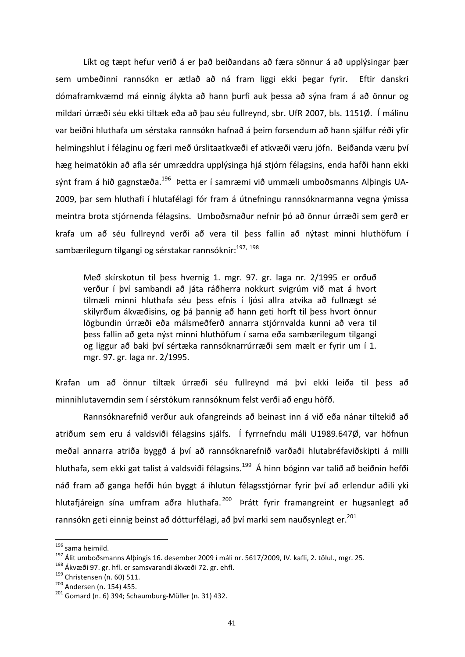Líkt og tæpt hefur verið á er það beiðandans að færa sönnur á að upplýsingar þær sem umbeðinni rannsókn er ætlað að ná fram liggi ekki þegar fyrir. Eftir danskri dómaframkvæmd má einnig álykta að hann þurfi auk þessa að sýna fram á að önnur og mildari úrræði séu ekki tiltæk eða að þau séu fullreynd, sbr. UfR 2007, bls. 1151Ø. Í málinu var beiðni hluthafa um sérstaka rannsókn hafnað á þeim forsendum að hann sjálfur réði yfir helmingshlut í félaginu og færi með úrslitaatkvæði ef atkvæði væru jöfn. Beiðanda væru því hæg heimatökin að afla sér umræddra upplýsinga hjá stjórn félagsins, enda hafði hann ekki sýnt fram á hið gagnstæða.<sup>196</sup> Þetta er í samræmi við ummæli umboðsmanns Alþingis UA-2009, þar sem hluthafi í hlutafélagi fór fram á útnefningu rannsóknarmanna vegna ýmissa meintra brota stjórnenda félagsins. Umboðsmaður nefnir þó að önnur úrræði sem gerð er krafa um að séu fullreynd verði að vera til þess fallin að nýtast minni hluthöfum í sambærilegum tilgangi og sérstakar rannsóknir:<sup>197, 198</sup>

Með skírskotun til þess hvernig 1. mgr. 97. gr. laga nr. 2/1995 er orðuð verður í því sambandi að játa ráðherra nokkurt svigrúm við mat á hvort tilmæli minni hluthafa séu þess efnis í ljósi allra atvika að fullnægt sé skilyrðum ákvæðisins, og þá þannig að hann geti horft til þess hvort önnur lögbundin úrræði eða málsmeðferð annarra stjórnvalda kunni að vera til þess fallin að geta nýst minni hluthöfum í sama eða sambærilegum tilgangi og liggur að baki því sértæka rannsóknarrúrræði sem mælt er fyrir um í 1. mgr. 97. gr. laga nr. 2/1995.

Krafan um að önnur tiltæk úrræði séu fullreynd má því ekki leiða til þess að minnihlutaverndin sem í sérstökum rannsóknum felst verði að engu höfð.

Rannsóknarefnið verður auk ofangreinds að beinast inn á við eða nánar tiltekið að atriðum sem eru á valdsviði félagsins sjálfs. Í fyrrnefndu máli U1989.647Ø, var höfnun meðal annarra atriða byggð á því að rannsóknarefnið varðaði hlutabréfaviðskipti á milli hluthafa, sem ekki gat talist á valdsviði félagsins.<sup>199</sup> Á hinn bóginn var talið að beiðnin hefði náð fram að ganga hefði hún byggt á íhlutun félagsstjórnar fyrir því að erlendur aðili yki hlutafjáreign sína umfram aðra hluthafa. <sup>200</sup> Þrátt fyrir framangreint er hugsanlegt að rannsókn geti einnig beinst að dótturfélagi, að því marki sem nauðsynlegt er.<sup>201</sup>

<sup>&</sup>lt;sup>196</sup> sama heimild.<br><sup>197</sup> Álit umboðsmanns Alþingis 16. desember 2009 í máli nr. 5617/2009, IV. kafli, 2. tölul., mgr. 25.<br><sup>198</sup> Ákvæði 97. gr. hfl. er samsvarandi ákvæði 72. gr. ehfl.<br><sup>199</sup> Christensen (n. 60) 511.<br><sup>200</sup>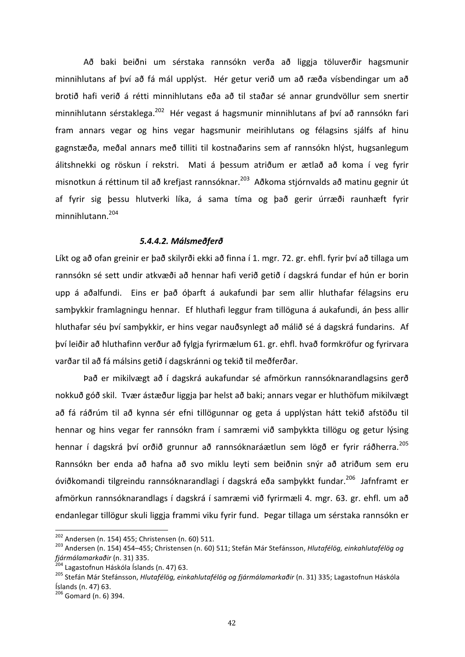Að baki beiðni um sérstaka rannsókn verða að liggja töluverðir hagsmunir minnihlutans af því að fá mál upplýst. Hér getur verið um að ræða vísbendingar um að brotið hafi verið á rétti minnihlutans eða að til staðar sé annar grundvöllur sem snertir minnihlutann sérstaklega.<sup>202</sup> Hér vegast á hagsmunir minnihlutans af því að rannsókn fari fram annars vegar og hins vegar hagsmunir meirihlutans og félagsins sjálfs af hinu gagnstæða, meðal annars með tilliti til kostnaðarins sem af rannsókn hlýst, hugsanlegum álitshnekki og röskun í rekstri. Mati á þessum atriðum er ætlað að koma í veg fyrir misnotkun á réttinum til að krefjast rannsóknar.<sup>203</sup> Aðkoma stjórnvalds að matinu gegnir út af fyrir sig þessu hlutverki líka, á sama tíma og það gerir úrræði raunhæft fyrir minnihlutann.204

### *5.4.4.2. Málsmeðferð*

Líkt og að ofan greinir er það skilyrði ekki að finna í 1. mgr. 72. gr. ehfl. fyrir því að tillaga um rannsókn sé sett undir atkvæði að hennar hafi verið getið í dagskrá fundar ef hún er borin upp á aðalfundi. Eins er það óþarft á aukafundi þar sem allir hluthafar félagsins eru samþykkir framlagningu hennar. Ef hluthafi leggur fram tillöguna á aukafundi, án þess allir hluthafar séu því samþykkir, er hins vegar nauðsynlegt að málið sé á dagskrá fundarins. Af því leiðir að hluthafinn verður að fylgja fyrirmælum 61. gr. ehfl. hvað formkröfur og fyrirvara varðar til að fá málsins getið í dagskránni og tekið til meðferðar.

Það er mikilvægt að í dagskrá aukafundar sé afmörkun rannsóknarandlagsins gerð nokkuð góð skil. Tvær ástæður liggja þar helst að baki; annars vegar er hluthöfum mikilvægt að fá ráðrúm til að kynna sér efni tillögunnar og geta á upplýstan hátt tekið afstöðu til hennar og hins vegar fer rannsókn fram í samræmi við samþykkta tillögu og getur lýsing hennar í dagskrá því orðið grunnur að rannsóknaráætlun sem lögð er fyrir ráðherra.<sup>205</sup> Rannsókn ber enda að hafna að svo miklu leyti sem beiðnin snýr að atriðum sem eru óviðkomandi tilgreindu rannsóknarandlagi í dagskrá eða sambykkt fundar.<sup>206</sup> Jafnframt er afmörkun rannsóknarandlags í dagskrá í samræmi við fyrirmæli 4. mgr. 63. gr. ehfl. um að endanlegar tillögur skuli liggja frammi viku fyrir fund. Þegar tillaga um sérstaka rannsókn er

<sup>&</sup>lt;sup>202</sup> Andersen (n. 154) 455; Christensen (n. 60) 511.<br><sup>203</sup> Andersen (n. 154) 454–455; Christensen (n. 60) 511; Stefán Már Stefánsson, *Hlutafélög, einkahlutafélög og*<br>*Íjármálamarkaðir* (n. 31) 335.<br><sup>204</sup> Lagastofnun Hásk

<sup>&</sup>lt;sup>205</sup> Stefán Már Stefánsson, *Hlutafélög, einkahlutafélög og fjármálamarkaðir* (n. 31) 335; Lagastofnun Háskóla Íslands (n. 47) 63.

 $206$  Gomard (n. 6) 394.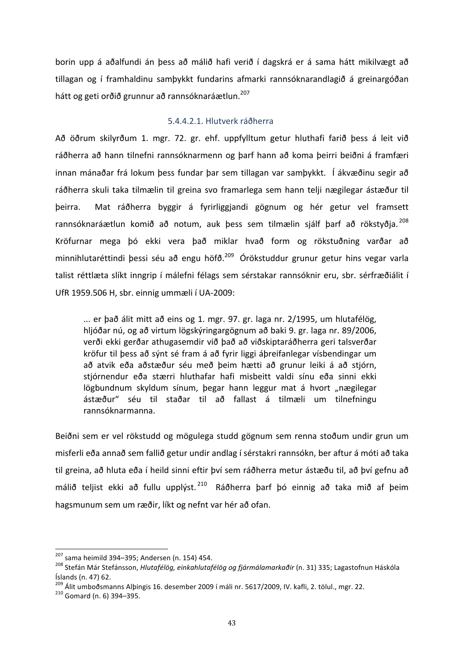borin upp á aðalfundi án þess að málið hafi verið í dagskrá er á sama hátt mikilvægt að tillagan og í framhaldinu samþykkt fundarins afmarki rannsóknarandlagið á greinargóðan hátt og geti orðið grunnur að rannsóknaráætlun.<sup>207</sup>

### 5.4.4.2.1. Hlutverk ráðherra

Að öðrum skilyrðum 1. mgr. 72. gr. ehf. uppfylltum getur hluthafi farið þess á leit við ráðherra að hann tilnefni rannsóknarmenn og þarf hann að koma þeirri beiðni á framfæri innan mánaðar frá lokum þess fundar þar sem tillagan var samþykkt. Í ákvæðinu segir að ráðherra skuli taka tilmælin til greina svo framarlega sem hann telji nægilegar ástæður til þeirra. Mat ráðherra byggir á fyrirliggjandi gögnum og hér getur vel framsett rannsóknaráætlun komið að notum, auk þess sem tilmælin sjálf þarf að rökstyðia. <sup>208</sup> Kröfurnar mega þó ekki vera það miklar hvað form og rökstuðning varðar að minnihlutaréttindi þessi séu að engu höfð.<sup>209</sup> Órökstuddur grunur getur hins vegar varla talist réttlæta slíkt inngrip í málefni félags sem sérstakar rannsóknir eru, sbr. sérfræðiálit í UfR 1959.506 H, sbr. einnig ummæli í UA-2009:

... er það álit mitt að eins og 1. mgr. 97. gr. laga nr. 2/1995, um hlutafélög, hljóðar nú, og að virtum lögskýringargögnum að baki 9. gr. laga nr. 89/2006, verði ekki gerðar athugasemdir við það að viðskiptaráðherra geri talsverðar kröfur til þess að sýnt sé fram á að fyrir liggi áþreifanlegar vísbendingar um að atvik eða aðstæður séu með beim hætti að grunur leiki á að stiórn, stjórnendur eða stærri hluthafar hafi misbeitt valdi sínu eða sinni ekki lögbundnum skyldum sínum, þegar hann leggur mat á hvort "nægilegar ástæður" séu til staðar til að fallast á tilmæli um tilnefningu rannsóknarmanna.

Beiðni sem er vel rökstudd og mögulega studd gögnum sem renna stoðum undir grun um misferli eða annað sem fallið getur undir andlag í sérstakri rannsókn, ber aftur á móti að taka til greina, að hluta eða í heild sinni eftir því sem ráðherra metur ástæðu til, að því gefnu að málið teljist ekki að fullu upplýst.<sup>210</sup> Ráðherra þarf þó einnig að taka mið af þeim hagsmunum sem um ræðir, líkt og nefnt var hér að ofan.

<sup>&</sup>lt;sup>207</sup> sama heimild 394–395; Andersen (n. 154) 454.<br><sup>208</sup> Stefán Már Stefánsson, *Hlutafélög, einkahlutafélög og fjármálamarkaðir* (n. 31) 335; Lagastofnun Háskóla Íslands (n. 47) 62.

 $^{209}$  Álit umboðsmanns Alþingis 16. desember 2009 í máli nr. 5617/2009, IV. kafli, 2. tölul., mgr. 22.  $^{210}$  Gomard (n. 6) 394–395.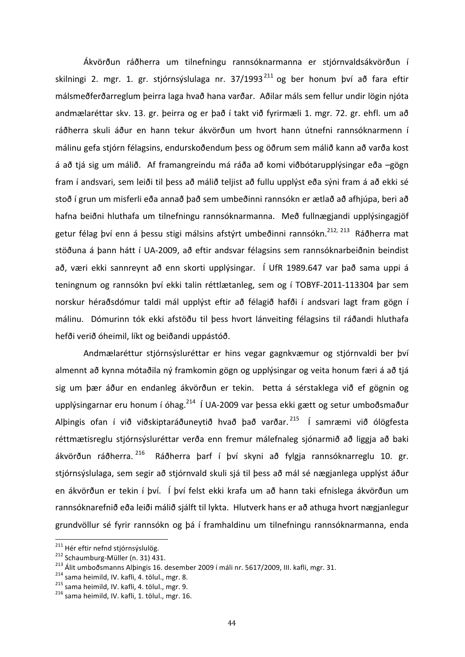Ákvörðun ráðherra um tilnefningu rannsóknarmanna er stjórnvaldsákvörðun í skilningi 2. mgr. 1. gr. stjórnsýslulaga nr. 37/1993<sup>211</sup> og ber honum því að fara eftir málsmeðferðarreglum þeirra laga hvað hana varðar. Aðilar máls sem fellur undir lögin njóta andmælaréttar skv. 13. gr. þeirra og er það í takt við fyrirmæli 1. mgr. 72. gr. ehfl. um að ráðherra skuli áður en hann tekur ákvörðun um hvort hann útnefni rannsóknarmenn í málinu gefa stjórn félagsins, endurskoðendum þess og öðrum sem málið kann að varða kost á að tjá sig um málið. Af framangreindu má ráða að komi viðbótarupplýsingar eða -gögn fram í andsvari, sem leiði til þess að málið teljist að fullu upplýst eða sýni fram á að ekki sé stoð í grun um misferli eða annað það sem umbeðinni rannsókn er ætlað að afhjúpa, beri að hafna beiðni hluthafa um tilnefningu rannsóknarmanna. Með fullnægjandi upplýsingagjöf getur félag því enn á þessu stigi málsins afstýrt umbeðinni rannsókn.<sup>212, 213</sup> Ráðherra mat stöðuna á þann hátt í UA-2009, að eftir andsvar félagsins sem rannsóknarbeiðnin beindist að, væri ekki sannreynt að enn skorti upplýsingar. Í UfR 1989.647 var það sama uppi á teningnum og rannsókn því ekki talin réttlætanleg, sem og í TOBYF-2011-113304 þar sem norskur héraðsdómur taldi mál upplýst eftir að félagið hafði í andsvari lagt fram gögn í málinu. Dómurinn tók ekki afstöðu til þess hvort lánveiting félagsins til ráðandi hluthafa hefði verið óheimil, líkt og beiðandi uppástóð.

Andmælaréttur stjórnsýsluréttar er hins vegar gagnkvæmur og stjórnvaldi ber því almennt að kynna mótaðila ný framkomin gögn og upplýsingar og veita honum færi á að tjá sig um þær áður en endanleg ákvörðun er tekin. Þetta á sérstaklega við ef gögnin og upplýsingarnar eru honum í óhag.<sup>214</sup> Í UA-2009 var þessa ekki gætt og setur umboðsmaður Alþingis ofan í við viðskiptaráðuneytið hvað það varðar. <sup>215</sup> Í samræmi við ólögfesta réttmætisreglu stjórnsýsluréttar verða enn fremur málefnaleg sjónarmið að liggja að baki ákvörðun ráðherra. <sup>216</sup> Ráðherra þarf í því skyni að fylgja rannsóknarreglu 10. gr. stjórnsýslulaga, sem segir að stjórnvald skuli sjá til þess að mál sé nægjanlega upplýst áður en ákvörðun er tekin í því. Í því felst ekki krafa um að hann taki efnislega ákvörðun um rannsóknarefnið eða leiði málið sjálft til lykta. Hlutverk hans er að athuga hvort nægjanlegur grundvöllur sé fyrir rannsókn og þá í framhaldinu um tilnefningu rannsóknarmanna, enda

<sup>&</sup>lt;sup>211</sup> Hér eftir nefnd stjórnsýslulög.<br><sup>212</sup> Schaumburg-Müller (n. 31) 431.<br><sup>213</sup> Álit umboðsmanns Alþingis 16. desember 2009 í máli nr. 5617/2009, III. kafli, mgr. 31.<br><sup>214</sup> sama heimild, IV. kafli, 4. tölul., mgr. 8.<br><sup>215</sup>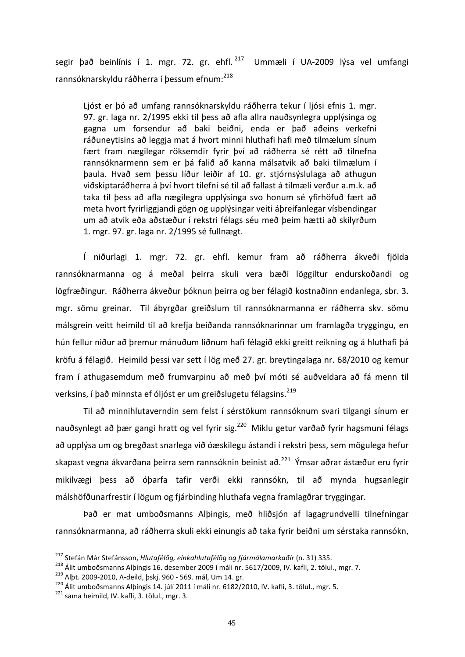segir það beinlínis í 1. mgr. 72. gr. ehfl.<sup>217</sup> Ummæli í UA-2009 lýsa vel umfangi rannsóknarskyldu ráðherra í þessum efnum:<sup>218</sup>

Ljóst er þó að umfang rannsóknarskyldu ráðherra tekur í ljósi efnis 1. mgr. 97. gr. laga nr. 2/1995 ekki til þess að afla allra nauðsynlegra upplýsinga og gagna um forsendur að baki beiðni, enda er það aðeins verkefni ráðuneytisins að leggja mat á hvort minni hluthafi hafi með tilmælum sínum fært fram nægilegar röksemdir fyrir því að ráðherra sé rétt að tilnefna rannsóknarmenn sem er þá falið að kanna málsatvik að baki tilmælum í þaula. Hvað sem þessu líður leiðir af 10. gr. stjórnsýslulaga að athugun viðskiptaráðherra á því hvort tilefni sé til að fallast á tilmæli verður a.m.k. að taka til þess að afla nægilegra upplýsinga svo honum sé yfirhöfuð fært að meta hvort fyrirliggjandi gögn og upplýsingar veiti áþreifanlegar vísbendingar um að atvik eða aðstæður í rekstri félags séu með þeim hætti að skilyrðum 1. mgr. 97. gr. laga nr. 2/1995 sé fullnægt.

Í niðurlagi 1. mgr. 72. gr. ehfl. kemur fram að ráðherra ákveði fjölda rannsóknarmanna og á meðal þeirra skuli vera bæði löggiltur endurskoðandi og lögfræðingur. Ráðherra ákveður þóknun þeirra og ber félagið kostnaðinn endanlega, sbr. 3. mgr. sömu greinar. Til ábyrgðar greiðslum til rannsóknarmanna er ráðherra skv. sömu málsgrein veitt heimild til að krefja beiðanda rannsóknarinnar um framlagða tryggingu, en hún fellur niður að þremur mánuðum liðnum hafi félagið ekki greitt reikning og á hluthafi þá kröfu á félagið. Heimild þessi var sett í lög með 27. gr. breytingalaga nr. 68/2010 og kemur fram í athugasemdum með frumvarpinu að með því móti sé auðveldara að fá menn til verksins, í það minnsta ef óljóst er um greiðslugetu félagsins.<sup>219</sup>

Til að minnihlutaverndin sem felst í sérstökum rannsóknum svari tilgangi sínum er nauðsynlegt að þær gangi hratt og vel fyrir sig.<sup>220</sup> Miklu getur varðað fyrir hagsmuni félags að upplýsa um og bregðast snarlega við óæskilegu ástandi í rekstri þess, sem mögulega hefur skapast vegna ákvarðana þeirra sem rannsóknin beinist að.<sup>221</sup> Ýmsar aðrar ástæður eru fyrir mikilvægi þess að óþarfa tafir verði ekki rannsókn, til að mynda hugsanlegir málshöfðunarfrestir í lögum og fjárbinding hluthafa vegna framlagðrar tryggingar.

Það er mat umboðsmanns Alþingis, með hliðsjón af lagagrundvelli tilnefningar rannsóknarmanna, að ráðherra skuli ekki einungis að taka fyrir beiðni um sérstaka rannsókn,

<sup>&</sup>lt;sup>217</sup> Stefán Már Stefánsson, *Hlutafélög, einkahlutafélög og fjármálamarkaðir* (n. 31) 335.<br><sup>218</sup> Álit umboðsmanns Alþingis 16. desember 2009 í máli nr. 5617/2009, IV. kafli, 2. tölul., mgr. 7.<br><sup>219</sup> Alþt. 2009-2010, A-de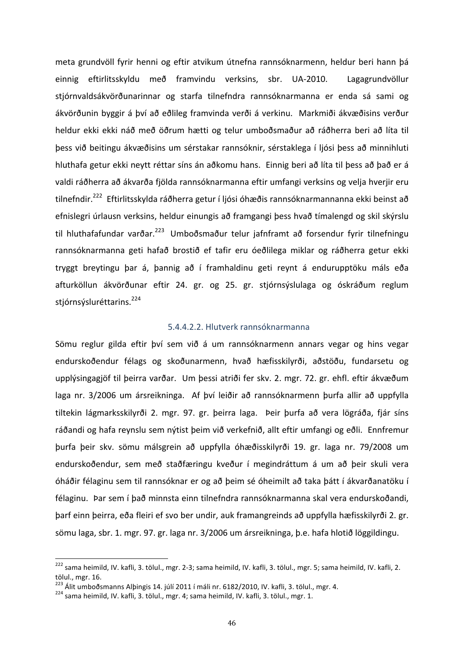meta grundvöll fyrir henni og eftir atvikum útnefna rannsóknarmenn, heldur beri hann þá einnig eftirlitsskyldu með framvindu verksins, sbr. UA-2010. Lagagrundvöllur stjórnvaldsákvörðunarinnar og starfa tilnefndra rannsóknarmanna er enda sá sami og ákvörðunin byggir á því að eðlileg framvinda verði á verkinu. Markmiði ákvæðisins verður heldur ekki ekki náð með öðrum hætti og telur umboðsmaður að ráðherra beri að líta til þess við beitingu ákvæðisins um sérstakar rannsóknir, sérstaklega í ljósi þess að minnihluti hluthafa getur ekki neytt réttar síns án aðkomu hans. Einnig beri að líta til þess að það er á valdi ráðherra að ákvarða fjölda rannsóknarmanna eftir umfangi verksins og velja hverjir eru tilnefndir.<sup>222</sup> Eftirlitsskylda ráðherra getur í ljósi óhæðis rannsóknarmannanna ekki beinst að efnislegri úrlausn verksins, heldur einungis að framgangi þess hvað tímalengd og skil skýrslu til hluthafafundar varðar.<sup>223</sup> Umboðsmaður telur jafnframt að forsendur fyrir tilnefningu rannsóknarmanna geti hafað brostið ef tafir eru óeðlilega miklar og ráðherra getur ekki tryggt breytingu þar á, þannig að í framhaldinu geti reynt á endurupptöku máls eða afturköllun ákvörðunar eftir 24. gr. og 25. gr. stjórnsýslulaga og óskráðum reglum stjórnsýsluréttarins.<sup>224</sup>

# 5.4.4.2.2. Hlutverk rannsóknarmanna

Sömu reglur gilda eftir því sem við á um rannsóknarmenn annars vegar og hins vegar endurskoðendur félags og skoðunarmenn, hvað hæfisskilyrði, aðstöðu, fundarsetu og upplýsingagjöf til þeirra varðar. Um þessi atriði fer skv. 2. mgr. 72. gr. ehfl. eftir ákvæðum laga nr. 3/2006 um ársreikninga. Af því leiðir að rannsóknarmenn þurfa allir að uppfylla tiltekin lágmarksskilyrði 2. mgr. 97. gr. þeirra laga. Þeir þurfa að vera lögráða, fjár síns ráðandi og hafa reynslu sem nýtist þeim við verkefnið, allt eftir umfangi og eðli. Ennfremur þurfa þeir skv. sömu málsgrein að uppfylla óhæðisskilyrði 19. gr. laga nr. 79/2008 um endurskoðendur, sem með staðfæringu kveður í megindráttum á um að þeir skuli vera óháðir félaginu sem til rannsóknar er og að þeim sé óheimilt að taka þátt í ákvarðanatöku í félaginu. Þar sem í það minnsta einn tilnefndra rannsóknarmanna skal vera endurskoðandi, þarf einn þeirra, eða fleiri ef svo ber undir, auk framangreinds að uppfylla hæfisskilyrði 2. gr. sömu laga, sbr. 1. mgr. 97. gr. laga nr. 3/2006 um ársreikninga, þ.e. hafa hlotið löggildingu.

<sup>&</sup>lt;sup>222</sup> sama heimild, IV. kafli, 3. tölul., mgr. 2-3; sama heimild, IV. kafli, 3. tölul., mgr. 5; sama heimild, IV. kafli, 2. tölul., mgr. 16.

<sup>&</sup>lt;sup>223</sup> Álit umboðsmanns Alþingis 14. júlí 2011 í máli nr. 6182/2010, IV. kafli, 3. tölul., mgr. 4.<br><sup>224</sup> sama heimild, IV. kafli, 3. tölul., mgr. 4; sama heimild, IV. kafli, 3. tölul., mgr. 1.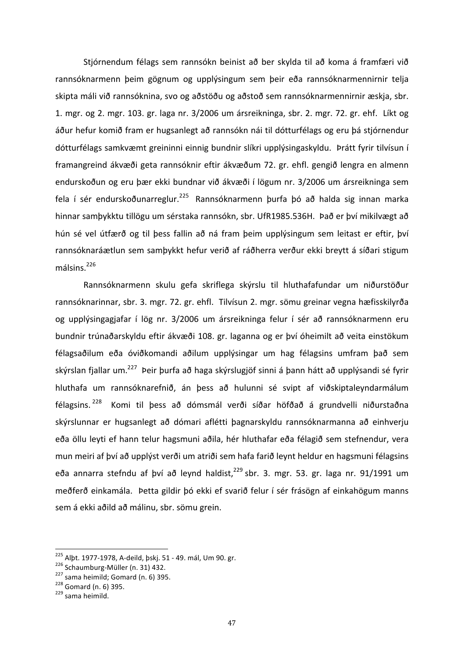Stjórnendum félags sem rannsókn beinist að ber skylda til að koma á framfæri við rannsóknarmenn þeim gögnum og upplýsingum sem þeir eða rannsóknarmennirnir telja skipta máli við rannsóknina, svo og aðstöðu og aðstoð sem rannsóknarmennirnir æskja, sbr. 1. mgr. og 2. mgr. 103. gr. laga nr. 3/2006 um ársreikninga, sbr. 2. mgr. 72. gr. ehf. Líkt og áður hefur komið fram er hugsanlegt að rannsókn nái til dótturfélags og eru þá stjórnendur dótturfélags samkvæmt greininni einnig bundnir slíkri upplýsingaskyldu. Þrátt fyrir tilvísun í framangreind ákvæði geta rannsóknir eftir ákvæðum 72. gr. ehfl. gengið lengra en almenn endurskoðun og eru þær ekki bundnar við ákvæði í lögum nr. 3/2006 um ársreikninga sem fela í sér endurskoðunarreglur.<sup>225</sup> Rannsóknarmenn þurfa þó að halda sig innan marka hinnar samþykktu tillögu um sérstaka rannsókn, sbr. UfR1985.536H. Það er því mikilvægt að hún sé vel útfærð og til þess fallin að ná fram þeim upplýsingum sem leitast er eftir, því rannsóknaráætlun sem samþykkt hefur verið af ráðherra verður ekki breytt á síðari stigum málsins.<sup>226</sup>

Rannsóknarmenn skulu gefa skriflega skýrslu til hluthafafundar um niðurstöður rannsóknarinnar, sbr. 3. mgr. 72. gr. ehfl. Tilvísun 2. mgr. sömu greinar vegna hæfisskilyrða og upplýsingagjafar í lög nr. 3/2006 um ársreikninga felur í sér að rannsóknarmenn eru bundnir trúnaðarskyldu eftir ákvæði 108. gr. laganna og er því óheimilt að veita einstökum félagsaðilum eða óviðkomandi aðilum upplýsingar um hag félagsins umfram það sem skýrslan fjallar um.<sup>227</sup> Þeir þurfa að haga skýrslugjöf sinni á þann hátt að upplýsandi sé fyrir hluthafa um rannsóknarefnið, án þess að hulunni sé svipt af viðskiptaleyndarmálum félagsins. <sup>228</sup> Komi til þess að dómsmál verði síðar höfðað á grundvelli niðurstaðna skýrslunnar er hugsanlegt að dómari aflétti þagnarskyldu rannsóknarmanna að einhverju eða öllu leyti ef hann telur hagsmuni aðila, hér hluthafar eða félagið sem stefnendur, vera mun meiri af því að upplýst verði um atriði sem hafa farið leynt heldur en hagsmuni félagsins eða annarra stefndu af því að leynd haldist, $^{229}$  sbr. 3. mgr. 53. gr. laga nr. 91/1991 um meðferð einkamála. Þetta gildir þó ekki ef svarið felur í sér frásögn af einkahögum manns sem á ekki aðild að málinu, sbr. sömu grein.

<sup>&</sup>lt;sup>225</sup> Alpt. 1977-1978, A-deild, pskj. 51 - 49. mál, Um 90. gr. <sup>226</sup> Schaumburg-Müller (n. 31) 432.<br><sup>227</sup> sama heimild; Gomard (n. 6) 395. <sup>228</sup> Gomard (n. 6) 395. <sup>228</sup> sama heimild.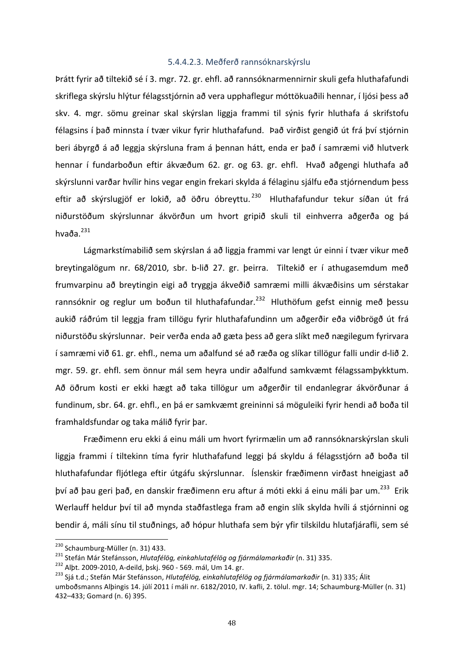# 5.4.4.2.3. Meðferð rannsóknarskýrslu

Þrátt fyrir að tiltekið sé í 3. mgr. 72. gr. ehfl. að rannsóknarmennirnir skuli gefa hluthafafundi skriflega skýrslu hlýtur félagsstjórnin að vera upphaflegur móttökuaðili hennar, í ljósi þess að skv. 4. mgr. sömu greinar skal skýrslan liggja frammi til sýnis fyrir hluthafa á skrifstofu félagsins í það minnsta í tvær vikur fyrir hluthafafund. Það virðist gengið út frá því stjórnin beri ábyrgð á að leggja skýrsluna fram á þennan hátt, enda er það í samræmi við hlutverk hennar í fundarboðun eftir ákvæðum 62. gr. og 63. gr. ehfl. Hvað aðgengi hluthafa að skýrslunni varðar hvílir hins vegar engin frekari skylda á félaginu sjálfu eða stjórnendum þess eftir að skýrslugjöf er lokið, að öðru óbreyttu. <sup>230</sup> Hluthafafundur tekur síðan út frá niðurstöðum skýrslunnar ákvörðun um hvort gripið skuli til einhverra aðgerða og þá hvaða. $^{231}$ 

Lágmarkstímabilið sem skýrslan á að liggja frammi var lengt úr einni í tvær vikur með breytingalögum nr. 68/2010, sbr. b-lið 27. gr. þeirra. Tiltekið er í athugasemdum með frumvarpinu að breytingin eigi að tryggja ákveðið samræmi milli ákvæðisins um sérstakar rannsóknir og reglur um boðun til hluthafafundar.<sup>232</sup> Hluthöfum gefst einnig með þessu aukið ráðrúm til leggja fram tillögu fyrir hluthafafundinn um aðgerðir eða viðbrögð út frá niðurstöðu skýrslunnar. Þeir verða enda að gæta þess að gera slíkt með nægilegum fyrirvara í samræmi við 61. gr. ehfl., nema um aðalfund sé að ræða og slíkar tillögur falli undir d-lið 2. mgr. 59. gr. ehfl. sem önnur mál sem heyra undir aðalfund samkvæmt félagssamþykktum. Að öðrum kosti er ekki hægt að taka tillögur um aðgerðir til endanlegrar ákvörðunar á fundinum, sbr. 64. gr. ehfl., en þá er samkvæmt greininni sá möguleiki fyrir hendi að boða til framhaldsfundar og taka málið fyrir þar.

Fræðimenn eru ekki á einu máli um hvort fyrirmælin um að rannsóknarskýrslan skuli liggja frammi í tiltekinn tíma fyrir hluthafafund leggi þá skyldu á félagsstjórn að boða til hluthafafundar fljótlega eftir útgáfu skýrslunnar. Íslenskir fræðimenn virðast hneigjast að því að þau geri það, en danskir fræðimenn eru aftur á móti ekki á einu máli bar um.<sup>233</sup> Erik Werlauff heldur því til að mynda staðfastlega fram að engin slík skylda hvíli á stjórninni og bendir á, máli sínu til stuðnings, að hópur hluthafa sem býr yfir tilskildu hlutafjárafli, sem sé

<sup>&</sup>lt;sup>230</sup> Schaumburg-Müller (n. 31) 433.<br><sup>231</sup> Stefán Már Stefánsson, *Hlutafélög, einkahlutafélög og fjármálamarkaðir* (n. 31) 335.<br><sup>232</sup> Alþt. 2009-2010, A-deild, þskj. 960 - 569. mál, Um 14. gr.<br><sup>233</sup> Sjá t.d.; Stefán Már S

umboðsmanns Alþingis 14. júlí 2011 í máli nr. 6182/2010, IV. kafli, 2. tölul. mgr. 14; Schaumburg-Müller (n. 31) 432-433; Gomard (n. 6) 395.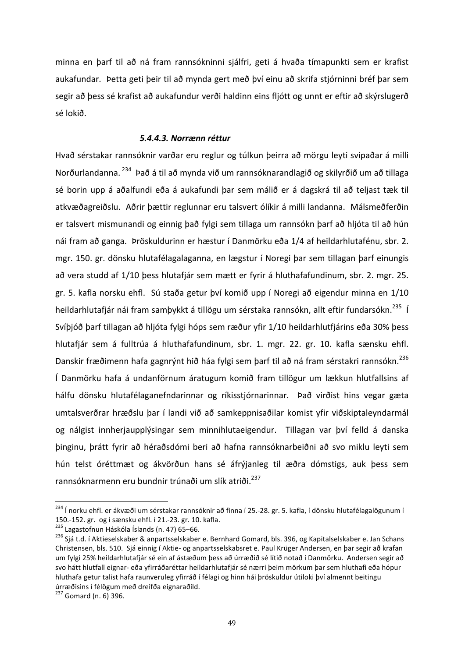minna en þarf til að ná fram rannsókninni sjálfri, geti á hvaða tímapunkti sem er krafist aukafundar. Þetta geti þeir til að mynda gert með því einu að skrifa stjórninni bréf þar sem segir að þess sé krafist að aukafundur verði haldinn eins fljótt og unnt er eftir að skýrslugerð sé lokið. 

### *5.4.4.3. Norrænn réttur*

Hvað sérstakar rannsóknir varðar eru reglur og túlkun þeirra að mörgu leyti svipaðar á milli Norðurlandanna. <sup>234</sup> Það á til að mynda við um rannsóknarandlagið og skilyrðið um að tillaga sé borin upp á aðalfundi eða á aukafundi þar sem málið er á dagskrá til að teljast tæk til atkvæðagreiðslu. Aðrir þættir reglunnar eru talsvert ólíkir á milli landanna. Málsmeðferðin er talsvert mismunandi og einnig það fylgi sem tillaga um rannsókn þarf að hljóta til að hún nái fram að ganga. Þröskuldurinn er hæstur í Danmörku eða 1/4 af heildarhlutafénu, sbr. 2. mgr. 150. gr. dönsku hlutafélagalaganna, en lægstur í Noregi þar sem tillagan þarf einungis að vera studd af 1/10 þess hlutafjár sem mætt er fyrir á hluthafafundinum, sbr. 2. mgr. 25. gr. 5. kafla norsku ehfl. Sú staða getur því komið upp í Noregi að eigendur minna en 1/10 heildarhlutafjár nái fram samþykkt á tillögu um sérstaka rannsókn, allt eftir fundarsókn.<sup>235</sup> Í Svíþjóð þarf tillagan að hljóta fylgi hóps sem ræður yfir 1/10 heildarhlutfjárins eða 30% þess hlutafjár sem á fulltrúa á hluthafafundinum, sbr. 1. mgr. 22. gr. 10. kafla sænsku ehfl. Danskir fræðimenn hafa gagnrýnt hið háa fylgi sem þarf til að ná fram sérstakri rannsókn.<sup>236</sup> Í Danmörku hafa á undanförnum áratugum komið fram tillögur um lækkun hlutfallsins af hálfu dönsku hlutafélaganefndarinnar og ríkisstjórnarinnar. Það virðist hins vegar gæta umtalsverðrar hræðslu þar í landi við að samkeppnisaðilar komist yfir viðskiptaleyndarmál og nálgist innherjaupplýsingar sem minnihlutaeigendur. Tillagan var því felld á danska þinginu, þrátt fyrir að héraðsdómi beri að hafna rannsóknarbeiðni að svo miklu leyti sem hún telst óréttmæt og ákvörðun hans sé áfrýjanleg til æðra dómstigs, auk þess sem rannsóknarmenn eru bundnir trúnaði um slík atriði.<sup>237</sup>

<sup>&</sup>lt;sup>234</sup> Í norku ehfl. er ákvæði um sérstakar rannsóknir að finna í 25.-28. gr. 5. kafla, í dönsku hlutafélagalögunum í<br>150.-152. gr. og í sænsku ehfl. í 21.-23. gr. 10. kafla.<br><sup>235</sup> Lagastofnun Háskóla Íslands (n. 47) 65–66

 $^{236}$  Sia t.d. í Aktieselskaber & anpartsselskaber e. Bernhard Gomard, bls. 396, og Kapitalselskaber e. Jan Schans Christensen, bls. 510. Sjá einnig í Aktie- og anpartsselskabsret e. Paul Krüger Andersen, en þar segir að krafan um fylgi 25% heildarhlutafjár sé ein af ástæðum þess að úrræðið sé lítið notað í Danmörku. Andersen segir að svo hátt hlutfall eignar- eða yfirráðaréttar heildarhlutafjár sé nærri þeim mörkum þar sem hluthafi eða hópur hluthafa getur talist hafa raunveruleg yfirráð í félagi og hinn hái þröskuldur útiloki því almennt beitingu úrræðisins í félögum með dreifða eignaraðild.

 $237$  Gomard (n. 6) 396.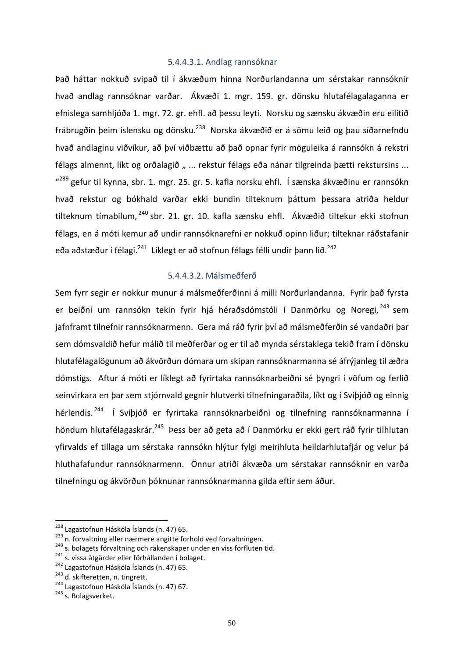# 5.4.4.3.1. Andlag rannsóknar

Það háttar nokkuð svipað til í ákvæðum hinna Norðurlandanna um sérstakar rannsóknir hvað andlag rannsóknar varðar. Ákvæði 1. mgr. 159. gr. dönsku hlutafélagalaganna er efnislega samhljóða 1. mgr. 72. gr. ehfl. að þessu leyti. Norsku og sænsku ákvæðin eru eilítið frábrugðin þeim íslensku og dönsku.<sup>238</sup> Norska ákvæðið er á sömu leið og þau síðarnefndu hvað andlaginu viðvíkur, að því viðbættu að það opnar fyrir möguleika á rannsókn á rekstri félags almennt, líkt og orðalagið " ... rekstur félags eða nánar tilgreinda þætti rekstursins ... "<sup>239</sup> gefur til kynna, sbr. 1. mgr. 25. gr. 5. kafla norsku ehfl. Í sænska ákvæðinu er rannsókn hvað rekstur og bókhald varðar ekki bundin tilteknum þáttum þessara atriða heldur tilteknum tímabilum, <sup>240</sup> sbr. 21. gr. 10. kafla sænsku ehfl. Ákvæðið tiltekur ekki stofnun félags, en á móti kemur að undir rannsóknarefni er nokkuð opinn liður; tilteknar ráðstafanir eða aðstæður í félagi.<sup>241</sup> Líklegt er að stofnun félags félli undir þann lið.<sup>242</sup>

# 5.4.4.3.2. Málsmeðferð

Sem fyrr segir er nokkur munur á málsmeðferðinni á milli Norðurlandanna. Fyrir það fyrsta er beiðni um rannsókn tekin fyrir hjá héraðsdómstóli í Danmörku og Noregi, <sup>243</sup> sem jafnframt tilnefnir rannsóknarmenn. Gera má ráð fyrir því að málsmeðferðin sé vandaðri þar sem dómsvaldið hefur málið til meðferðar og er til að mynda sérstaklega tekið fram í dönsku hlutafélagalögunum að ákvörðun dómara um skipan rannsóknarmanna sé áfrýjanleg til æðra dómstigs. Aftur á móti er líklegt að fyrirtaka rannsóknarbeiðni sé þyngri í vöfum og ferlið seinvirkara en þar sem stjórnvald gegnir hlutverki tilnefningaraðila, líkt og í Svíþjóð og einnig hérlendis.<sup>244</sup> Í Svíþjóð er fyrirtaka rannsóknarbeiðni og tilnefning rannsóknarmanna í höndum hlutafélagaskrár.<sup>245</sup> Þess ber að geta að í Danmörku er ekki gert ráð fyrir tilhlutan yfirvalds ef tillaga um sérstaka rannsókn hlýtur fylgi meirihluta heildarhlutafjár og velur þá hluthafafundur rannsóknarmenn. Önnur atriði ákvæða um sérstakar rannsóknir en varða tilnefningu og ákvörðun þóknunar rannsóknarmanna gilda eftir sem áður.

<sup>&</sup>lt;sup>238</sup> Lagastofnun Háskóla Íslands (n. 47) 65.<br><sup>239</sup> n. forvaltning eller nærmere angitte forhold ved forvaltningen.<br><sup>240</sup> s. bolagets förvaltning och räkenskaper under en viss förfluten tid.<br><sup>241</sup> s. vissa åtgärder eller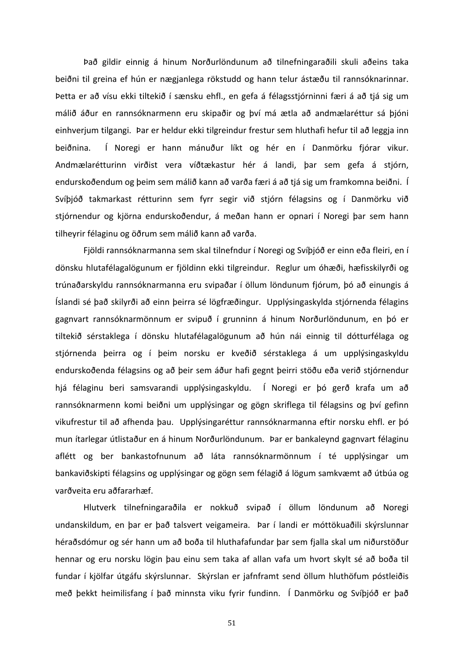Það gildir einnig á hinum Norðurlöndunum að tilnefningaraðili skuli aðeins taka beiðni til greina ef hún er nægjanlega rökstudd og hann telur ástæðu til rannsóknarinnar. Þetta er að vísu ekki tiltekið í sænsku ehfl., en gefa á félagsstjórninni færi á að tjá sig um málið áður en rannsóknarmenn eru skipaðir og því má ætla að andmælaréttur sá þjóni einhverjum tilgangi. Þar er heldur ekki tilgreindur frestur sem hluthafi hefur til að leggja inn beiðnina. Í Noregi er hann mánuður líkt og hér en í Danmörku fjórar vikur. Andmælarétturinn virðist vera víðtækastur hér á landi, þar sem gefa á stjórn, endurskoðendum og þeim sem málið kann að varða færi á að tjá sig um framkomna beiðni. Í Svíþjóð takmarkast rétturinn sem fyrr segir við stjórn félagsins og í Danmörku við stjórnendur og kjörna endurskoðendur, á meðan hann er opnari í Noregi þar sem hann tilheyrir félaginu og öðrum sem málið kann að varða.

Fjöldi rannsóknarmanna sem skal tilnefndur í Noregi og Svíþjóð er einn eða fleiri, en í dönsku hlutafélagalögunum er fjöldinn ekki tilgreindur. Reglur um óhæði, hæfisskilyrði og trúnaðarskyldu rannsóknarmanna eru svipaðar í öllum löndunum fjórum, þó að einungis á Íslandi sé það skilyrði að einn þeirra sé lögfræðingur. Upplýsingaskylda stjórnenda félagins gagnvart rannsóknarmönnum er svipuð í grunninn á hinum Norðurlöndunum, en þó er tiltekið sérstaklega í dönsku hlutafélagalögunum að hún nái einnig til dótturfélaga og stjórnenda þeirra og í þeim norsku er kveðið sérstaklega á um upplýsingaskyldu endurskoðenda félagsins og að þeir sem áður hafi gegnt þeirri stöðu eða verið stjórnendur hjá félaginu beri samsvarandi upplýsingaskyldu. Í Noregi er þó gerð krafa um að rannsóknarmenn komi beiðni um upplýsingar og gögn skriflega til félagsins og því gefinn vikufrestur til að afhenda þau. Upplýsingaréttur rannsóknarmanna eftir norsku ehfl. er þó mun ítarlegar útlistaður en á hinum Norðurlöndunum. Þar er bankaleynd gagnvart félaginu aflétt og ber bankastofnunum að láta rannsóknarmönnum í té upplýsingar um bankaviðskipti félagsins og upplýsingar og gögn sem félagið á lögum samkvæmt að útbúa og varðveita eru aðfararhæf. 

Hlutverk tilnefningaraðila er nokkuð svipað í öllum löndunum að Noregi undanskildum, en þar er það talsvert veigameira. Þar í landi er móttökuaðili skýrslunnar héraðsdómur og sér hann um að boða til hluthafafundar þar sem fjalla skal um niðurstöður hennar og eru norsku lögin þau einu sem taka af allan vafa um hvort skylt sé að boða til fundar í kjölfar útgáfu skýrslunnar. Skýrslan er jafnframt send öllum hluthöfum póstleiðis með þekkt heimilisfang í það minnsta viku fyrir fundinn. Í Danmörku og Svíþjóð er það

51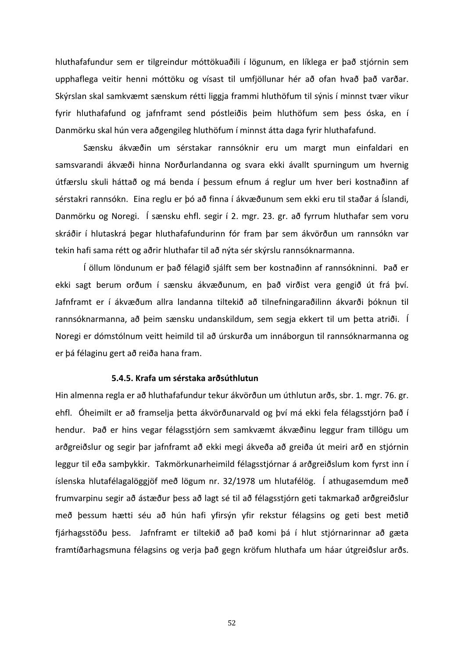hluthafafundur sem er tilgreindur móttökuaðili í lögunum, en líklega er það stjórnin sem upphaflega veitir henni móttöku og vísast til umfjöllunar hér að ofan hvað það varðar. Skýrslan skal samkvæmt sænskum rétti liggja frammi hluthöfum til sýnis í minnst tvær vikur fyrir hluthafafund og jafnframt send póstleiðis þeim hluthöfum sem þess óska, en í Danmörku skal hún vera aðgengileg hluthöfum í minnst átta daga fyrir hluthafafund.

Sænsku ákvæðin um sérstakar rannsóknir eru um margt mun einfaldari en samsvarandi ákvæði hinna Norðurlandanna og svara ekki ávallt spurningum um hvernig útfærslu skuli háttað og má benda í þessum efnum á reglur um hver beri kostnaðinn af sérstakri rannsókn. Eina reglu er þó að finna í ákvæðunum sem ekki eru til staðar á Íslandi, Danmörku og Noregi. Í sænsku ehfl. segir í 2. mgr. 23. gr. að fyrrum hluthafar sem voru skráðir í hlutaskrá þegar hluthafafundurinn fór fram þar sem ákvörðun um rannsókn var tekin hafi sama rétt og aðrir hluthafar til að nýta sér skýrslu rannsóknarmanna.

Í öllum löndunum er það félagið sjálft sem ber kostnaðinn af rannsókninni. Það er ekki sagt berum orðum í sænsku ákvæðunum, en það virðist vera gengið út frá því. Jafnframt er í ákvæðum allra landanna tiltekið að tilnefningaraðilinn ákvarði þóknun til rannsóknarmanna, að þeim sænsku undanskildum, sem segja ekkert til um þetta atriði. Í Noregi er dómstólnum veitt heimild til að úrskurða um innáborgun til rannsóknarmanna og er þá félaginu gert að reiða hana fram.

#### **5.4.5. Krafa um sérstaka arðsúthlutun**

Hin almenna regla er að hluthafafundur tekur ákvörðun um úthlutun arðs, sbr. 1. mgr. 76. gr. ehfl. Óheimilt er að framselja þetta ákvörðunarvald og því má ekki fela félagsstjórn það í hendur. Það er hins vegar félagsstjórn sem samkvæmt ákvæðinu leggur fram tillögu um arðgreiðslur og segir þar jafnframt að ekki megi ákveða að greiða út meiri arð en stjórnin leggur til eða samþykkir. Takmörkunarheimild félagsstjórnar á arðgreiðslum kom fyrst inn í íslenska hlutafélagalöggjöf með lögum nr. 32/1978 um hlutafélög. Í athugasemdum með frumvarpinu segir að ástæður þess að lagt sé til að félagsstjórn geti takmarkað arðgreiðslur með þessum hætti séu að hún hafi yfirsýn yfir rekstur félagsins og geti best metið fjárhagsstöðu þess. Jafnframt er tiltekið að það komi þá í hlut stjórnarinnar að gæta framtíðarhagsmuna félagsins og verja það gegn kröfum hluthafa um háar útgreiðslur arðs.

52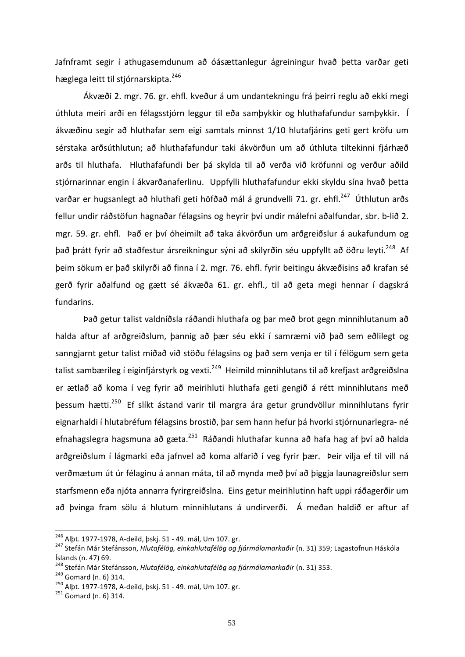Jafnframt segir í athugasemdunum að óásættanlegur ágreiningur hvað þetta varðar geti hæglega leitt til stjórnarskipta.<sup>246</sup>

Ákvæði 2. mgr. 76. gr. ehfl. kveður á um undantekningu frá þeirri reglu að ekki megi úthluta meiri arði en félagsstjórn leggur til eða samþykkir og hluthafafundur samþykkir. Í ákvæðinu segir að hluthafar sem eigi samtals minnst 1/10 hlutafjárins geti gert kröfu um sérstaka arðsúthlutun; að hluthafafundur taki ákvörðun um að úthluta tiltekinni fjárhæð arðs til hluthafa. Hluthafafundi ber þá skylda til að verða við kröfunni og verður aðild stjórnarinnar engin í ákvarðanaferlinu. Uppfylli hluthafafundur ekki skyldu sína hvað þetta varðar er hugsanlegt að hluthafi geti höfðað mál á grundvelli 71. gr. ehfl.<sup>247</sup> Úthlutun arðs fellur undir ráðstöfun hagnaðar félagsins og heyrir því undir málefni aðalfundar, sbr. b-lið 2. mgr. 59. gr. ehfl. Það er því óheimilt að taka ákvörðun um arðgreiðslur á aukafundum og það þrátt fyrir að staðfestur ársreikningur sýni að skilyrðin séu uppfyllt að öðru leyti.<sup>248</sup> Af þeim sökum er það skilyrði að finna í 2. mgr. 76. ehfl. fyrir beitingu ákvæðisins að krafan sé gerð fyrir aðalfund og gætt sé ákvæða 61. gr. ehfl., til að geta megi hennar í dagskrá fundarins. 

Það getur talist valdníðsla ráðandi hluthafa og þar með brot gegn minnihlutanum að halda aftur af arðgreiðslum, þannig að þær séu ekki í samræmi við það sem eðlilegt og sanngjarnt getur talist miðað við stöðu félagsins og það sem venja er til í félögum sem geta talist sambærileg í eiginfjárstyrk og vexti.<sup>249</sup> Heimild minnihlutans til að krefjast arðgreiðslna er ætlað að koma í veg fyrir að meirihluti hluthafa geti gengið á rétt minnihlutans með þessum hætti.<sup>250</sup> Ef slíkt ástand varir til margra ára getur grundvöllur minnihlutans fyrir eignarhaldi í hlutabréfum félagsins brostið, þar sem hann hefur þá hvorki stjórnunarlegra- né efnahagslegra hagsmuna að gæta.<sup>251</sup> Ráðandi hluthafar kunna að hafa hag af því að halda arðgreiðslum í lágmarki eða jafnvel að koma alfarið í veg fyrir þær. Þeir vilja ef til vill ná verðmætum út úr félaginu á annan máta, til að mynda með því að þiggja launagreiðslur sem starfsmenn eða njóta annarra fyrirgreiðslna. Eins getur meirihlutinn haft uppi ráðagerðir um að þvinga fram sölu á hlutum minnihlutans á undirverði. Á meðan haldið er aftur af

<sup>&</sup>lt;sup>246</sup> Alþt. 1977-1978, A-deild, þskj. 51 - 49. mál, Um 107. gr.<br><sup>247</sup> Stefán Már Stefánsson, *Hlutafélög, einkahlutafélög og fjármálamarkaðir* (n. 31) 359; Lagastofnun Háskóla Íslands (n. 47) 69.

<sup>&</sup>lt;sup>248</sup> Stefán Már Stefánsson, *Hlutafélög, einkahlutafélög og fjármálamarkaðir* (n. 31) 353.<br><sup>249</sup> Gomard (n. 6) 314.<br><sup>250</sup> Alþt. 1977-1978, A-deild, þskj. 51 - 49. mál, Um 107. gr.<br><sup>251</sup> Gomard (n. 6) 314.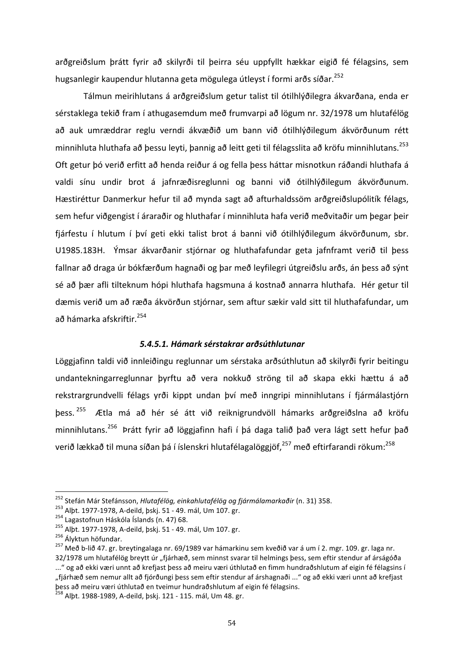arðgreiðslum þrátt fyrir að skilyrði til þeirra séu uppfyllt hækkar eigið fé félagsins, sem hugsanlegir kaupendur hlutanna geta mögulega útleyst í formi arðs síðar.<sup>252</sup>

Tálmun meirihlutans á arðgreiðslum getur talist til ótilhlýðilegra ákvarðana, enda er sérstaklega tekið fram í athugasemdum með frumvarpi að lögum nr. 32/1978 um hlutafélög að auk umræddrar reglu verndi ákvæðið um bann við ótilhlýðilegum ákvörðunum rétt minnihluta hluthafa að þessu leyti, þannig að leitt geti til félagsslita að kröfu minnihlutans.<sup>253</sup> Oft getur þó verið erfitt að henda reiður á og fella þess háttar misnotkun ráðandi hluthafa á valdi sínu undir brot á jafnræðisreglunni og banni við ótilhlýðilegum ákvörðunum. Hæstiréttur Danmerkur hefur til að mynda sagt að afturhaldssöm arðgreiðslupólitík félags, sem hefur viðgengist í áraraðir og hluthafar í minnihluta hafa verið meðvitaðir um þegar þeir fjárfestu í hlutum í því geti ekki talist brot á banni við ótilhlýðilegum ákvörðunum, sbr. U1985.183H. Ýmsar ákvarðanir stjórnar og hluthafafundar geta jafnframt verið til þess fallnar að draga úr bókfærðum hagnaði og þar með leyfilegri útgreiðslu arðs, án þess að sýnt sé að þær afli tilteknum hópi hluthafa hagsmuna á kostnað annarra hluthafa. Hér getur til dæmis verið um að ræða ákvörðun stjórnar, sem aftur sækir vald sitt til hluthafafundar, um að hámarka afskriftir.<sup>254</sup>

### *5.4.5.1. Hámark sérstakrar arðsúthlutunar*

Löggjafinn taldi við innleiðingu reglunnar um sérstaka arðsúthlutun að skilyrði fyrir beitingu undantekningarreglunnar þyrftu að vera nokkuð ströng til að skapa ekki hættu á að rekstrargrundvelli félags yrði kippt undan því með inngripi minnihlutans í fjármálastjórn þess. <sup>255</sup> Ætla má að hér sé átt við reiknigrundvöll hámarks arðgreiðslna að kröfu minnihlutans.<sup>256</sup> Þrátt fyrir að löggjafinn hafi í þá daga talið það vera lágt sett hefur það verið lækkað til muna síðan þá í íslenskri hlutafélagalöggjöf,<sup>257</sup> með eftirfarandi rökum:<sup>258</sup>

<sup>&</sup>lt;sup>252</sup> Stefán Már Stefánsson, *Hlutafélög, einkahlutafélög og fjármálamarkaðir* (n. 31) 358.<br><sup>253</sup> Alþt. 1977-1978, A-deild, þskj. 51 - 49. mál, Um 107. gr.<br><sup>254</sup> Lagastofnun Háskóla Íslands (n. 47) 68.<br><sup>255</sup> Alþt. 1977-19 32/1978 um hlutafélög breytt úr "fjárhæð, sem minnst svarar til helmings þess, sem eftir stendur af árságóða ..." og að ekki væri unnt að krefjast þess að meiru væri úthlutað en fimm hundraðshlutum af eigin fé félagsins í "fjárhæð sem nemur allt að fjórðungi þess sem eftir stendur af árshagnaði ..." og að ekki væri unnt að krefjast þess að meiru væri úthlutað en tveimur hundraðshlutum af eigin fé félagsins.

<sup>&</sup>lt;sup>258</sup> Albt. 1988-1989, A-deild, þskj. 121 - 115. mál, Um 48. gr.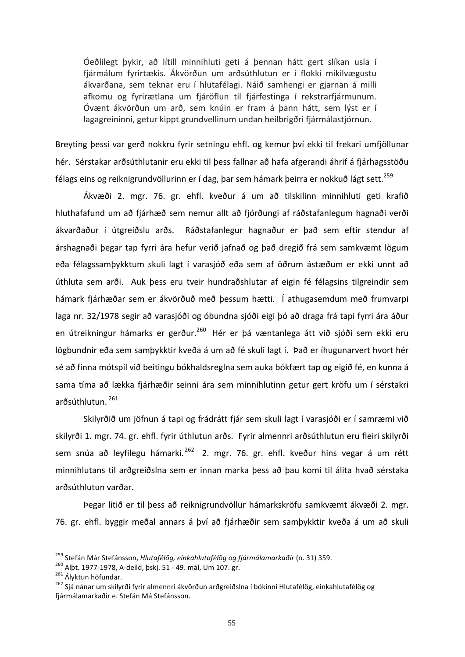Óeðlilegt þykir, að lítill minnihluti geti á þennan hátt gert slíkan usla í fjármálum fyrirtækis. Ákvörðun um arðsúthlutun er í flokki mikilvægustu ákvarðana, sem teknar eru í hlutafélagi. Náið samhengi er gjarnan á milli afkomu og fyrirætlana um fjáröflun til fjárfestinga í rekstrarfjármunum. Óvænt ákvörðun um arð, sem knúin er fram á þann hátt, sem lýst er í lagagreininni, getur kippt grundvellinum undan heilbrigðri fjármálastjórnun.

Breyting þessi var gerð nokkru fyrir setningu ehfl. og kemur því ekki til frekari umfjöllunar hér. Sérstakar arðsúthlutanir eru ekki til þess fallnar að hafa afgerandi áhrif á fjárhagsstöðu félags eins og reiknigrundvöllurinn er í dag, þar sem hámark þeirra er nokkuð lágt sett.<sup>259</sup>

Ákvæði 2. mgr. 76. gr. ehfl. kveður á um að tilskilinn minnihluti geti krafið hluthafafund um að fjárhæð sem nemur allt að fjórðungi af ráðstafanlegum hagnaði verði ákvarðaður í útgreiðslu arðs. Ráðstafanlegur hagnaður er það sem eftir stendur af árshagnaði þegar tap fyrri ára hefur verið jafnað og það dregið frá sem samkvæmt lögum eða félagssamþykktum skuli lagt í varasjóð eða sem af öðrum ástæðum er ekki unnt að úthluta sem arði. Auk þess eru tveir hundraðshlutar af eigin fé félagsins tilgreindir sem hámark fjárhæðar sem er ákvörðuð með þessum hætti. Í athugasemdum með frumvarpi laga nr. 32/1978 segir að varasjóði og óbundna sjóði eigi þó að draga frá tapi fyrri ára áður en útreikningur hámarks er gerður.<sup>260</sup> Hér er þá væntanlega átt við sjóði sem ekki eru lögbundnir eða sem samþykktir kveða á um að fé skuli lagt í. Það er íhugunarvert hvort hér sé að finna mótspil við beitingu bókhaldsreglna sem auka bókfært tap og eigið fé, en kunna á sama tíma að lækka fjárhæðir seinni ára sem minnihlutinn getur gert kröfu um í sérstakri arðsúthlutun. <sup>261</sup>

Skilyrðið um jöfnun á tapi og frádrátt fjár sem skuli lagt í varasjóði er í samræmi við skilyrði 1. mgr. 74. gr. ehfl. fyrir úthlutun arðs. Fyrir almennri arðsúthlutun eru fleiri skilyrði sem snúa að leyfilegu hámarki. <sup>262</sup> 2. mgr. 76. gr. ehfl. kveður hins vegar á um rétt minnihlutans til arðgreiðslna sem er innan marka þess að þau komi til álita hvað sérstaka arðsúthlutun varðar.

Þegar litið er til þess að reiknigrundvöllur hámarkskröfu samkvæmt ákvæði 2. mgr. 76. gr. ehfl. byggir meðal annars á því að fjárhæðir sem samþykktir kveða á um að skuli

<sup>&</sup>lt;sup>259</sup> Stefán Már Stefánsson, *Hlutafélög, einkahlutafélög og fjármálamarkaðir* (n. 31) 359.<br><sup>260</sup> Alþt. 1977-1978, A-deild, þskj. 51 - 49. mál, Um 107. gr.<br><sup>261</sup> Ályktun höfundar.<br><sup>262</sup> Sjá nánar um skilyrði fyrir almennri fjármálamarkaðir e. Stefán Má Stefánsson.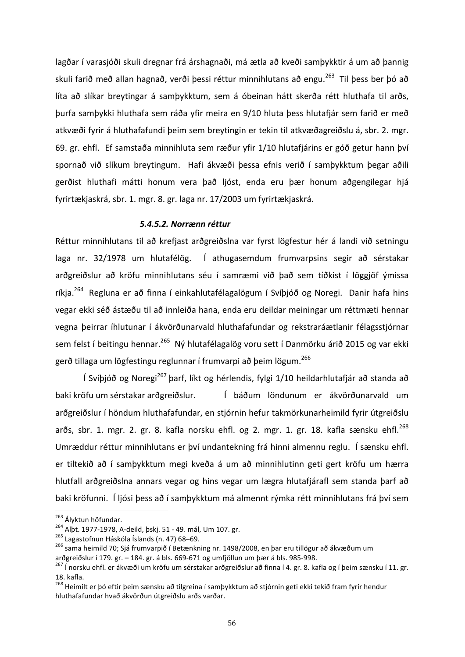lagðar í varasjóði skuli dregnar frá árshagnaði, má ætla að kveði samþykktir á um að þannig skuli farið með allan hagnað, verði þessi réttur minnihlutans að engu.<sup>263</sup> Til þess ber þó að líta að slíkar breytingar á samþykktum, sem á óbeinan hátt skerða rétt hluthafa til arðs, þurfa samþykki hluthafa sem ráða yfir meira en 9/10 hluta þess hlutafjár sem farið er með atkvæði fyrir á hluthafafundi þeim sem breytingin er tekin til atkvæðagreiðslu á, sbr. 2. mgr. 69. gr. ehfl. Ef samstaða minnihluta sem ræður yfir 1/10 hlutafjárins er góð getur hann því spornað við slíkum breytingum. Hafi ákvæði þessa efnis verið í samþykktum þegar aðili gerðist hluthafi mátti honum vera það ljóst, enda eru þær honum aðgengilegar hjá fyrirtækjaskrá, sbr. 1. mgr. 8. gr. laga nr. 17/2003 um fyrirtækjaskrá.

# *5.4.5.2. Norrænn réttur*

Réttur minnihlutans til að krefjast arðgreiðslna var fyrst lögfestur hér á landi við setningu laga nr. 32/1978 um hlutafélög. Í athugasemdum frumvarpsins segir að sérstakar arðgreiðslur að kröfu minnihlutans séu í samræmi við það sem tíðkist í löggjöf ýmissa ríkia.<sup>264</sup> Regluna er að finna í einkahlutafélagalögum í Svíþjóð og Noregi. Danir hafa hins vegar ekki séð ástæðu til að innleiða hana, enda eru deildar meiningar um réttmæti hennar vegna þeirrar íhlutunar í ákvörðunarvald hluthafafundar og rekstraráætlanir félagsstjórnar sem felst í beitingu hennar.<sup>265</sup> Ný hlutafélagalög voru sett í Danmörku árið 2015 og var ekki gerð tillaga um lögfestingu reglunnar í frumvarpi að þeim lögum.<sup>266</sup>

Í Svíþjóð og Noregi<sup>267</sup> þarf, líkt og hérlendis, fylgi 1/10 heildarhlutafjár að standa að baki kröfu um sérstakar arðgreiðslur. Í báðum löndunum er ákvörðunarvald um arðgreiðslur í höndum hluthafafundar, en stjórnin hefur takmörkunarheimild fyrir útgreiðslu arðs, sbr. 1. mgr. 2. gr. 8. kafla norsku ehfl. og 2. mgr. 1. gr. 18. kafla sænsku ehfl.<sup>268</sup> Umræddur réttur minnihlutans er því undantekning frá hinni almennu reglu. Í sænsku ehfl. er tiltekið að í samþykktum megi kveða á um að minnihlutinn geti gert kröfu um hærra hlutfall arðgreiðslna annars vegar og hins vegar um lægra hlutafjárafl sem standa þarf að baki kröfunni. Í ljósi þess að í samþykktum má almennt rýmka rétt minnihlutans frá því sem

<sup>&</sup>lt;sup>263</sup> Ályktun höfundar.<br><sup>264</sup> Alþt. 1977-1978, A-deild, þskj. 51 - 49. mál, Um 107. gr.<br><sup>265</sup> Lagastofnun Háskóla Íslands (n. 47) 68–69.<br><sup>266</sup> sama heimild 70; Sjá frumvarpið í Betænkning nr. 1498/2008, en þar eru tillögur arðgreiðslur í 179. gr. – 184. gr. á bls. 669-671 og umfjöllun um þær á bls. 985-998.<br><sup>267</sup> Í norsku ehfl. er ákvæði um kröfu um sérstakar arðgreiðslur að finna í 4. gr. 8. kafla og í þeim sænsku í 11. gr.

<sup>18.</sup> kafla.

<sup>&</sup>lt;sup>268</sup> Heimilt er þó eftir þeim sænsku að tilgreina í samþykktum að stjórnin geti ekki tekið fram fyrir hendur hluthafafundar hvað ákvörðun útgreiðslu arðs varðar.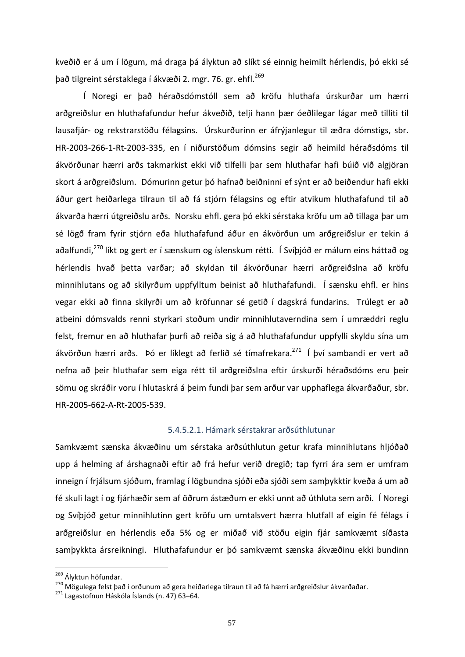kveðið er á um í lögum, má draga þá ályktun að slíkt sé einnig heimilt hérlendis, þó ekki sé það tilgreint sérstaklega í ákvæði 2. mgr. 76. gr. ehfl.<sup>269</sup>

Í Noregi er það héraðsdómstóll sem að kröfu hluthafa úrskurðar um hærri arðgreiðslur en hluthafafundur hefur ákveðið, telji hann þær óeðlilegar lágar með tilliti til lausafjár- og rekstrarstöðu félagsins. Úrskurðurinn er áfrýjanlegur til æðra dómstigs, sbr. HR-2003-266-1-Rt-2003-335, en í niðurstöðum dómsins segir að heimild héraðsdóms til ákvörðunar hærri arðs takmarkist ekki við tilfelli þar sem hluthafar hafi búið við algjöran skort á arðgreiðslum. Dómurinn getur þó hafnað beiðninni ef sýnt er að beiðendur hafi ekki áður gert heiðarlega tilraun til að fá stjórn félagsins og eftir atvikum hluthafafund til að ákvarða hærri útgreiðslu arðs. Norsku ehfl. gera þó ekki sérstaka kröfu um að tillaga þar um sé lögð fram fyrir stjórn eða hluthafafund áður en ákvörðun um arðgreiðslur er tekin á aðalfundi,<sup>270</sup> líkt og gert er í sænskum og íslenskum rétti. Í Svíþjóð er málum eins háttað og hérlendis hvað þetta varðar; að skyldan til ákvörðunar hærri arðgreiðslna að kröfu minnihlutans og að skilyrðum uppfylltum beinist að hluthafafundi. Í sænsku ehfl. er hins vegar ekki að finna skilyrði um að kröfunnar sé getið í dagskrá fundarins. Trúlegt er að atbeini dómsvalds renni styrkari stoðum undir minnihlutaverndina sem í umræddri reglu felst, fremur en að hluthafar þurfi að reiða sig á að hluthafafundur uppfylli skyldu sína um ákvörðun hærri arðs. Þó er líklegt að ferlið sé tímafrekara.<sup>271</sup> Í því sambandi er vert að nefna að þeir hluthafar sem eiga rétt til arðgreiðslna eftir úrskurði héraðsdóms eru þeir sömu og skráðir voru í hlutaskrá á þeim fundi þar sem arður var upphaflega ákvarðaður, sbr. HR-2005-662-A-Rt-2005-539.

### 5.4.5.2.1. Hámark sérstakrar arðsúthlutunar

Samkvæmt sænska ákvæðinu um sérstaka arðsúthlutun getur krafa minnihlutans hljóðað upp á helming af árshagnaði eftir að frá hefur verið dregið; tap fyrri ára sem er umfram inneign í frjálsum sjóðum, framlag í lögbundna sjóði eða sjóði sem samþykktir kveða á um að fé skuli lagt í og fjárhæðir sem af öðrum ástæðum er ekki unnt að úthluta sem arði. Í Noregi og Svíþjóð getur minnihlutinn gert kröfu um umtalsvert hærra hlutfall af eigin fé félags í arðgreiðslur en hérlendis eða 5% og er miðað við stöðu eigin fjár samkvæmt síðasta samþykkta ársreikningi. Hluthafafundur er þó samkvæmt sænska ákvæðinu ekki bundinn

<sup>&</sup>lt;sup>269</sup> Ályktun höfundar.<br><sup>270</sup> Mögulega felst það í orðunum að gera heiðarlega tilraun til að fá hærri arðgreiðslur ákvarðaðar.<br><sup>271</sup> Lagastofnun Háskóla Íslands (n. 47) 63–64.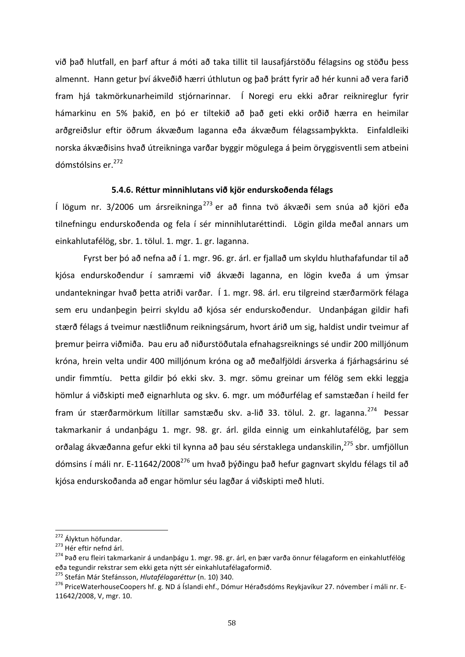við það hlutfall, en þarf aftur á móti að taka tillit til lausafjárstöðu félagsins og stöðu þess almennt. Hann getur því ákveðið hærri úthlutun og það þrátt fyrir að hér kunni að vera farið fram hjá takmörkunarheimild stjórnarinnar. Í Noregi eru ekki aðrar reiknireglur fyrir hámarkinu en 5% þakið, en þó er tiltekið að það geti ekki orðið hærra en heimilar arðgreiðslur eftir öðrum ákvæðum laganna eða ákvæðum félagssamþykkta. Einfaldleiki norska ákvæðisins hvað útreikninga varðar byggir mögulega á þeim öryggisventli sem atbeini dómstólsins er.<sup>272</sup>

# **5.4.6. Réttur minnihlutans við kjör endurskoðenda félags**

Í lögum nr. 3/2006 um ársreikninga<sup>273</sup> er að finna tvö ákvæði sem snúa að kjöri eða tilnefningu endurskoðenda og fela í sér minnihlutaréttindi. Lögin gilda meðal annars um einkahlutafélög, sbr. 1. tölul. 1. mgr. 1. gr. laganna.

Fyrst ber þó að nefna að í 1. mgr. 96. gr. árl. er fjallað um skyldu hluthafafundar til að kjósa endurskoðendur í samræmi við ákvæði laganna, en lögin kveða á um ýmsar undantekningar hvað þetta atriði varðar. Í 1. mgr. 98. árl. eru tilgreind stærðarmörk félaga sem eru undanþegin þeirri skyldu að kjósa sér endurskoðendur. Undanþágan gildir hafi stærð félags á tveimur næstliðnum reikningsárum, hvort árið um sig, haldist undir tveimur af þremur þeirra viðmiða. Þau eru að niðurstöðutala efnahagsreiknings sé undir 200 milljónum króna, hrein velta undir 400 milljónum króna og að meðalfjöldi ársverka á fjárhagsárinu sé undir fimmtíu. Þetta gildir þó ekki skv. 3. mgr. sömu greinar um félög sem ekki leggja hömlur á viðskipti með eignarhluta og skv. 6. mgr. um móðurfélag ef samstæðan í heild fer fram úr stærðarmörkum lítillar samstæðu skv. a-lið 33. tölul. 2. gr. laganna.<sup>274</sup> Þessar takmarkanir á undanþágu 1. mgr. 98. gr. árl. gilda einnig um einkahlutafélög, þar sem orðalag ákvæðanna gefur ekki til kynna að þau séu sérstaklega undanskilin.<sup>275</sup> sbr. umfiöllun dómsins í máli nr. E-11642/2008<sup>276</sup> um hvað þýðingu það hefur gagnvart skyldu félags til að kjósa endurskoðanda að engar hömlur séu lagðar á viðskipti með hluti.

<sup>&</sup>lt;sup>272</sup> Ályktun höfundar.<br><sup>273</sup> Hér eftir nefnd árl.<br><sup>274</sup> Það eru fleiri takmarkanir á undanþágu 1. mgr. 98. gr. árl, en þær varða önnur félagaform en einkahlutfélög eða tegundir rekstrar sem ekki geta nýtt sér einkahlutafélagaformið.<br><sup>275</sup> Stefán Már Stefánsson, *Hlutafélagaréttur* (n. 10) 340.

<sup>&</sup>lt;sup>276</sup> PriceWaterhouseCoopers hf. g. ND á Íslandi ehf., Dómur Héraðsdóms Reykjavíkur 27. nóvember í máli nr. E-11642/2008, V, mgr. 10.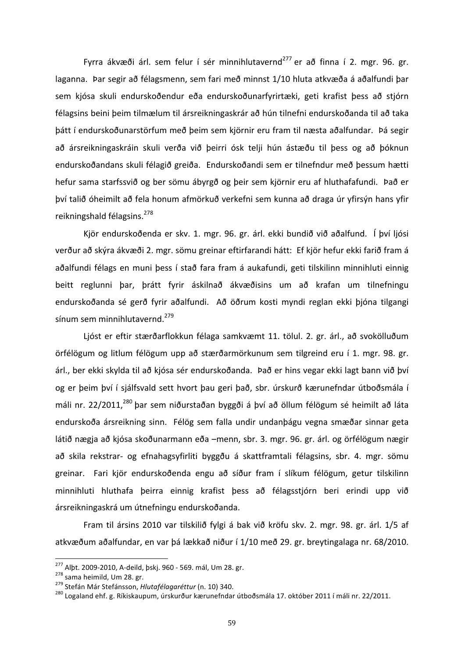Fyrra ákvæði árl. sem felur í sér minnihlutavernd<sup>277</sup> er að finna í 2. mgr. 96. gr. laganna. Þar segir að félagsmenn, sem fari með minnst 1/10 hluta atkvæða á aðalfundi þar sem kjósa skuli endurskoðendur eða endurskoðunarfyrirtæki, geti krafist þess að stjórn félagsins beini þeim tilmælum til ársreikningaskrár að hún tilnefni endurskoðanda til að taka þátt í endurskoðunarstörfum með þeim sem kjörnir eru fram til næsta aðalfundar. Þá segir að ársreikningaskráin skuli verða við þeirri ósk telji hún ástæðu til þess og að þóknun endurskoðandans skuli félagið greiða. Endurskoðandi sem er tilnefndur með þessum hætti hefur sama starfssvið og ber sömu ábyrgð og þeir sem kjörnir eru af hluthafafundi. Það er því talið óheimilt að fela honum afmörkuð verkefni sem kunna að draga úr yfirsýn hans yfir reikningshald félagsins.<sup>278</sup>

Kjör endurskoðenda er skv. 1. mgr. 96. gr. árl. ekki bundið við aðalfund. Í því ljósi verður að skýra ákvæði 2. mgr. sömu greinar eftirfarandi hátt: Ef kjör hefur ekki farið fram á aðalfundi félags en muni þess í stað fara fram á aukafundi, geti tilskilinn minnihluti einnig beitt reglunni þar, þrátt fyrir áskilnað ákvæðisins um að krafan um tilnefningu endurskoðanda sé gerð fyrir aðalfundi. Að öðrum kosti myndi reglan ekki þjóna tilgangi sínum sem minnihlutavernd.<sup>279</sup>

Ljóst er eftir stærðarflokkun félaga samkvæmt 11. tölul. 2. gr. árl., að svokölluðum örfélögum og litlum félögum upp að stærðarmörkunum sem tilgreind eru í 1. mgr. 98. gr. árl., ber ekki skylda til að kjósa sér endurskoðanda. Það er hins vegar ekki lagt bann við því og er þeim því í sjálfsvald sett hvort þau geri það, sbr. úrskurð kærunefndar útboðsmála í máli nr. 22/2011,<sup>280</sup> þar sem niðurstaðan byggði á því að öllum félögum sé heimilt að láta endurskoða ársreikning sinn. Félög sem falla undir undanþágu vegna smæðar sinnar geta látið nægja að kjósa skoðunarmann eða –menn, sbr. 3. mgr. 96. gr. árl. og örfélögum nægir að skila rekstrar- og efnahagsyfirliti byggðu á skattframtali félagsins, sbr. 4. mgr. sömu greinar. Fari kjör endurskoðenda engu að síður fram í slíkum félögum, getur tilskilinn minnihluti hluthafa beirra einnig krafist bess að félagsstjórn beri erindi upp við ársreikningaskrá um útnefningu endurskoðanda.

Fram til ársins 2010 var tilskilið fylgi á bak við kröfu skv. 2. mgr. 98. gr. árl. 1/5 af atkvæðum aðalfundar, en var þá lækkað niður í 1/10 með 29. gr. breytingalaga nr. 68/2010.

<sup>&</sup>lt;sup>277</sup> Alþt. 2009-2010, A-deild, þskj. 960 - 569. mál, Um 28. gr.<br><sup>278</sup> sama heimild, Um 28. gr.<br><sup>279</sup> Stefán Már Stefánsson, *Hlutafélagaréttur* (n. 10) 340.<br><sup>280</sup> Logaland ehf. g. Ríkiskaupum, úrskurður kærunefndar útboðs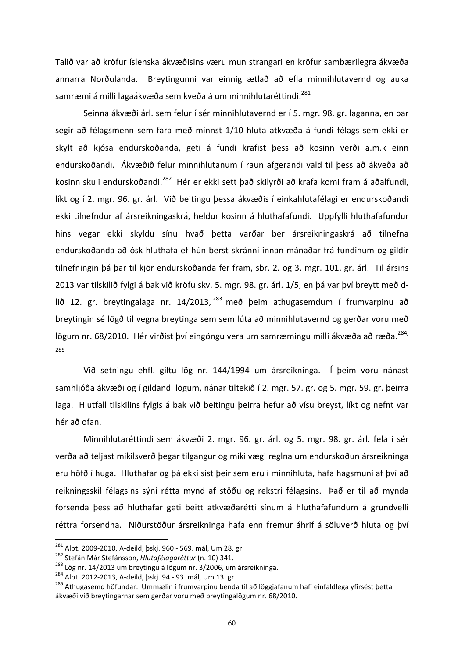Talið var að kröfur íslenska ákvæðisins væru mun strangari en kröfur sambærilegra ákvæða annarra Norðulanda. Breytingunni var einnig ætlað að efla minnihlutavernd og auka samræmi á milli lagaákvæða sem kveða á um minnihlutaréttindi.<sup>281</sup>

Seinna ákvæði árl. sem felur í sér minnihlutavernd er í 5. mgr. 98. gr. laganna, en þar segir að félagsmenn sem fara með minnst 1/10 hluta atkvæða á fundi félags sem ekki er skylt að kjósa endurskoðanda, geti á fundi krafist þess að kosinn verði a.m.k einn endurskoðandi. Ákvæðið felur minnihlutanum í raun afgerandi vald til þess að ákveða að kosinn skuli endurskoðandi.<sup>282</sup> Hér er ekki sett það skilyrði að krafa komi fram á aðalfundi, líkt og í 2. mgr. 96. gr. árl. Við beitingu þessa ákvæðis í einkahlutafélagi er endurskoðandi ekki tilnefndur af ársreikningaskrá, heldur kosinn á hluthafafundi. Uppfylli hluthafafundur hins vegar ekki skyldu sínu hvað þetta varðar ber ársreikningaskrá að tilnefna endurskoðanda að ósk hluthafa ef hún berst skránni innan mánaðar frá fundinum og gildir tilnefningin þá þar til kjör endurskoðanda fer fram, sbr. 2. og 3. mgr. 101. gr. árl. Til ársins 2013 var tilskilið fylgi á bak við kröfu skv. 5. mgr. 98. gr. árl. 1/5, en þá var því breytt með dlið 12. gr. breytingalaga nr. 14/2013,  $^{283}$  með beim athugasemdum í frumvarpinu að breytingin sé lögð til vegna breytinga sem sem lúta að minnihlutavernd og gerðar voru með lögum nr. 68/2010. Hér virðist því eingöngu vera um samræmingu milli ákvæða að ræða.<sup>284,</sup> 285 

Við setningu ehfl. giltu lög nr. 144/1994 um ársreikninga. Í þeim voru nánast samhljóða ákvæði og í gildandi lögum, nánar tiltekið í 2. mgr. 57. gr. og 5. mgr. 59. gr. þeirra laga. Hlutfall tilskilins fylgis á bak við beitingu þeirra hefur að vísu breyst, líkt og nefnt var hér að ofan.

Minnihlutaréttindi sem ákvæði 2. mgr. 96. gr. árl. og 5. mgr. 98. gr. árl. fela í sér verða að teljast mikilsverð þegar tilgangur og mikilvægi reglna um endurskoðun ársreikninga eru höfð í huga. Hluthafar og þá ekki síst þeir sem eru í minnihluta, hafa hagsmuni af því að reikningsskil félagsins sýni rétta mynd af stöðu og rekstri félagsins. Það er til að mynda forsenda þess að hluthafar geti beitt atkvæðarétti sínum á hluthafafundum á grundvelli réttra forsendna. Niðurstöður ársreikninga hafa enn fremur áhrif á söluverð hluta og því

<sup>&</sup>lt;sup>281</sup> Alþt. 2009-2010, A-deild, þskj. 960 - 569. mál, Um 28. gr.<br><sup>282</sup> Stefán Már Stefánsson, *Hlutafélagaréttur* (n. 10) 341.<br><sup>283</sup> Lög nr. 14/2013 um breytingu á lögum nr. 3/2006, um ársreikninga.<br><sup>284</sup> Alþt. 2012-2013, ákvæði við breytingarnar sem gerðar voru með breytingalögum nr. 68/2010.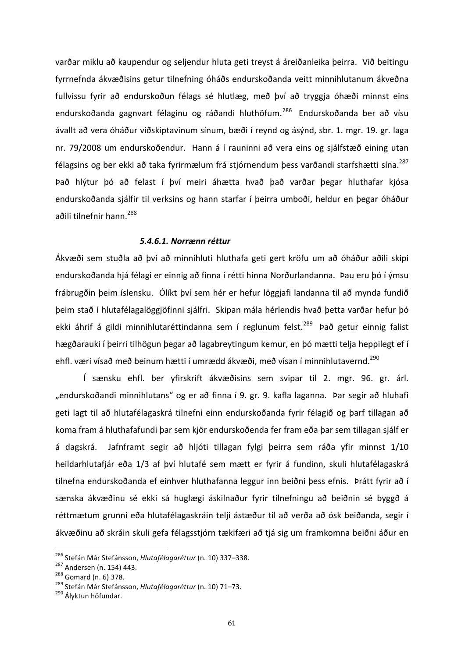varðar miklu að kaupendur og seljendur hluta geti treyst á áreiðanleika þeirra. Við beitingu fyrrnefnda ákvæðisins getur tilnefning óháðs endurskoðanda veitt minnihlutanum ákveðna fullvissu fyrir að endurskoðun félags sé hlutlæg, með því að tryggja óhæði minnst eins endurskoðanda gagnvart félaginu og ráðandi hluthöfum.<sup>286</sup> Endurskoðanda ber að vísu ávallt að vera óháður viðskiptavinum sínum, bæði í reynd og ásýnd, sbr. 1. mgr. 19. gr. laga nr. 79/2008 um endurskoðendur. Hann á í rauninni að vera eins og sjálfstæð eining utan félagsins og ber ekki að taka fyrirmælum frá stjórnendum þess varðandi starfshætti sína.<sup>287</sup> Það hlýtur þó að felast í því meiri áhætta hvað það varðar þegar hluthafar kjósa endurskoðanda sjálfir til verksins og hann starfar í þeirra umboði, heldur en þegar óháður aðili tilnefnir hann. 288

#### *5.4.6.1. Norrænn réttur*

Ákvæði sem stuðla að því að minnihluti hluthafa geti gert kröfu um að óháður aðili skipi endurskoðanda hjá félagi er einnig að finna í rétti hinna Norðurlandanna. Þau eru þó í ýmsu frábrugðin þeim íslensku. Ólíkt því sem hér er hefur löggjafi landanna til að mynda fundið þeim stað í hlutafélagalöggjöfinni sjálfri. Skipan mála hérlendis hvað þetta varðar hefur þó ekki áhrif á gildi minnihlutaréttindanna sem í reglunum felst.<sup>289</sup> Það getur einnig falist hægðarauki í þeirri tilhögun þegar að lagabreytingum kemur, en þó mætti telja heppilegt ef í ehfl. væri vísað með beinum hætti í umrædd ákvæði, með vísan í minnihlutavernd.<sup>290</sup>

Í sænsku ehfl. ber yfirskrift ákvæðisins sem svipar til 2. mgr. 96. gr. árl. "endurskoðandi minnihlutans" og er að finna í 9. gr. 9. kafla laganna. Þar segir að hluhafi geti lagt til að hlutafélagaskrá tilnefni einn endurskoðanda fyrir félagið og þarf tillagan að koma fram á hluthafafundi þar sem kjör endurskoðenda fer fram eða þar sem tillagan sjálf er á dagskrá. Jafnframt segir að hljóti tillagan fylgi þeirra sem ráða yfir minnst 1/10 heildarhlutafjár eða 1/3 af því hlutafé sem mætt er fyrir á fundinn, skuli hlutafélagaskrá tilnefna endurskoðanda ef einhver hluthafanna leggur inn beiðni þess efnis. Þrátt fyrir að í sænska ákvæðinu sé ekki sá huglægi áskilnaður fyrir tilnefningu að beiðnin sé byggð á réttmætum grunni eða hlutafélagaskráin telji ástæður til að verða að ósk beiðanda, segir í ákvæðinu að skráin skuli gefa félagsstjórn tækifæri að tjá sig um framkomna beiðni áður en

<sup>&</sup>lt;sup>286</sup> Stefán Már Stefánsson, *Hlutafélagaréttur* (n. 10) 337–338.<br><sup>287</sup> Andersen (n. 154) 443.<br><sup>288</sup> Gomard (n. 6) 378.<br><sup>289</sup> Stefán Már Stefánsson, *Hlutafélagaréttur* (n. 10) 71–73.<br><sup>290</sup> Ályktun höfundar.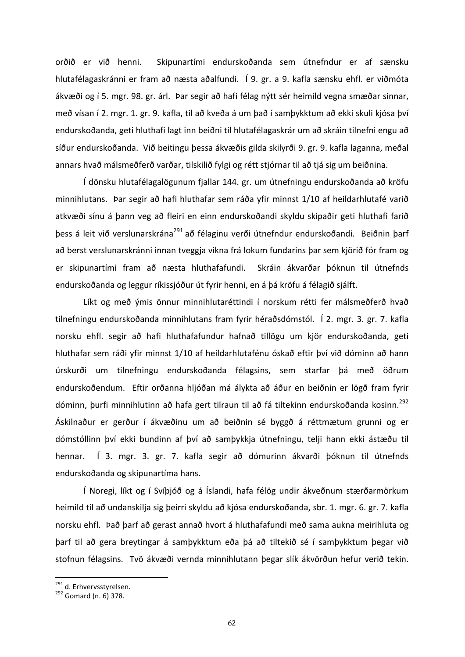orðið er við henni. Skipunartími endurskoðanda sem útnefndur er af sænsku hlutafélagaskránni er fram að næsta aðalfundi. Í 9. gr. a 9. kafla sænsku ehfl. er viðmóta ákvæði og í 5. mgr. 98. gr. árl. Þar segir að hafi félag nýtt sér heimild vegna smæðar sinnar, með vísan í 2. mgr. 1. gr. 9. kafla, til að kveða á um það í samþykktum að ekki skuli kjósa því endurskoðanda, geti hluthafi lagt inn beiðni til hlutafélagaskrár um að skráin tilnefni engu að síður endurskoðanda. Við beitingu þessa ákvæðis gilda skilyrði 9. gr. 9. kafla laganna, meðal annars hvað málsmeðferð varðar, tilskilið fylgi og rétt stjórnar til að tjá sig um beiðnina.

Í dönsku hlutafélagalögunum fjallar 144. gr. um útnefningu endurskoðanda að kröfu minnihlutans. Þar segir að hafi hluthafar sem ráða yfir minnst 1/10 af heildarhlutafé varið atkvæði sínu á þann veg að fleiri en einn endurskoðandi skyldu skipaðir geti hluthafi farið þess á leit við verslunarskrána<sup>291</sup> að félaginu verði útnefndur endurskoðandi. Beiðnin þarf að berst verslunarskránni innan tveggja vikna frá lokum fundarins þar sem kjörið fór fram og er skipunartími fram að næsta hluthafafundi. Skráin ákvarðar þóknun til útnefnds endurskoðanda og leggur ríkissjóður út fyrir henni, en á þá kröfu á félagið sjálft.

Líkt og með ýmis önnur minnihlutaréttindi í norskum rétti fer málsmeðferð hvað tilnefningu endurskoðanda minnihlutans fram fyrir héraðsdómstól. Í 2. mgr. 3. gr. 7. kafla norsku ehfl. segir að hafi hluthafafundur hafnað tillögu um kjör endurskoðanda, geti hluthafar sem ráði yfir minnst 1/10 af heildarhlutafénu óskað eftir því við dóminn að hann úrskurði um tilnefningu endurskoðanda félagsins, sem starfar þá með öðrum endurskoðendum. Eftir orðanna hljóðan má álykta að áður en beiðnin er lögð fram fyrir dóminn, þurfi minnihlutinn að hafa gert tilraun til að fá tiltekinn endurskoðanda kosinn.<sup>292</sup> Áskilnaður er gerður í ákvæðinu um að beiðnin sé byggð á réttmætum grunni og er dómstóllinn því ekki bundinn af því að samþykkja útnefningu, telji hann ekki ástæðu til hennar. Í 3. mgr. 3. gr. 7. kafla segir að dómurinn ákvarði þóknun til útnefnds endurskoðanda og skipunartíma hans.

Í Noregi, líkt og í Svíþjóð og á Íslandi, hafa félög undir ákveðnum stærðarmörkum heimild til að undanskilja sig þeirri skyldu að kjósa endurskoðanda, sbr. 1. mgr. 6. gr. 7. kafla norsku ehfl. Það þarf að gerast annað hvort á hluthafafundi með sama aukna meirihluta og þarf til að gera breytingar á samþykktum eða þá að tiltekið sé í samþykktum þegar við stofnun félagsins. Tvö ákvæði vernda minnihlutann þegar slík ákvörðun hefur verið tekin.

 $^{291}$  d. Erhvervsstyrelsen.<br> $^{292}$  Gomard (n. 6) 378.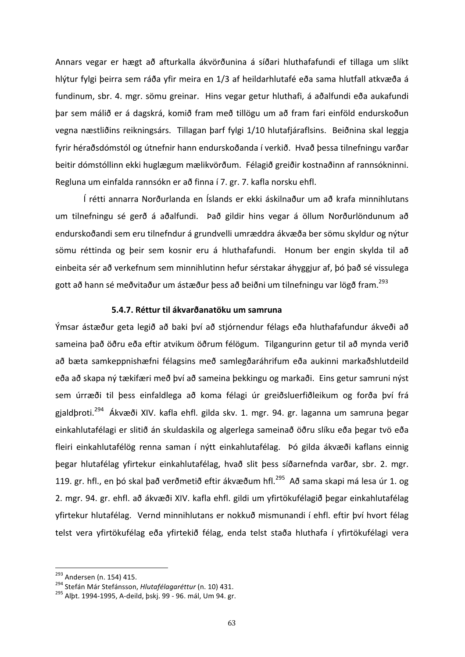Annars vegar er hægt að afturkalla ákvörðunina á síðari hluthafafundi ef tillaga um slíkt hlýtur fylgi þeirra sem ráða yfir meira en 1/3 af heildarhlutafé eða sama hlutfall atkvæða á fundinum, sbr. 4. mgr. sömu greinar. Hins vegar getur hluthafi, á aðalfundi eða aukafundi þar sem málið er á dagskrá, komið fram með tillögu um að fram fari einföld endurskoðun vegna næstliðins reikningsárs. Tillagan þarf fylgi 1/10 hlutafjáraflsins. Beiðnina skal leggja fyrir héraðsdómstól og útnefnir hann endurskoðanda í verkið. Hvað þessa tilnefningu varðar beitir dómstóllinn ekki huglægum mælikvörðum. Félagið greiðir kostnaðinn af rannsókninni. Regluna um einfalda rannsókn er að finna í 7. gr. 7. kafla norsku ehfl.

Í rétti annarra Norðurlanda en Íslands er ekki áskilnaður um að krafa minnihlutans um tilnefningu sé gerð á aðalfundi. Það gildir hins vegar á öllum Norðurlöndunum að endurskoðandi sem eru tilnefndur á grundvelli umræddra ákvæða ber sömu skyldur og nýtur sömu réttinda og þeir sem kosnir eru á hluthafafundi. Honum ber engin skylda til að einbeita sér að verkefnum sem minnihlutinn hefur sérstakar áhyggjur af, þó það sé vissulega gott að hann sé meðvitaður um ástæður þess að beiðni um tilnefningu var lögð fram.<sup>293</sup>

# **5.4.7. Réttur til ákvarðanatöku um samruna**

Ýmsar ástæður geta legið að baki því að stjórnendur félags eða hluthafafundur ákveði að sameina það öðru eða eftir atvikum öðrum félögum. Tilgangurinn getur til að mynda verið að bæta samkeppnishæfni félagsins með samlegðaráhrifum eða aukinni markaðshlutdeild eða að skapa ný tækifæri með því að sameina þekkingu og markaði. Eins getur samruni nýst sem úrræði til þess einfaldlega að koma félagi úr greiðsluerfiðleikum og forða því frá gjaldþroti.<sup>294</sup> Ákvæði XIV. kafla ehfl. gilda skv. 1. mgr. 94. gr. laganna um samruna þegar einkahlutafélagi er slitið án skuldaskila og algerlega sameinað öðru slíku eða þegar tvö eða fleiri einkahlutafélög renna saman í nýtt einkahlutafélag. Þó gilda ákvæði kaflans einnig þegar hlutafélag yfirtekur einkahlutafélag, hvað slit þess síðarnefnda varðar, sbr. 2. mgr. 119. gr. hfl., en þó skal það verðmetið eftir ákvæðum hfl.<sup>295</sup> Að sama skapi má lesa úr 1. og 2. mgr. 94. gr. ehfl. að ákvæði XIV. kafla ehfl. gildi um yfirtökufélagið þegar einkahlutafélag yfirtekur hlutafélag. Vernd minnihlutans er nokkuð mismunandi í ehfl. eftir því hvort félag telst vera yfirtökufélag eða yfirtekið félag, enda telst staða hluthafa í yfirtökufélagi vera

<sup>&</sup>lt;sup>293</sup> Andersen (n. 154) 415.<br><sup>294</sup> Stefán Már Stefánsson*, Hlutafélagaréttur* (n. 10) 431.<br><sup>295</sup> Albt. 1994-1995, A-deild, þskj. 99 - 96. mál, Um 94. gr.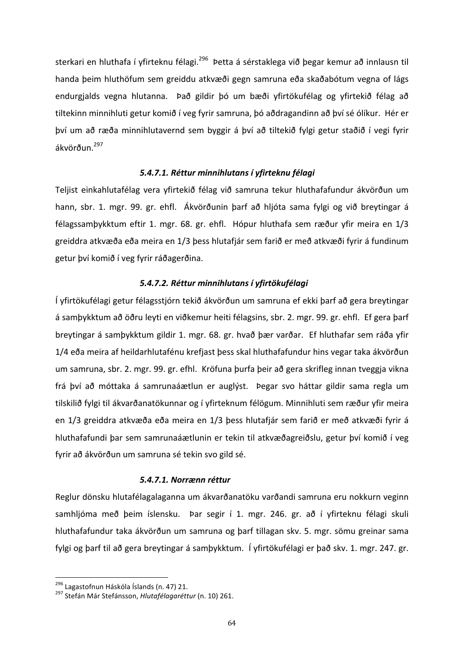sterkari en hluthafa í yfirteknu félagi.<sup>296</sup> Þetta á sérstaklega við þegar kemur að innlausn til handa þeim hluthöfum sem greiddu atkvæði gegn samruna eða skaðabótum vegna of lágs endurgjalds vegna hlutanna. Það gildir þó um bæði yfirtökufélag og yfirtekið félag að tiltekinn minnihluti getur komið í veg fyrir samruna, þó aðdragandinn að því sé ólíkur. Hér er því um að ræða minnihlutavernd sem byggir á því að tiltekið fylgi getur staðið í vegi fyrir ákvörðun.297 

#### *5.4.7.1. Réttur minnihlutans í yfirteknu félagi*

Teljist einkahlutafélag vera yfirtekið félag við samruna tekur hluthafafundur ákvörðun um hann, sbr. 1. mgr. 99. gr. ehfl. Ákvörðunin þarf að hljóta sama fylgi og við breytingar á félagssamþykktum eftir 1. mgr. 68. gr. ehfl. Hópur hluthafa sem ræður yfir meira en 1/3 greiddra atkvæða eða meira en 1/3 þess hlutafjár sem farið er með atkvæði fyrir á fundinum getur því komið í veg fyrir ráðagerðina.

## *5.4.7.2. Réttur minnihlutans í yfirtökufélagi*

Í yfirtökufélagi getur félagsstjórn tekið ákvörðun um samruna ef ekki þarf að gera breytingar á samþykktum að öðru leyti en viðkemur heiti félagsins, sbr. 2. mgr. 99. gr. ehfl. Ef gera þarf breytingar á samþykktum gildir 1. mgr. 68. gr. hvað þær varðar. Ef hluthafar sem ráða yfir 1/4 eða meira af heildarhlutafénu krefjast þess skal hluthafafundur hins vegar taka ákvörðun um samruna, sbr. 2. mgr. 99. gr. efhl. Kröfuna þurfa þeir að gera skrifleg innan tveggja vikna frá því að móttaka á samrunaáætlun er auglýst. Þegar svo háttar gildir sama regla um tilskilið fylgi til ákvarðanatökunnar og í yfirteknum félögum. Minnihluti sem ræður yfir meira en 1/3 greiddra atkvæða eða meira en 1/3 þess hlutafjár sem farið er með atkvæði fyrir á hluthafafundi þar sem samrunaáætlunin er tekin til atkvæðagreiðslu, getur því komið í veg fyrir að ákvörðun um samruna sé tekin svo gild sé.

#### *5.4.7.1. Norrænn réttur*

Reglur dönsku hlutafélagalaganna um ákvarðanatöku varðandi samruna eru nokkurn veginn samhljóma með þeim íslensku. Þar segir í 1. mgr. 246. gr. að í yfirteknu félagi skuli hluthafafundur taka ákvörðun um samruna og þarf tillagan skv. 5. mgr. sömu greinar sama fylgi og þarf til að gera breytingar á samþykktum. Í yfirtökufélagi er það skv. 1. mgr. 247. gr.

<sup>&</sup>lt;sup>296</sup> Lagastofnun Háskóla Íslands (n. 47) 21.<br><sup>297</sup> Stefán Már Stefánsson, *Hlutafélagaréttur* (n. 10) 261.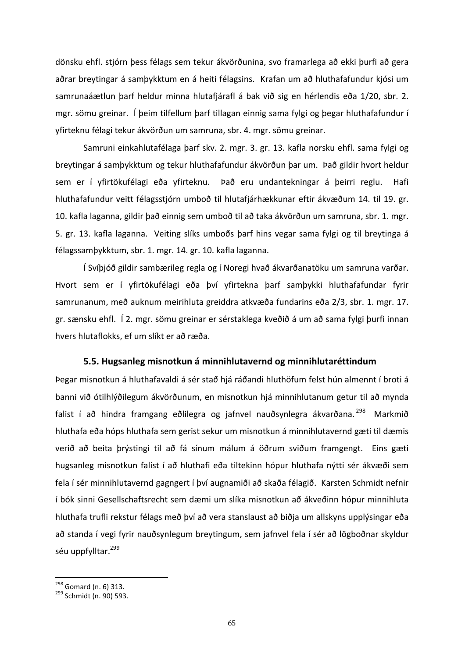dönsku ehfl. stjórn þess félags sem tekur ákvörðunina, svo framarlega að ekki þurfi að gera aðrar breytingar á samþykktum en á heiti félagsins. Krafan um að hluthafafundur kjósi um samrunaáætlun þarf heldur minna hlutafjárafl á bak við sig en hérlendis eða 1/20, sbr. 2. mgr. sömu greinar. Í þeim tilfellum þarf tillagan einnig sama fylgi og þegar hluthafafundur í yfirteknu félagi tekur ákvörðun um samruna, sbr. 4. mgr. sömu greinar.

Samruni einkahlutafélaga þarf skv. 2. mgr. 3. gr. 13. kafla norsku ehfl. sama fylgi og breytingar á samþykktum og tekur hluthafafundur ákvörðun þar um. Það gildir hvort heldur sem er í yfirtökufélagi eða yfirteknu. Það eru undantekningar á þeirri reglu. Hafi hluthafafundur veitt félagsstjórn umboð til hlutafjárhækkunar eftir ákvæðum 14. til 19. gr. 10. kafla laganna, gildir það einnig sem umboð til að taka ákvörðun um samruna, sbr. 1. mgr. 5. gr. 13. kafla laganna. Veiting slíks umboðs þarf hins vegar sama fylgi og til breytinga á félagssamþykktum, sbr. 1. mgr. 14. gr. 10. kafla laganna.

Í Svíþjóð gildir sambærileg regla og í Noregi hvað ákvarðanatöku um samruna varðar. Hvort sem er í yfirtökufélagi eða því yfirtekna þarf samþykki hluthafafundar fyrir samrunanum, með auknum meirihluta greiddra atkvæða fundarins eða 2/3, sbr. 1. mgr. 17. gr. sænsku ehfl. Í 2. mgr. sömu greinar er sérstaklega kveðið á um að sama fylgi þurfi innan hvers hlutaflokks, ef um slíkt er að ræða.

## **5.5. Hugsanleg misnotkun á minnihlutavernd og minnihlutaréttindum**

Þegar misnotkun á hluthafavaldi á sér stað hjá ráðandi hluthöfum felst hún almennt í broti á banni við ótilhlýðilegum ákvörðunum, en misnotkun hjá minnihlutanum getur til að mynda falist í að hindra framgang eðlilegra og jafnvel nauðsynlegra ákvarðana. <sup>298</sup> Markmið hluthafa eða hóps hluthafa sem gerist sekur um misnotkun á minnihlutavernd gæti til dæmis verið að beita þrýstingi til að fá sínum málum á öðrum sviðum framgengt. Eins gæti hugsanleg misnotkun falist í að hluthafi eða tiltekinn hópur hluthafa nýtti sér ákvæði sem fela í sér minnihlutavernd gagngert í því augnamiði að skaða félagið. Karsten Schmidt nefnir í bók sinni Gesellschaftsrecht sem dæmi um slíka misnotkun að ákveðinn hópur minnihluta hluthafa trufli rekstur félags með því að vera stanslaust að biðja um allskyns upplýsingar eða að standa í vegi fyrir nauðsynlegum breytingum, sem jafnvel fela í sér að lögboðnar skyldur séu uppfylltar.<sup>299</sup>

 $^{298}$  Gomard (n. 6) 313.<br> $^{299}$  Schmidt (n. 90) 593.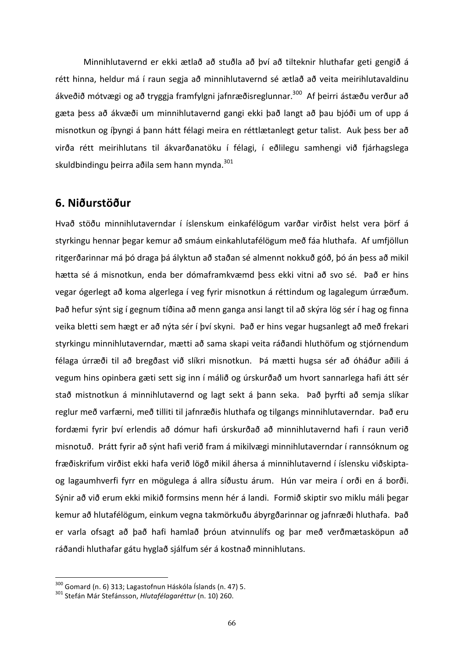Minnihlutavernd er ekki ætlað að stuðla að því að tilteknir hluthafar geti gengið á rétt hinna, heldur má í raun segja að minnihlutavernd sé ætlað að veita meirihlutavaldinu ákveðið mótvægi og að tryggja framfylgni jafnræðisreglunnar.<sup>300</sup> Af beirri ástæðu verður að gæta þess að ákvæði um minnihlutavernd gangi ekki það langt að þau bjóði um of upp á misnotkun og íþyngi á þann hátt félagi meira en réttlætanlegt getur talist. Auk þess ber að virða rétt meirihlutans til ákvarðanatöku í félagi, í eðlilegu samhengi við fjárhagslega skuldbindingu þeirra aðila sem hann mynda.<sup>301</sup>

# **6. Niðurstöður**

Hvað stöðu minnihlutaverndar í íslenskum einkafélögum varðar virðist helst vera þörf á styrkingu hennar þegar kemur að smáum einkahlutafélögum með fáa hluthafa. Af umfjöllun ritgerðarinnar má þó draga þá ályktun að staðan sé almennt nokkuð góð, þó án þess að mikil hætta sé á misnotkun, enda ber dómaframkvæmd þess ekki vitni að svo sé. Það er hins vegar ógerlegt að koma algerlega í veg fyrir misnotkun á réttindum og lagalegum úrræðum. Það hefur sýnt sig í gegnum tíðina að menn ganga ansi langt til að skýra lög sér í hag og finna veika bletti sem hægt er að nýta sér í því skyni. Það er hins vegar hugsanlegt að með frekari styrkingu minnihlutaverndar, mætti að sama skapi veita ráðandi hluthöfum og stjórnendum félaga úrræði til að bregðast við slíkri misnotkun. Þá mætti hugsa sér að óháður aðili á vegum hins opinbera gæti sett sig inn í málið og úrskurðað um hvort sannarlega hafi átt sér stað mistnotkun á minnihlutavernd og lagt sekt á þann seka. Það þyrfti að semja slíkar reglur með varfærni, með tilliti til jafnræðis hluthafa og tilgangs minnihlutaverndar. Það eru fordæmi fyrir því erlendis að dómur hafi úrskurðað að minnihlutavernd hafi í raun verið misnotuð. Þrátt fyrir að sýnt hafi verið fram á mikilvægi minnihlutaverndar í rannsóknum og fræðiskrifum virðist ekki hafa verið lögð mikil áhersa á minnihlutavernd í íslensku viðskiptaog lagaumhverfi fyrr en mögulega á allra síðustu árum. Hún var meira í orði en á borði. Sýnir að við erum ekki mikið formsins menn hér á landi. Formið skiptir svo miklu máli þegar kemur að hlutafélögum, einkum vegna takmörkuðu ábyrgðarinnar og jafnræði hluthafa. Það er varla ofsagt að það hafi hamlað þróun atvinnulífs og þar með verðmætasköpun að ráðandi hluthafar gátu hyglað sjálfum sér á kostnað minnihlutans.

<sup>&</sup>lt;sup>300</sup> Gomard (n. 6) 313; Lagastofnun Háskóla Íslands (n. 47) 5.<br><sup>301</sup> Stefán Már Stefánsson, *Hlutafélagaréttur* (n. 10) 260.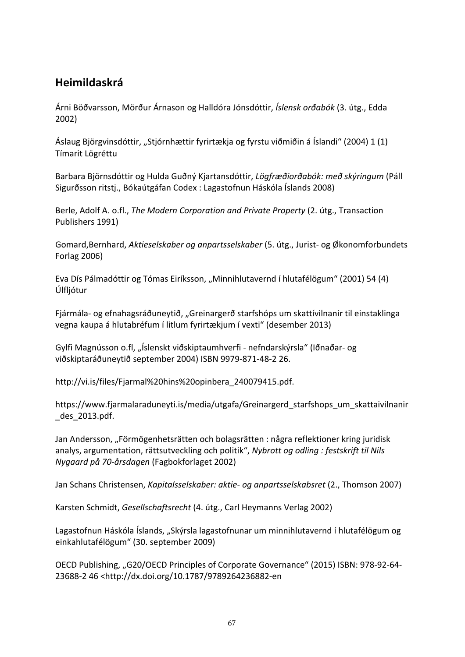# **Heimildaskrá**

Árni Böðvarsson, Mörður Árnason og Halldóra Jónsdóttir, *Íslensk orðabók* (3. útg., Edda 2002)

Áslaug Björgvinsdóttir, "Stjórnhættir fyrirtækja og fyrstu viðmiðin á Íslandi" (2004) 1 (1) Tímarit Lögréttu 

Barbara Björnsdóttir og Hulda Guðný Kjartansdóttir, *Lögfræðiorðabók: með skýringum* (Páll Sigurðsson ritsti., Bókaútgáfan Codex : Lagastofnun Háskóla Íslands 2008)

Berle, Adolf A. o.fl., *The Modern Corporation and Private Property* (2. útg., Transaction Publishers 1991)

Gomard,Bernhard, *Aktieselskaber og anpartsselskaber* (5. útg., Jurist- og Økonomforbundets Forlag 2006)

Eva Dís Pálmadóttir og Tómas Eiríksson, "Minnihlutavernd í hlutafélögum" (2001) 54 (4) Úlfljótur 

Fjármála- og efnahagsráðuneytið, "Greinargerð starfshóps um skattívilnanir til einstaklinga vegna kaupa á hlutabréfum í litlum fyrirtækjum í vexti" (desember 2013)

Gylfi Magnússon o.fl, "Íslenskt viðskiptaumhverfi - nefndarskýrsla" (Iðnaðar- og viðskiptaráðuneytið september 2004) ISBN 9979-871-48-2 26.

http://vi.is/files/Fjarmal%20hins%20opinbera\_240079415.pdf.

https://www.fjarmalaraduneyti.is/media/utgafa/Greinargerd\_starfshops\_um\_skattaivilnanir \_des\_2013.pdf. 

Jan Andersson, "Förmögenhetsrätten och bolagsrätten : några reflektioner kring juridisk analys, argumentation, rättsutveckling och politik", Nybrott og odling : festskrift til Nils *Nygaard på 70-årsdagen* (Fagbokforlaget 2002) 

Jan Schans Christensen, *Kapitalsselskaber: aktie- og anpartsselskabsret* (2., Thomson 2007)

Karsten Schmidt, Gesellschaftsrecht (4. útg., Carl Heymanns Verlag 2002)

Lagastofnun Háskóla Íslands, "Skýrsla lagastofnunar um minnihlutavernd í hlutafélögum og einkahlutafélögum" (30. september 2009)

OECD Publishing, "G20/OECD Principles of Corporate Governance" (2015) ISBN: 978-92-64-23688-2 46 <http://dx.doi.org/10.1787/9789264236882-en